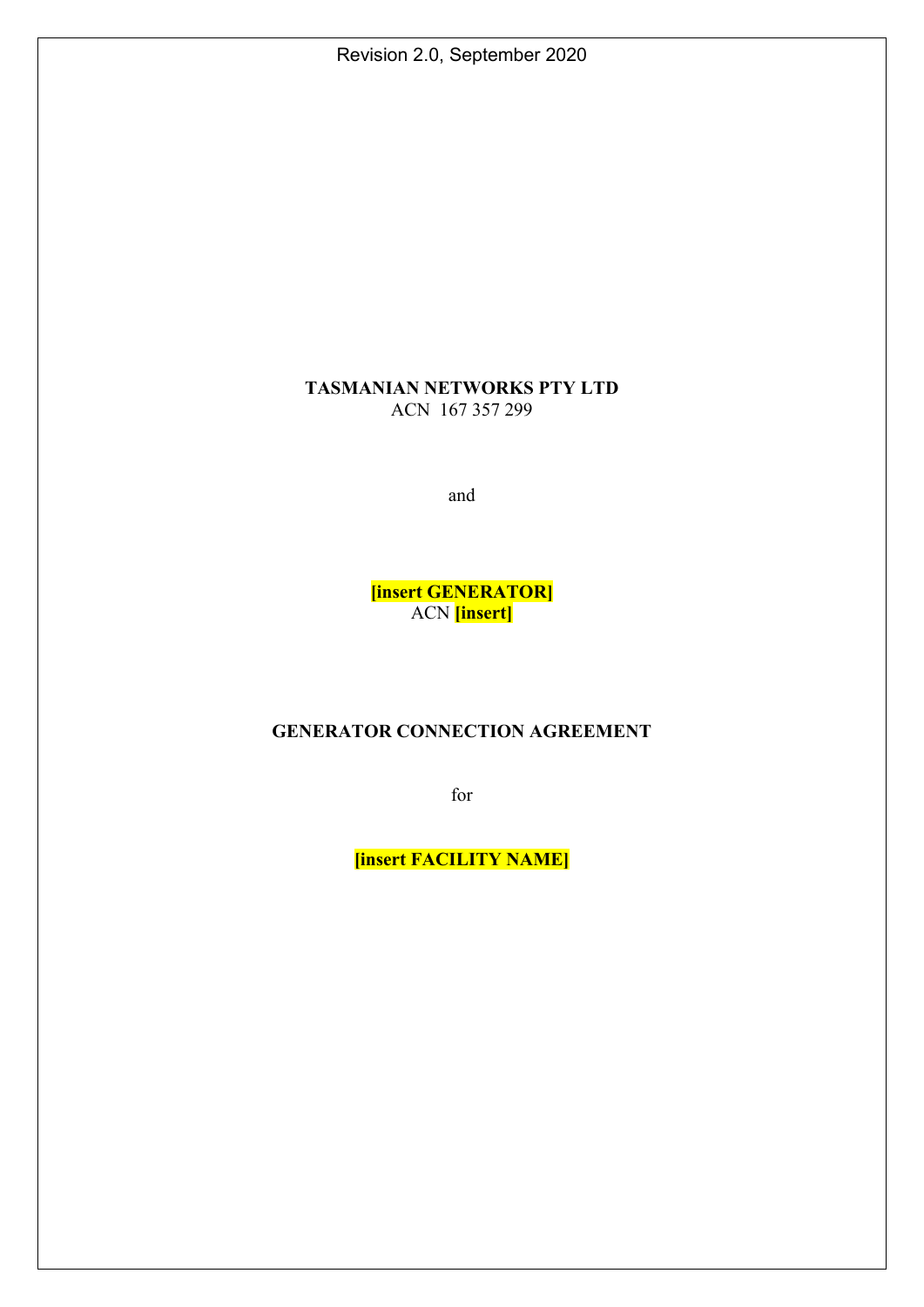Revision 2.0, September 2020

## **TASMANIAN NETWORKS PTY LTD**  ACN 167 357 299

and

**[insert GENERATOR]**  ACN **[insert]** 

# **GENERATOR CONNECTION AGREEMENT**

for

**[insert FACILITY NAME]**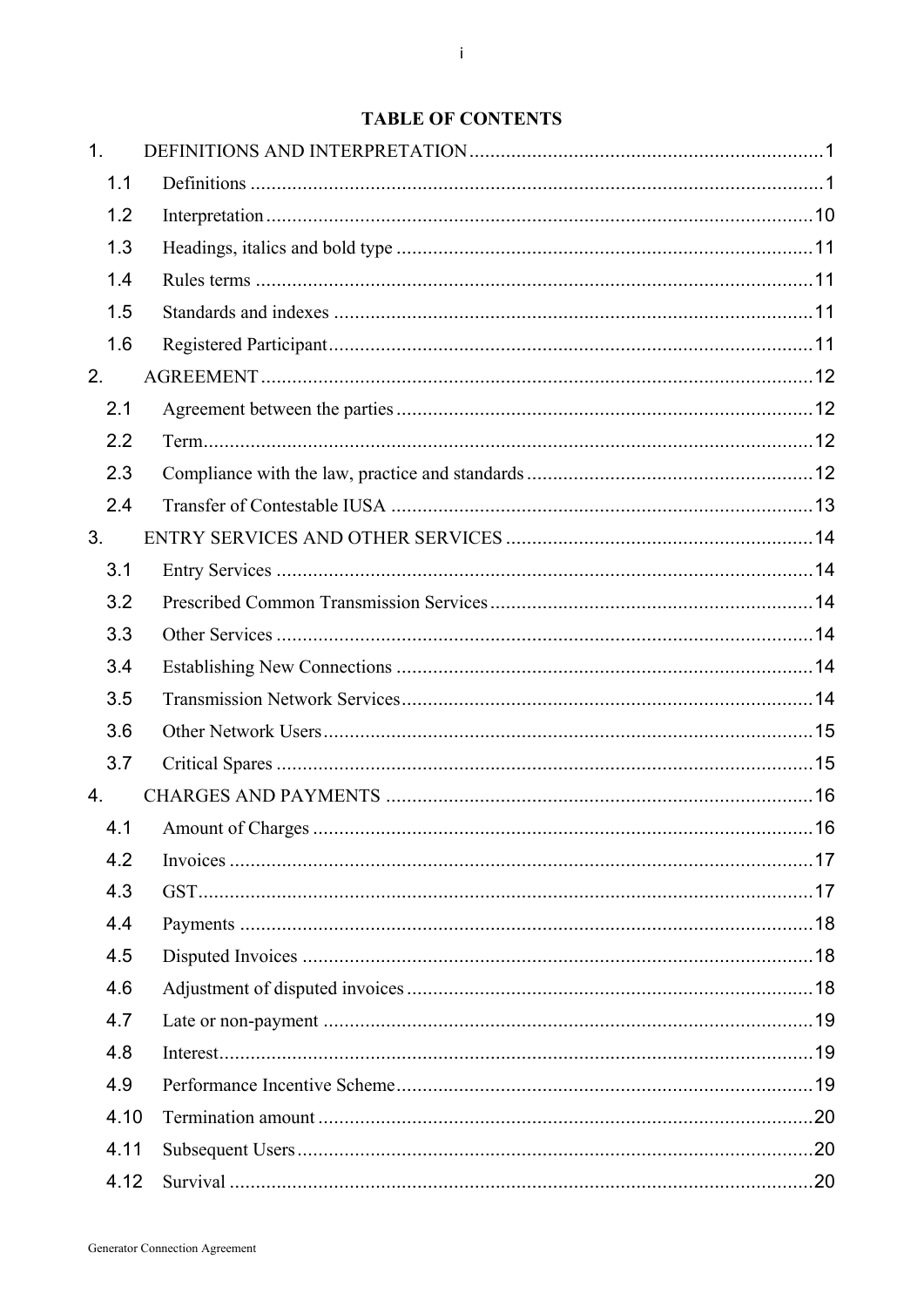# **TABLE OF CONTENTS**

| 1.   |  |
|------|--|
| 1.1  |  |
| 1.2  |  |
| 1.3  |  |
| 1.4  |  |
| 1.5  |  |
| 1.6  |  |
| 2.   |  |
| 2.1  |  |
| 2.2  |  |
| 2.3  |  |
| 2.4  |  |
| 3.   |  |
| 3.1  |  |
| 3.2  |  |
| 3.3  |  |
| 3.4  |  |
| 3.5  |  |
| 3.6  |  |
| 3.7  |  |
| 4.   |  |
| 4.1  |  |
| 4.2  |  |
| 4.3  |  |
| 4.4  |  |
| 4.5  |  |
| 4.6  |  |
| 4.7  |  |
| 4.8  |  |
| 4.9  |  |
| 4.10 |  |
| 4.11 |  |
| 4.12 |  |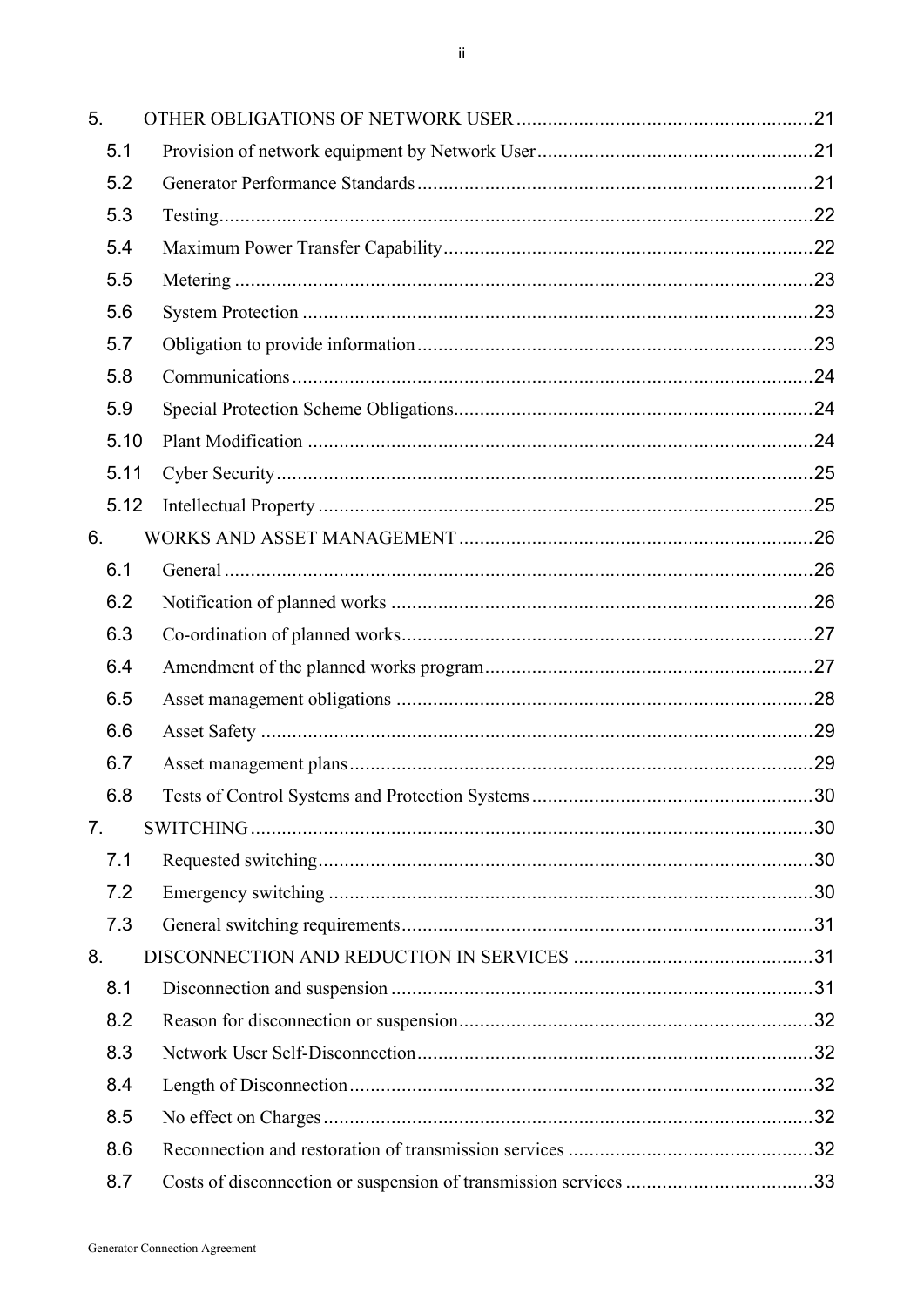| 5. |      |                                                                  |    |
|----|------|------------------------------------------------------------------|----|
|    | 5.1  |                                                                  |    |
|    | 5.2  |                                                                  |    |
|    | 5.3  |                                                                  |    |
|    | 5.4  |                                                                  |    |
|    | 5.5  |                                                                  |    |
|    | 5.6  |                                                                  |    |
|    | 5.7  |                                                                  |    |
|    | 5.8  |                                                                  |    |
|    | 5.9  |                                                                  |    |
|    | 5.10 |                                                                  |    |
|    | 5.11 |                                                                  |    |
|    | 5.12 |                                                                  |    |
| 6. |      |                                                                  |    |
|    | 6.1  |                                                                  |    |
|    | 6.2  |                                                                  |    |
|    | 6.3  |                                                                  |    |
|    | 6.4  |                                                                  |    |
|    | 6.5  |                                                                  |    |
|    | 6.6  |                                                                  |    |
|    | 6.7  |                                                                  |    |
|    | 6.8  |                                                                  | 30 |
| 7. |      |                                                                  |    |
|    | 7.1  |                                                                  |    |
|    | 7.2  |                                                                  |    |
|    | 7.3  |                                                                  |    |
| 8. |      |                                                                  |    |
|    | 8.1  |                                                                  |    |
|    | 8.2  |                                                                  |    |
|    | 8.3  |                                                                  |    |
|    | 8.4  |                                                                  |    |
|    | 8.5  |                                                                  |    |
|    | 8.6  |                                                                  |    |
|    | 8.7  | Costs of disconnection or suspension of transmission services 33 |    |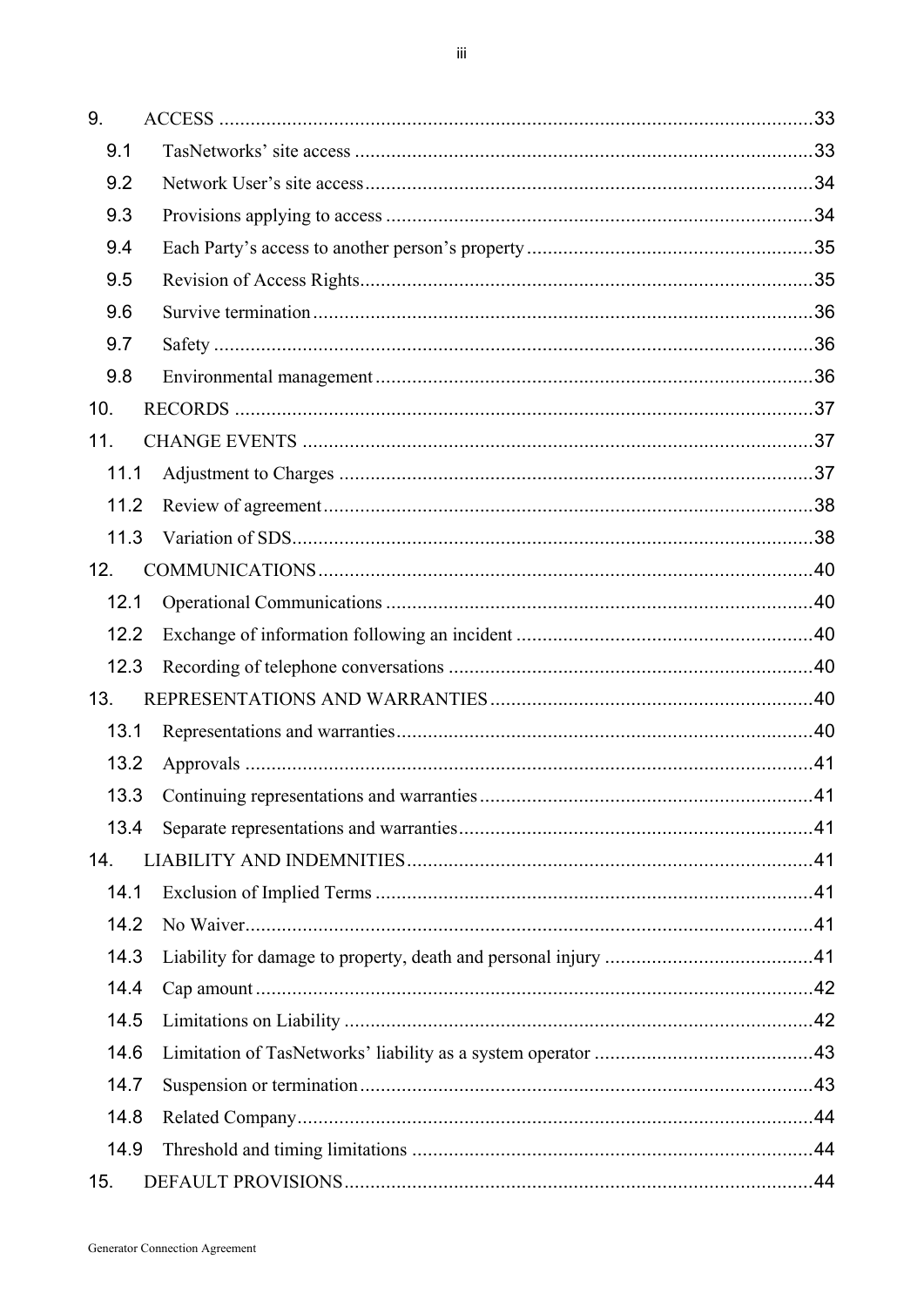| 9.   |      |
|------|------|
| 9.1  |      |
| 9.2  |      |
| 9.3  |      |
| 9.4  |      |
| 9.5  |      |
| 9.6  |      |
| 9.7  |      |
| 9.8  |      |
| 10.  |      |
| 11.  |      |
| 11.1 |      |
| 11.2 |      |
| 11.3 |      |
| 12.  |      |
| 12.1 |      |
| 12.2 |      |
| 12.3 |      |
| 13.  |      |
| 13.1 |      |
| 13.2 |      |
|      | . 41 |
| 13.4 |      |
| 14.  |      |
| 14.1 |      |
| 14.2 |      |
| 14.3 |      |
| 14.4 |      |
| 14.5 |      |
| 14.6 |      |
| 14.7 |      |
| 14.8 |      |
| 14.9 |      |
| 15.  |      |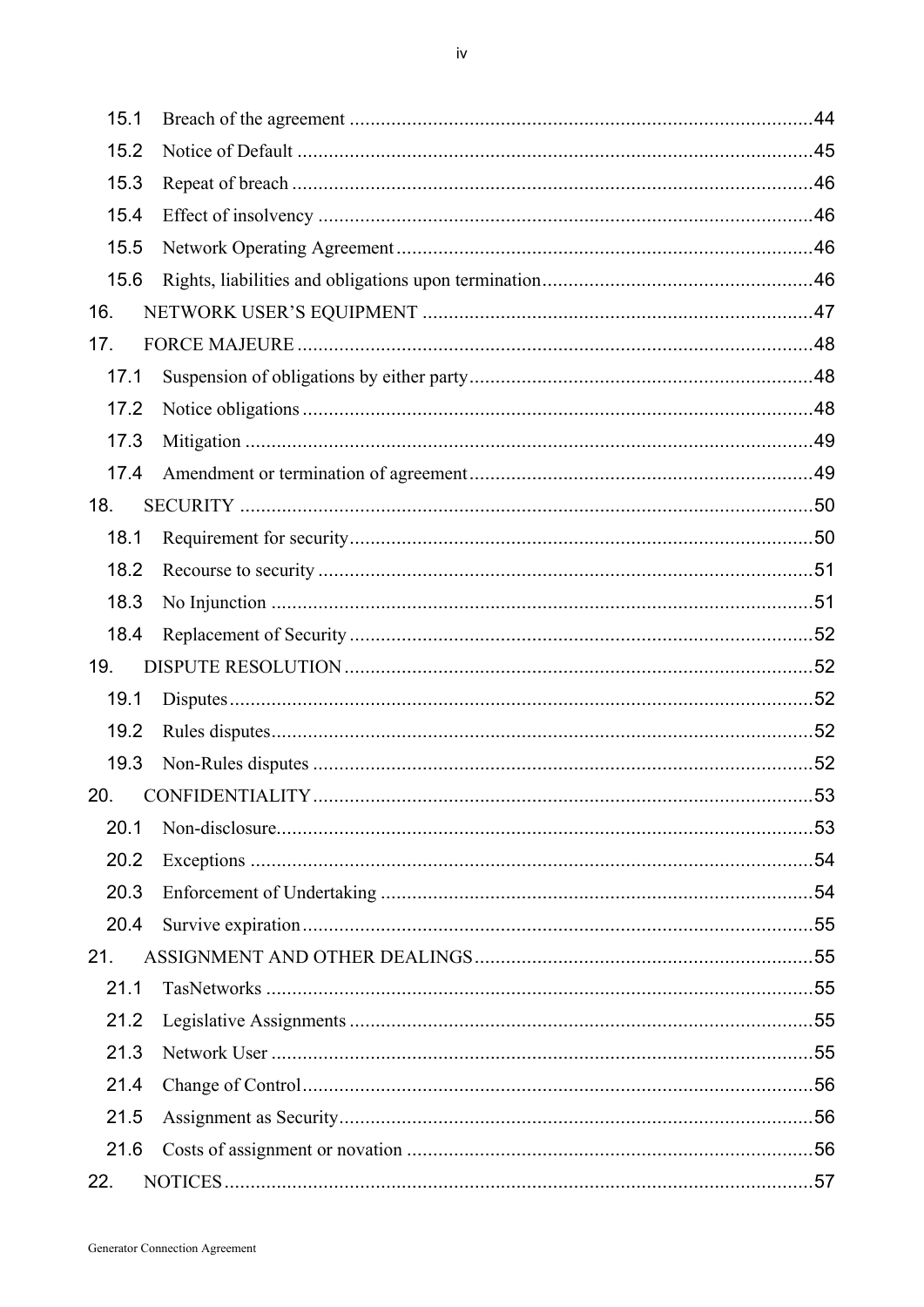| 15.1 |                 |      |
|------|-----------------|------|
| 15.2 |                 |      |
| 15.3 |                 |      |
| 15.4 |                 |      |
| 15.5 |                 |      |
| 15.6 |                 |      |
| 16.  |                 |      |
| 17.  |                 |      |
| 17.1 |                 |      |
| 17.2 |                 |      |
| 17.3 |                 |      |
| 17.4 |                 |      |
| 18.  |                 |      |
| 18.1 |                 |      |
| 18.2 |                 |      |
| 18.3 |                 |      |
| 18.4 |                 |      |
| 19.  |                 |      |
| 19.1 |                 |      |
| 19.2 |                 |      |
| 19.3 |                 |      |
| 20.  | CONFIDENTIALITY | . 53 |
| 20.1 |                 |      |
| 20.2 |                 |      |
| 20.3 |                 |      |
| 20.4 |                 |      |
| 21.  |                 |      |
| 21.1 |                 |      |
| 21.2 |                 |      |
| 21.3 |                 |      |
| 21.4 |                 |      |
| 21.5 |                 |      |
| 21.6 |                 |      |
| 22.  |                 |      |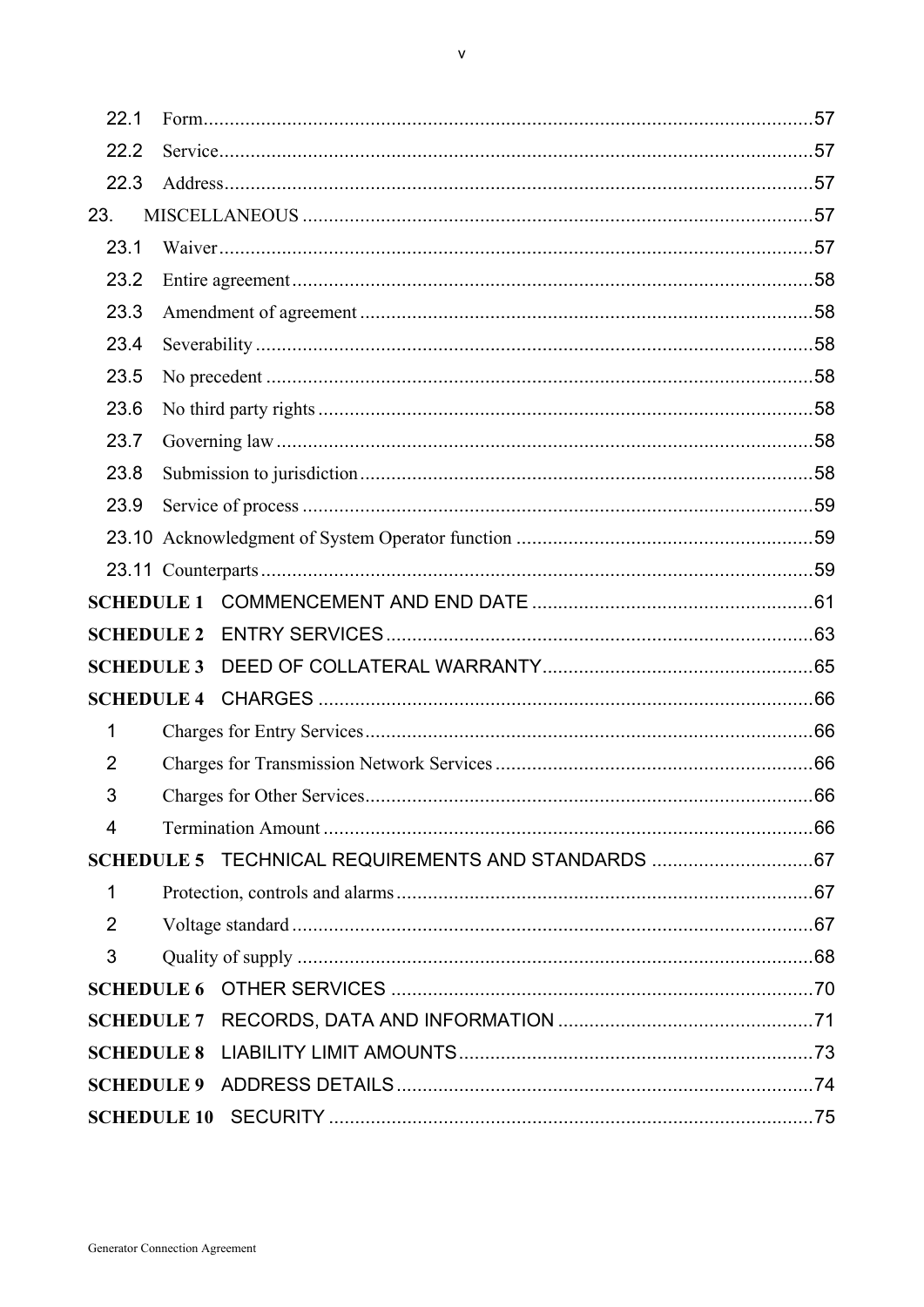| 22.1              |                                                     |    |
|-------------------|-----------------------------------------------------|----|
| 22.2              |                                                     |    |
| 22.3              |                                                     |    |
| 23.               |                                                     |    |
| 23.1              |                                                     |    |
| 23.2              |                                                     |    |
| 23.3              |                                                     |    |
| 23.4              |                                                     |    |
| 23.5              |                                                     |    |
| 23.6              |                                                     |    |
| 23.7              |                                                     |    |
| 23.8              |                                                     |    |
| 23.9              |                                                     |    |
|                   |                                                     |    |
|                   |                                                     |    |
|                   |                                                     |    |
| <b>SCHEDULE 2</b> |                                                     |    |
| <b>SCHEDULE 3</b> |                                                     |    |
|                   |                                                     |    |
| 1                 |                                                     |    |
| 2                 |                                                     |    |
| 3                 | Charges for Other Services                          | 66 |
| 4                 |                                                     |    |
|                   | SCHEDULE 5 TECHNICAL REQUIREMENTS AND STANDARDS  67 |    |
| $\mathbf 1$       |                                                     |    |
| $\overline{2}$    |                                                     |    |
|                   |                                                     |    |
| 3                 |                                                     |    |
|                   |                                                     |    |
|                   |                                                     |    |
|                   |                                                     |    |
|                   |                                                     |    |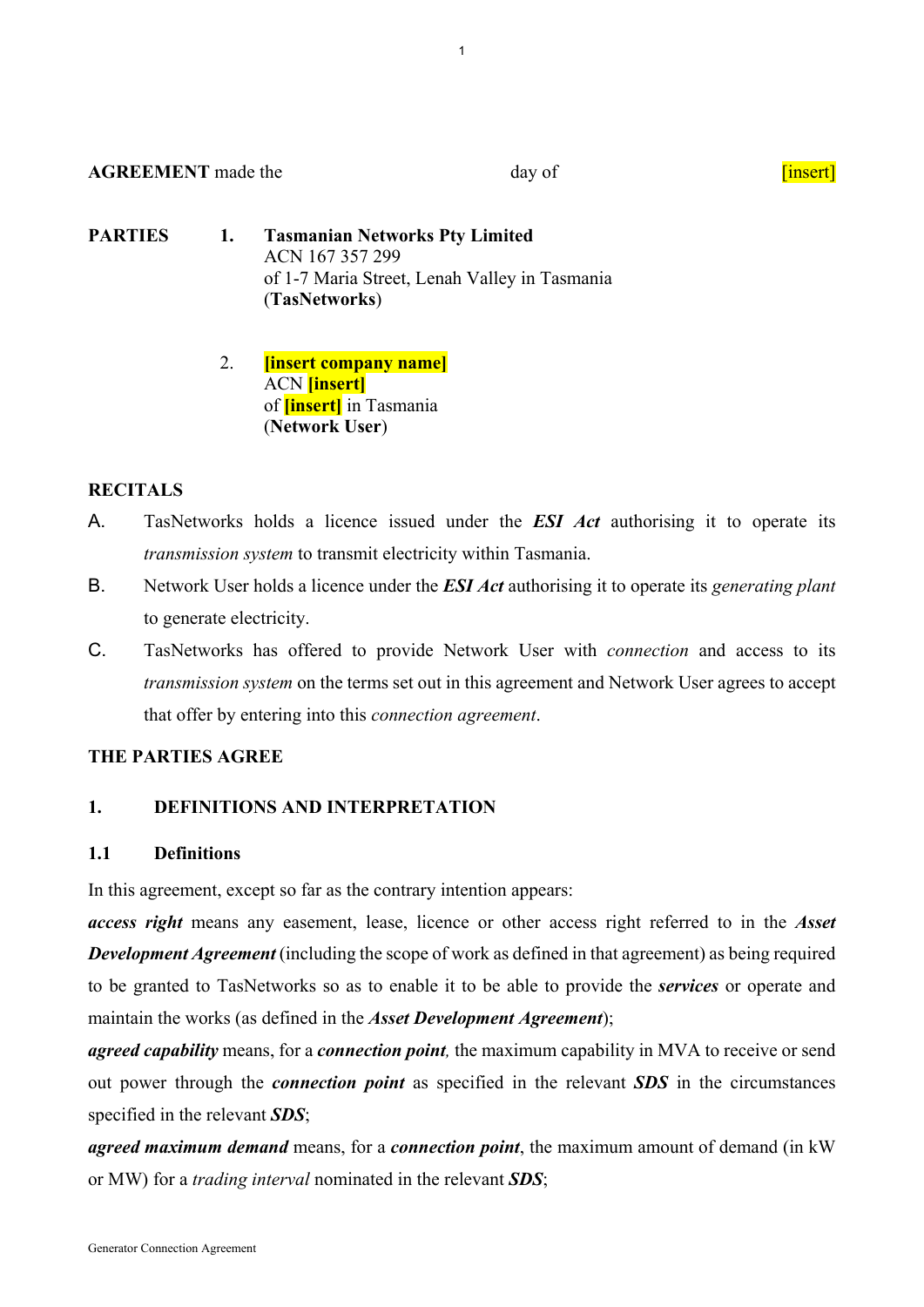# **AGREEMENT** made the day of day of containing the day of containing the day of containing the contact of  $\frac{1}{2}$

- **PARTIES 1. Tasmanian Networks Pty Limited**  ACN 167 357 299 of 1-7 Maria Street, Lenah Valley in Tasmania (**TasNetworks**)
	- 2. **[insert company name]** ACN **[insert]** of **[insert]** in Tasmania (**Network User**)

# **RECITALS**

- A. TasNetworks holds a licence issued under the *ESI Act* authorising it to operate its *transmission system* to transmit electricity within Tasmania.
- B. Network User holds a licence under the *ESI Act* authorising it to operate its *generating plant*  to generate electricity.
- C. TasNetworks has offered to provide Network User with *connection* and access to its *transmission system* on the terms set out in this agreement and Network User agrees to accept that offer by entering into this *connection agreement*.

# **THE PARTIES AGREE**

# **1. DEFINITIONS AND INTERPRETATION**

# **1.1 Definitions**

In this agreement, except so far as the contrary intention appears:

*access right* means any easement, lease, licence or other access right referred to in the *Asset Development Agreement* (including the scope of work as defined in that agreement) as being required to be granted to TasNetworks so as to enable it to be able to provide the *services* or operate and maintain the works (as defined in the *Asset Development Agreement*);

*agreed capability* means, for a *connection point,* the maximum capability in MVA to receive or send out power through the *connection point* as specified in the relevant *SDS* in the circumstances specified in the relevant *SDS*;

*agreed maximum demand* means, for a *connection point*, the maximum amount of demand (in kW or MW) for a *trading interval* nominated in the relevant *SDS*;

1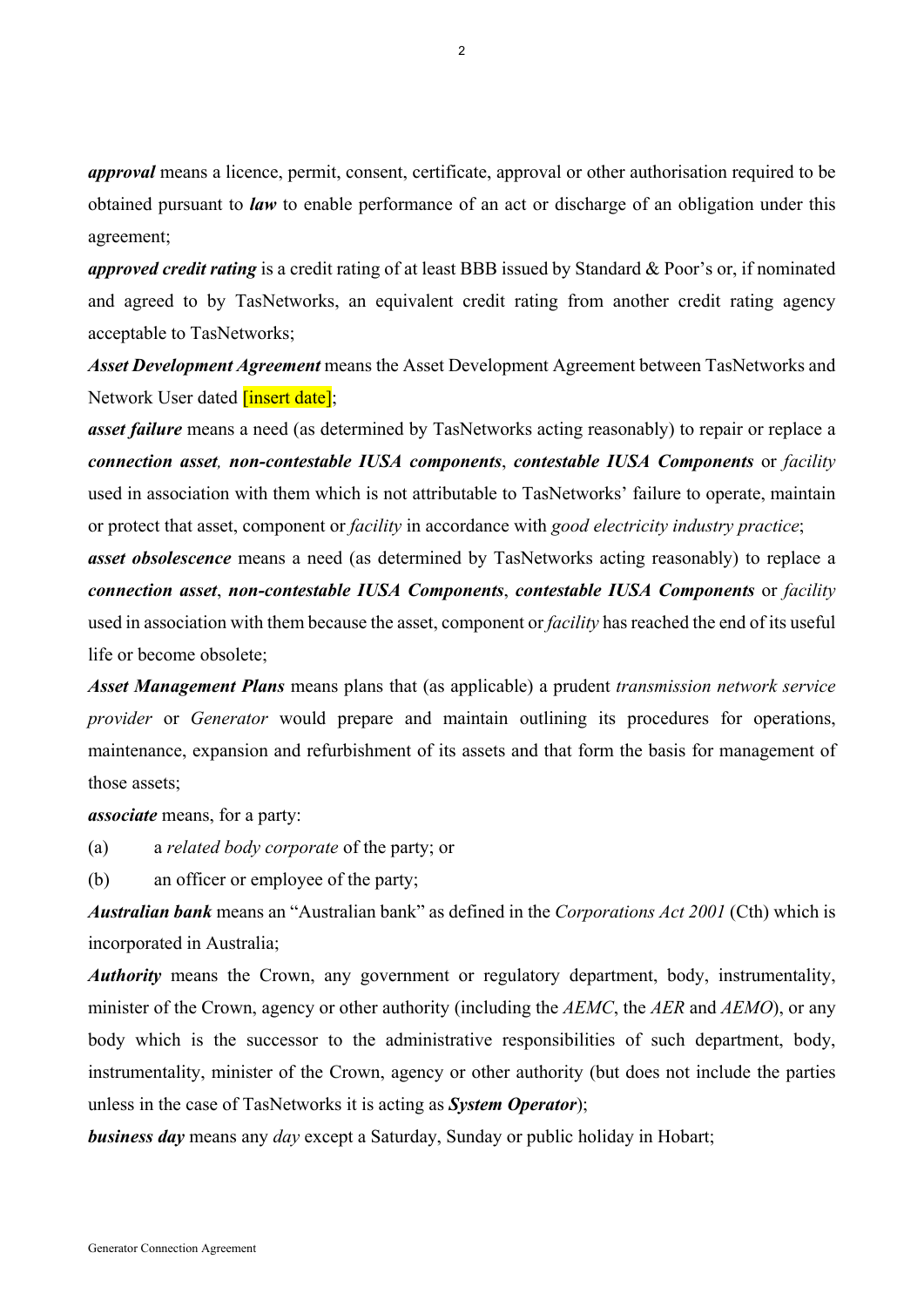*approval* means a licence, permit, consent, certificate, approval or other authorisation required to be obtained pursuant to *law* to enable performance of an act or discharge of an obligation under this agreement;

*approved credit rating* is a credit rating of at least BBB issued by Standard & Poor's or, if nominated and agreed to by TasNetworks, an equivalent credit rating from another credit rating agency acceptable to TasNetworks;

*Asset Development Agreement* means the Asset Development Agreement between TasNetworks and Network User dated *[insert date]*;

*asset failure* means a need (as determined by TasNetworks acting reasonably) to repair or replace a *connection asset, non-contestable IUSA components*, *contestable IUSA Components* or *facility*  used in association with them which is not attributable to TasNetworks' failure to operate, maintain or protect that asset, component or *facility* in accordance with *good electricity industry practice*;

*asset obsolescence* means a need (as determined by TasNetworks acting reasonably) to replace a *connection asset*, *non-contestable IUSA Components*, *contestable IUSA Components* or *facility*  used in association with them because the asset, component or *facility* has reached the end of its useful life or become obsolete;

*Asset Management Plans* means plans that (as applicable) a prudent *transmission network service provider* or *Generator* would prepare and maintain outlining its procedures for operations, maintenance, expansion and refurbishment of its assets and that form the basis for management of those assets;

#### *associate* means, for a party:

(a) a *related body corporate* of the party; or

(b) an officer or employee of the party;

*Australian bank* means an "Australian bank" as defined in the *Corporations Act 2001* (Cth) which is incorporated in Australia;

*Authority* means the Crown, any government or regulatory department, body, instrumentality, minister of the Crown, agency or other authority (including the *AEMC*, the *AER* and *AEMO*), or any body which is the successor to the administrative responsibilities of such department, body, instrumentality, minister of the Crown, agency or other authority (but does not include the parties unless in the case of TasNetworks it is acting as *System Operator*);

*business day* means any *day* except a Saturday, Sunday or public holiday in Hobart;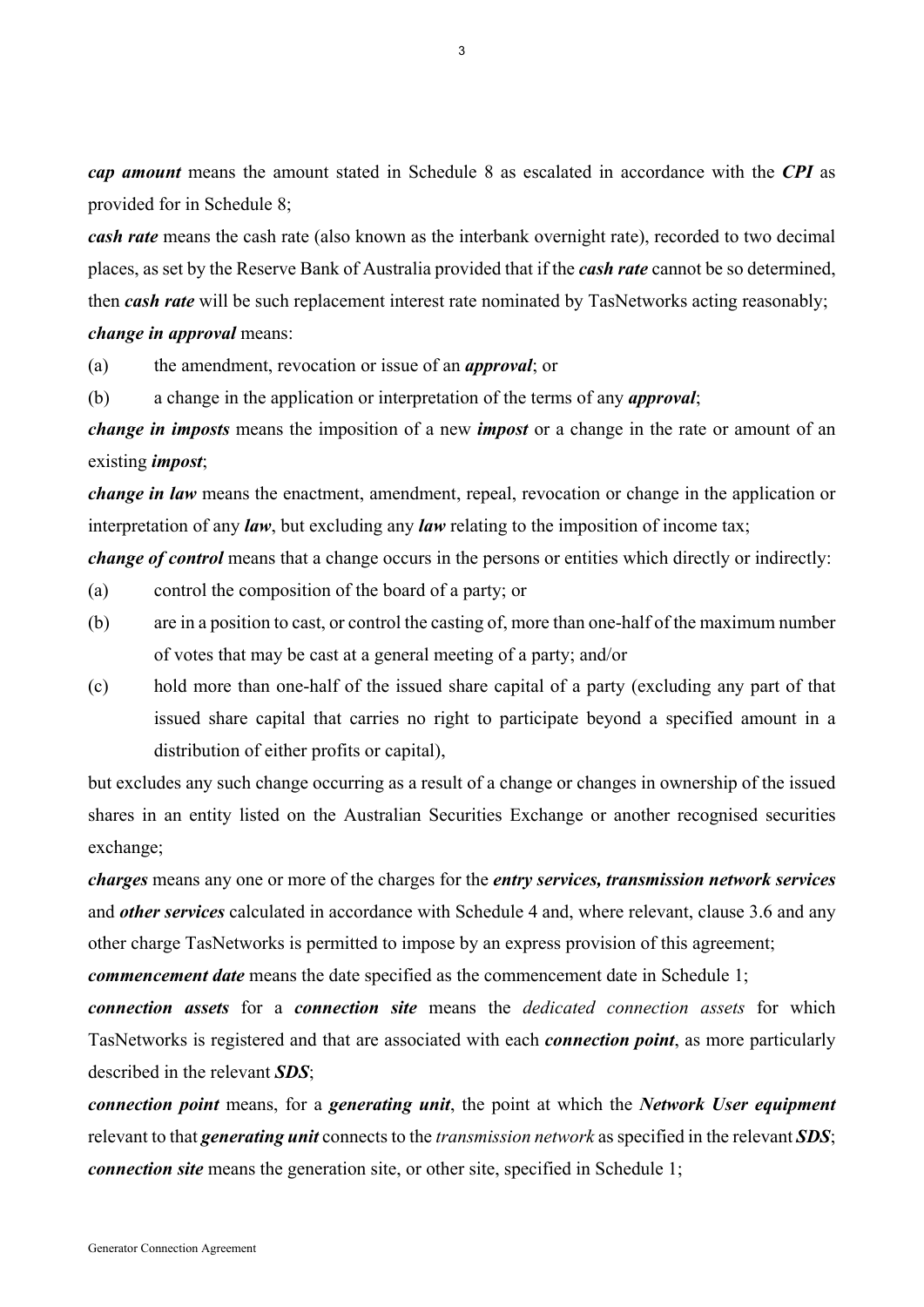*cap amount* means the amount stated in Schedule 8 as escalated in accordance with the *CPI* as provided for in Schedule 8;

*cash rate* means the cash rate (also known as the interbank overnight rate), recorded to two decimal places, as set by the Reserve Bank of Australia provided that if the *cash rate* cannot be so determined, then *cash rate* will be such replacement interest rate nominated by TasNetworks acting reasonably; *change in approval* means:

(a) the amendment, revocation or issue of an *approval*; or

(b) a change in the application or interpretation of the terms of any *approval*;

*change in imposts* means the imposition of a new *impost* or a change in the rate or amount of an existing *impost*;

*change in law* means the enactment, amendment, repeal, revocation or change in the application or interpretation of any *law*, but excluding any *law* relating to the imposition of income tax;

*change of control* means that a change occurs in the persons or entities which directly or indirectly:

- (a) control the composition of the board of a party; or
- (b) are in a position to cast, or control the casting of, more than one-half of the maximum number of votes that may be cast at a general meeting of a party; and/or
- (c) hold more than one-half of the issued share capital of a party (excluding any part of that issued share capital that carries no right to participate beyond a specified amount in a distribution of either profits or capital),

but excludes any such change occurring as a result of a change or changes in ownership of the issued shares in an entity listed on the Australian Securities Exchange or another recognised securities exchange;

*charges* means any one or more of the charges for the *entry services, transmission network services* and *other services* calculated in accordance with Schedule 4 and, where relevant, clause 3.6 and any other charge TasNetworks is permitted to impose by an express provision of this agreement;

*commencement date* means the date specified as the commencement date in Schedule 1;

*connection assets* for a *connection site* means the *dedicated connection assets* for which TasNetworks is registered and that are associated with each *connection point*, as more particularly described in the relevant *SDS*;

*connection point* means, for a *generating unit*, the point at which the *Network User equipment*  relevant to that *generating unit* connects to the *transmission network* as specified in the relevant *SDS*; *connection site* means the generation site, or other site, specified in Schedule 1;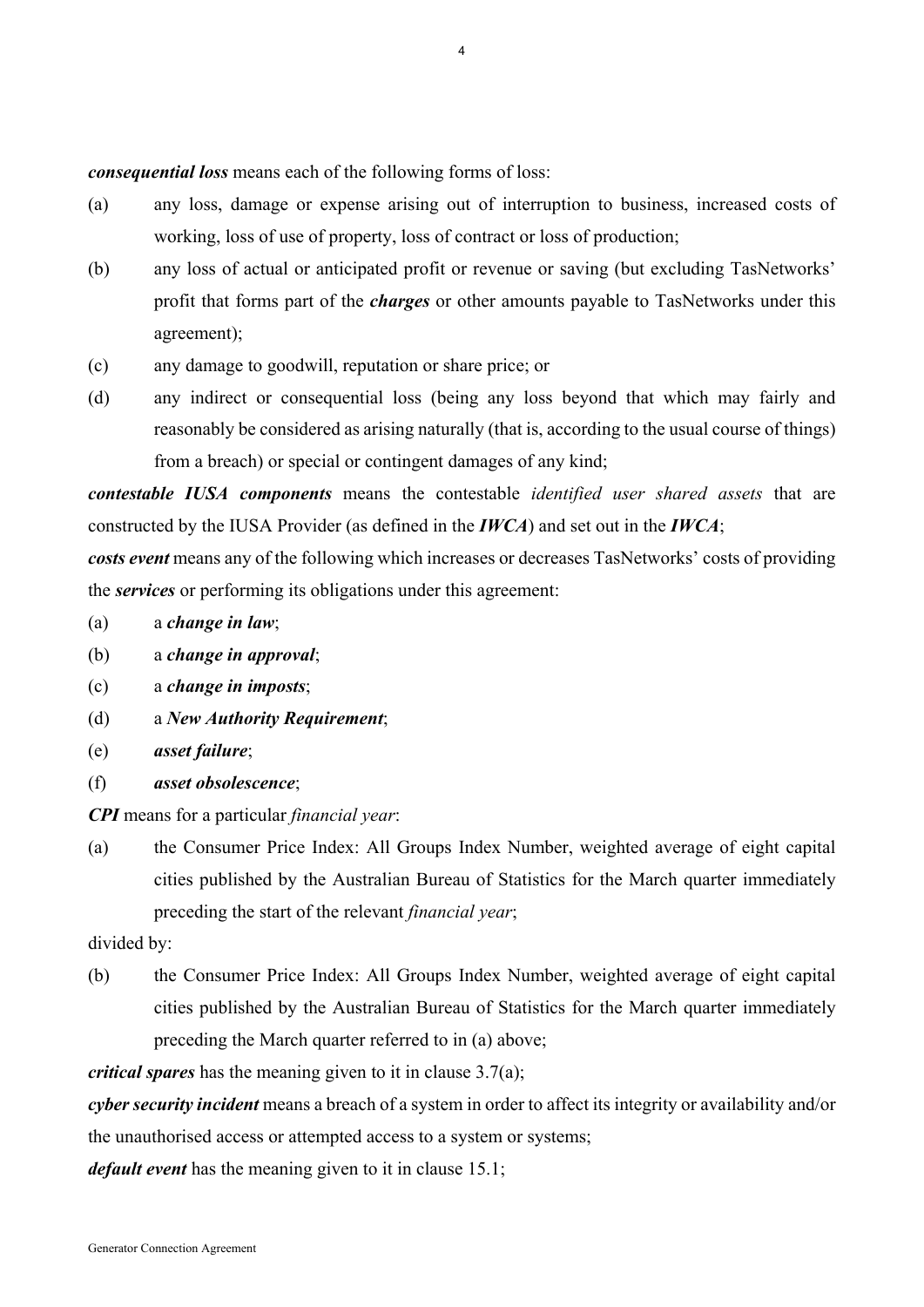*consequential loss* means each of the following forms of loss:

- (a) any loss, damage or expense arising out of interruption to business, increased costs of working, loss of use of property, loss of contract or loss of production;
- (b) any loss of actual or anticipated profit or revenue or saving (but excluding TasNetworks' profit that forms part of the *charges* or other amounts payable to TasNetworks under this agreement);
- (c) any damage to goodwill, reputation or share price; or
- (d) any indirect or consequential loss (being any loss beyond that which may fairly and reasonably be considered as arising naturally (that is, according to the usual course of things) from a breach) or special or contingent damages of any kind;

*contestable IUSA components* means the contestable *identified user shared assets* that are constructed by the IUSA Provider (as defined in the *IWCA*) and set out in the *IWCA*;

*costs event* means any of the following which increases or decreases TasNetworks' costs of providing the *services* or performing its obligations under this agreement:

- (a) a *change in law*;
- (b) a *change in approval*;
- (c) a *change in imposts*;
- (d) a *New Authority Requirement*;
- (e) *asset failure*;
- (f) *asset obsolescence*;

*CPI* means for a particular *financial year*:

(a) the Consumer Price Index: All Groups Index Number, weighted average of eight capital cities published by the Australian Bureau of Statistics for the March quarter immediately preceding the start of the relevant *financial year*;

#### divided by:

(b) the Consumer Price Index: All Groups Index Number, weighted average of eight capital cities published by the Australian Bureau of Statistics for the March quarter immediately preceding the March quarter referred to in (a) above;

*critical spares* has the meaning given to it in clause 3.7(a);

*cyber security incident* means a breach of a system in order to affect its integrity or availability and/or

the unauthorised access or attempted access to a system or systems;

*default event* has the meaning given to it in clause 15.1;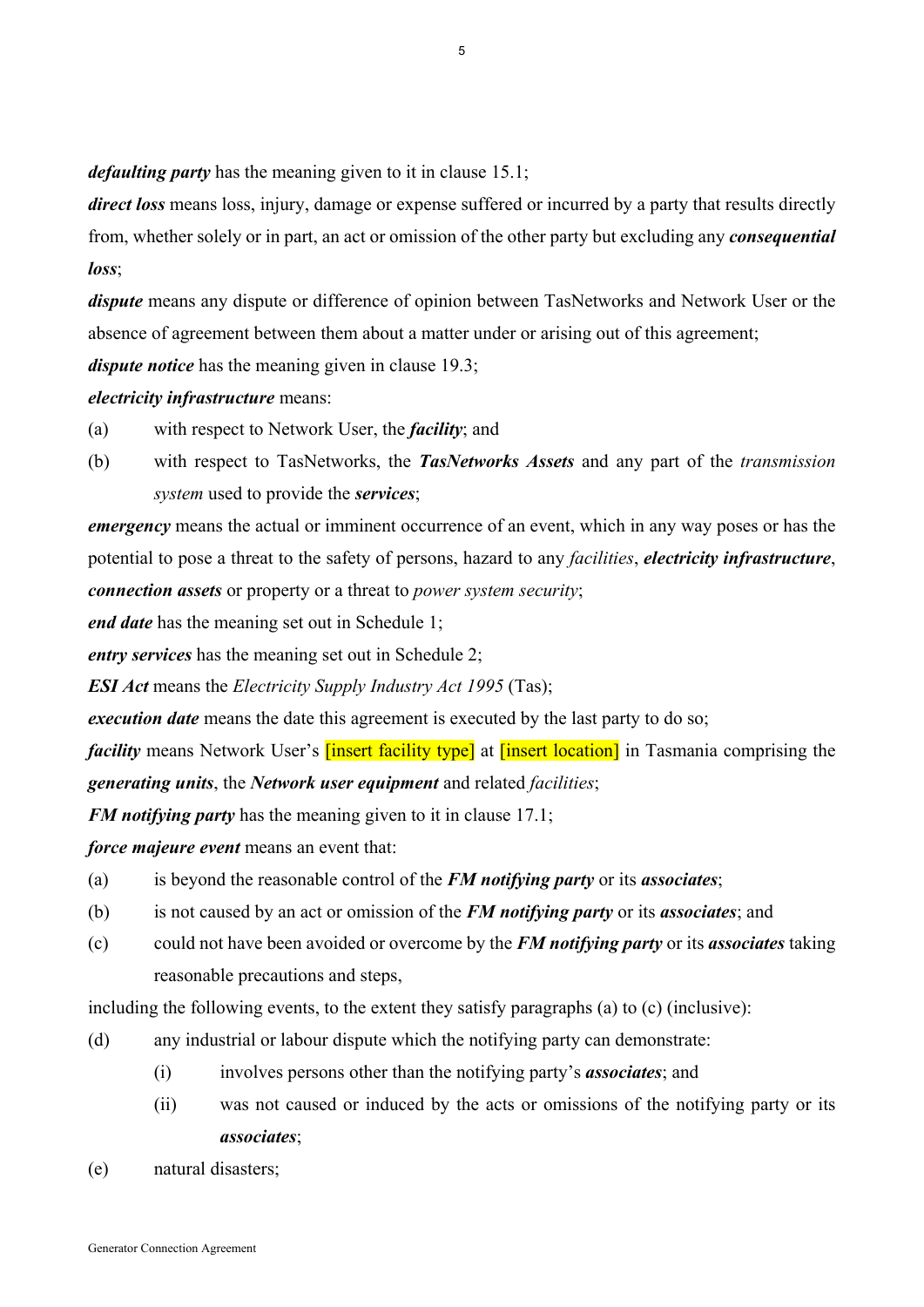*defaulting party* has the meaning given to it in clause 15.1;

*direct loss* means loss, injury, damage or expense suffered or incurred by a party that results directly from, whether solely or in part, an act or omission of the other party but excluding any *consequential loss*;

*dispute* means any dispute or difference of opinion between TasNetworks and Network User or the absence of agreement between them about a matter under or arising out of this agreement;

*dispute notice* has the meaning given in clause 19.3;

*electricity infrastructure* means:

- (a) with respect to Network User, the *facility*; and
- (b) with respect to TasNetworks, the *TasNetworks Assets* and any part of the *transmission system* used to provide the *services*;

*emergency* means the actual or imminent occurrence of an event, which in any way poses or has the potential to pose a threat to the safety of persons, hazard to any *facilities*, *electricity infrastructure*, *connection assets* or property or a threat to *power system security*;

*end date* has the meaning set out in Schedule 1;

*entry services* has the meaning set out in Schedule 2;

*ESI Act* means the *Electricity Supply Industry Act 1995* (Tas);

*execution date* means the date this agreement is executed by the last party to do so;

*facility* means Network User's *[insert facility type]* at *[insert location]* in Tasmania comprising the *generating units*, the *Network user equipment* and related *facilities*;

*FM notifying party* has the meaning given to it in clause 17.1;

*force majeure event* means an event that:

- (a) is beyond the reasonable control of the *FM notifying party* or its *associates*;
- (b) is not caused by an act or omission of the *FM notifying party* or its *associates*; and
- (c) could not have been avoided or overcome by the *FM notifying party* or its *associates* taking reasonable precautions and steps,

including the following events, to the extent they satisfy paragraphs (a) to (c) (inclusive):

- (d) any industrial or labour dispute which the notifying party can demonstrate:
	- (i) involves persons other than the notifying party's *associates*; and
	- (ii) was not caused or induced by the acts or omissions of the notifying party or its *associates*;
- (e) natural disasters;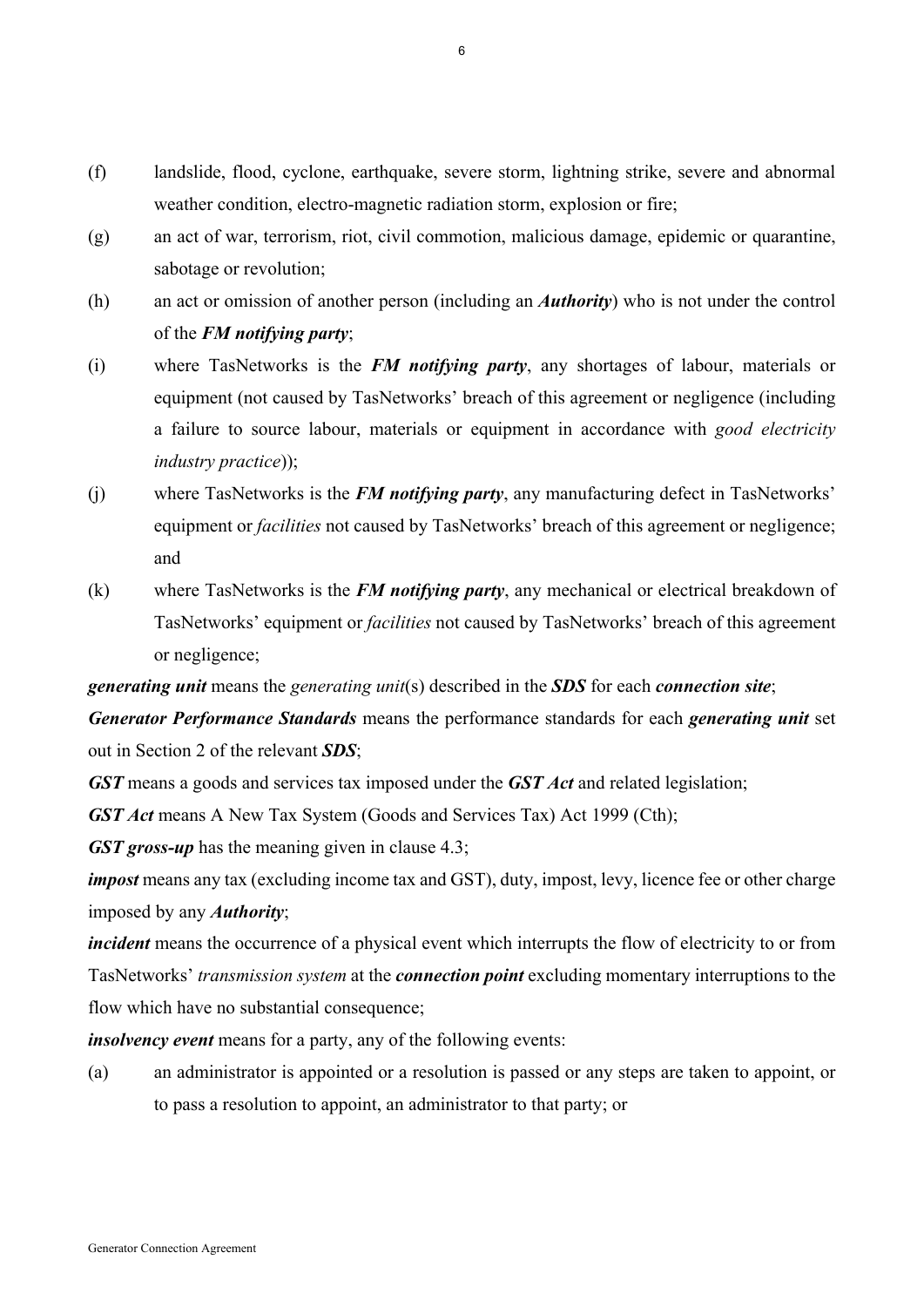- (f) landslide, flood, cyclone, earthquake, severe storm, lightning strike, severe and abnormal weather condition, electro-magnetic radiation storm, explosion or fire;
- (g) an act of war, terrorism, riot, civil commotion, malicious damage, epidemic or quarantine, sabotage or revolution;
- (h) an act or omission of another person (including an *Authority*) who is not under the control of the *FM notifying party*;
- (i) where TasNetworks is the *FM notifying party*, any shortages of labour, materials or equipment (not caused by TasNetworks' breach of this agreement or negligence (including a failure to source labour, materials or equipment in accordance with *good electricity industry practice*));
- (j) where TasNetworks is the *FM notifying party*, any manufacturing defect in TasNetworks' equipment or *facilities* not caused by TasNetworks' breach of this agreement or negligence; and
- (k) where TasNetworks is the *FM notifying party*, any mechanical or electrical breakdown of TasNetworks' equipment or *facilities* not caused by TasNetworks' breach of this agreement or negligence;

*generating unit* means the *generating unit*(s) described in the *SDS* for each *connection site*;

*Generator Performance Standards* means the performance standards for each *generating unit* set out in Section 2 of the relevant *SDS*;

*GST* means a goods and services tax imposed under the *GST Act* and related legislation;

*GST Act* means A New Tax System (Goods and Services Tax) Act 1999 (Cth);

*GST gross-up* has the meaning given in clause 4.3;

*impost* means any tax (excluding income tax and GST), duty, impost, levy, licence fee or other charge imposed by any *Authority*;

*incident* means the occurrence of a physical event which interrupts the flow of electricity to or from TasNetworks' *transmission system* at the *connection point* excluding momentary interruptions to the flow which have no substantial consequence;

*insolvency event* means for a party, any of the following events:

(a) an administrator is appointed or a resolution is passed or any steps are taken to appoint, or to pass a resolution to appoint, an administrator to that party; or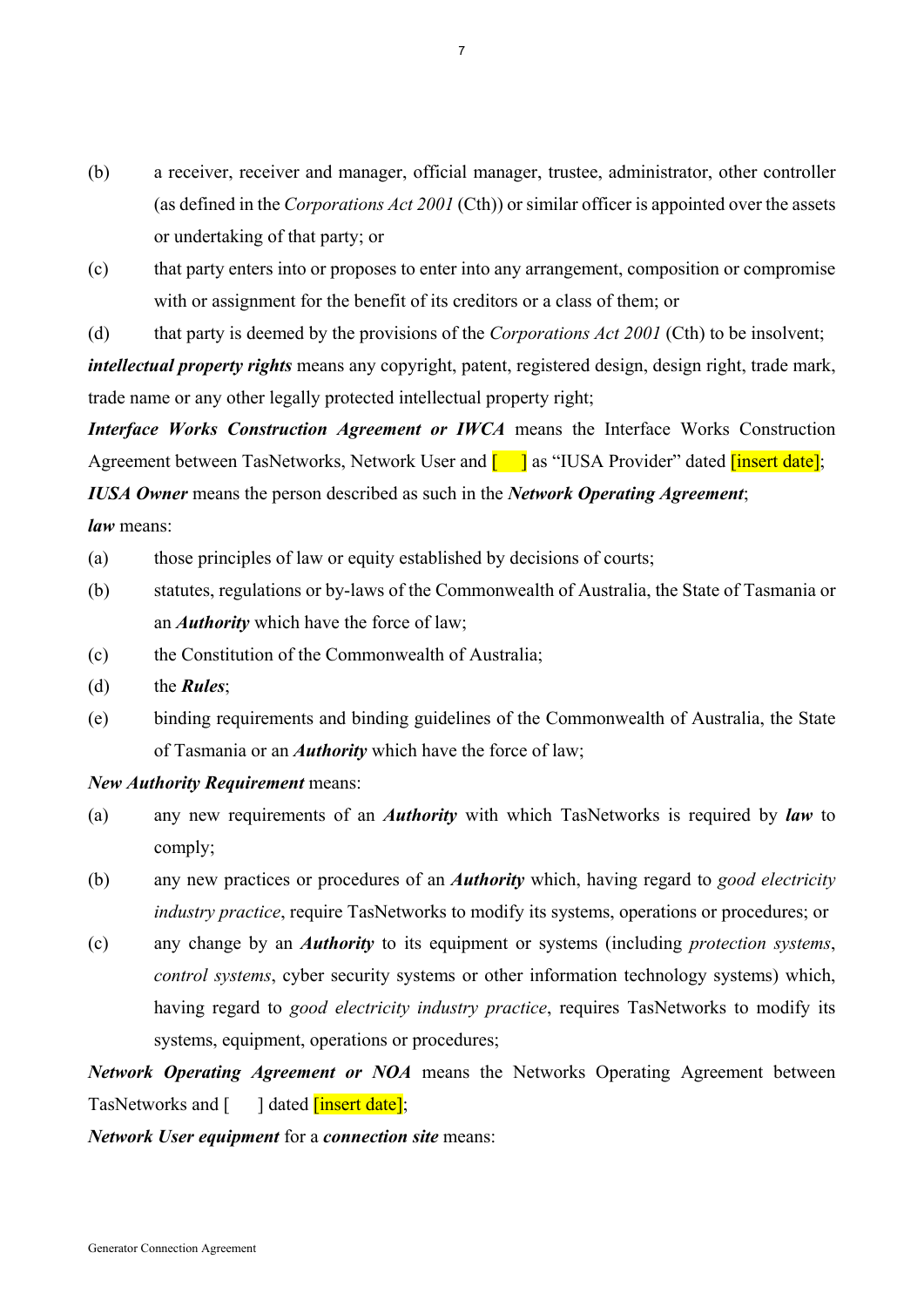- (b) a receiver, receiver and manager, official manager, trustee, administrator, other controller (as defined in the *Corporations Act 2001* (Cth)) or similar officer is appointed over the assets or undertaking of that party; or
- (c) that party enters into or proposes to enter into any arrangement, composition or compromise with or assignment for the benefit of its creditors or a class of them; or
- (d) that party is deemed by the provisions of the *Corporations Act 2001* (Cth) to be insolvent;

*intellectual property rights* means any copyright, patent, registered design, design right, trade mark, trade name or any other legally protected intellectual property right;

*Interface Works Construction Agreement or IWCA* means the Interface Works Construction Agreement between TasNetworks, Network User and  $\begin{bmatrix} 1 \end{bmatrix}$  as "IUSA Provider" dated linsert datel; *IUSA Owner* means the person described as such in the *Network Operating Agreement*;

*law* means:

- (a) those principles of law or equity established by decisions of courts;
- (b) statutes, regulations or by-laws of the Commonwealth of Australia, the State of Tasmania or an *Authority* which have the force of law;
- (c) the Constitution of the Commonwealth of Australia;
- (d) the *Rules*;
- (e) binding requirements and binding guidelines of the Commonwealth of Australia, the State of Tasmania or an *Authority* which have the force of law;

#### *New Authority Requirement* means:

- (a) any new requirements of an *Authority* with which TasNetworks is required by *law* to comply;
- (b) any new practices or procedures of an *Authority* which, having regard to *good electricity industry practice*, require TasNetworks to modify its systems, operations or procedures; or
- (c) any change by an *Authority* to its equipment or systems (including *protection systems*, *control systems*, cyber security systems or other information technology systems) which, having regard to *good electricity industry practice*, requires TasNetworks to modify its systems, equipment, operations or procedures;

*Network Operating Agreement or NOA* means the Networks Operating Agreement between TasNetworks and [ ] dated *[insert date]*;

*Network User equipment* for a *connection site* means: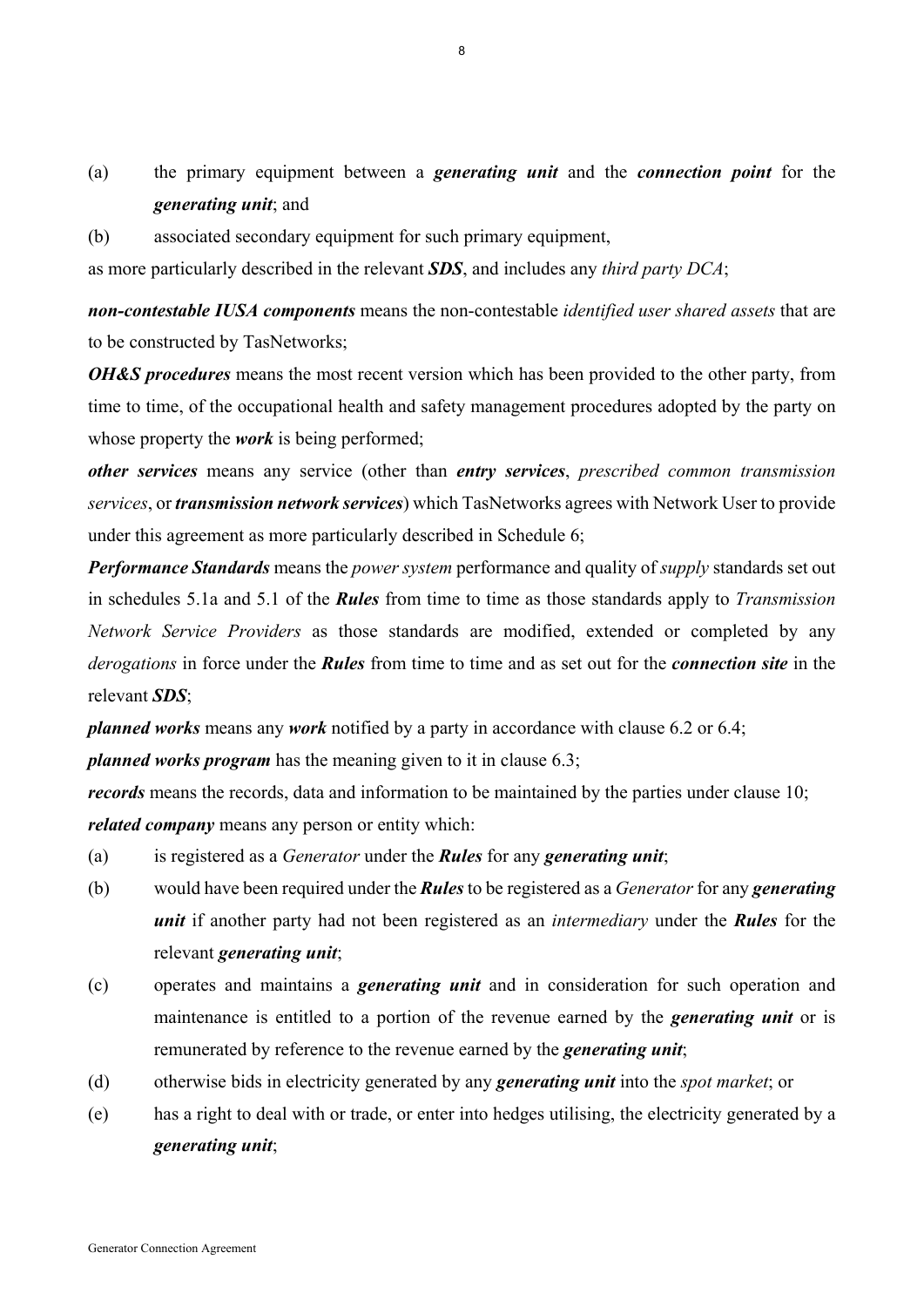- (a) the primary equipment between a *generating unit* and the *connection point* for the *generating unit*; and
- (b) associated secondary equipment for such primary equipment,

as more particularly described in the relevant *SDS*, and includes any *third party DCA*;

*non-contestable IUSA components* means the non-contestable *identified user shared assets* that are to be constructed by TasNetworks;

*OH&S procedures* means the most recent version which has been provided to the other party, from time to time, of the occupational health and safety management procedures adopted by the party on whose property the *work* is being performed;

*other services* means any service (other than *entry services*, *prescribed common transmission services*, or *transmission network services*) which TasNetworks agrees with Network User to provide under this agreement as more particularly described in Schedule 6;

*Performance Standards* means the *power system* performance and quality of *supply* standards set out in schedules 5.1a and 5.1 of the *Rules* from time to time as those standards apply to *Transmission Network Service Providers* as those standards are modified, extended or completed by any *derogations* in force under the *Rules* from time to time and as set out for the *connection site* in the relevant *SDS*;

*planned works* means any *work* notified by a party in accordance with clause 6.2 or 6.4;

*planned works program* has the meaning given to it in clause 6.3;

*records* means the records, data and information to be maintained by the parties under clause 10; *related company* means any person or entity which:

- (a) is registered as a *Generator* under the *Rules* for any *generating unit*;
- (b) would have been required under the *Rules* to be registered as a *Generator* for any *generating unit* if another party had not been registered as an *intermediary* under the *Rules* for the relevant *generating unit*;
- (c) operates and maintains a *generating unit* and in consideration for such operation and maintenance is entitled to a portion of the revenue earned by the *generating unit* or is remunerated by reference to the revenue earned by the *generating unit*;
- (d) otherwise bids in electricity generated by any *generating unit* into the *spot market*; or
- (e) has a right to deal with or trade, or enter into hedges utilising, the electricity generated by a *generating unit*;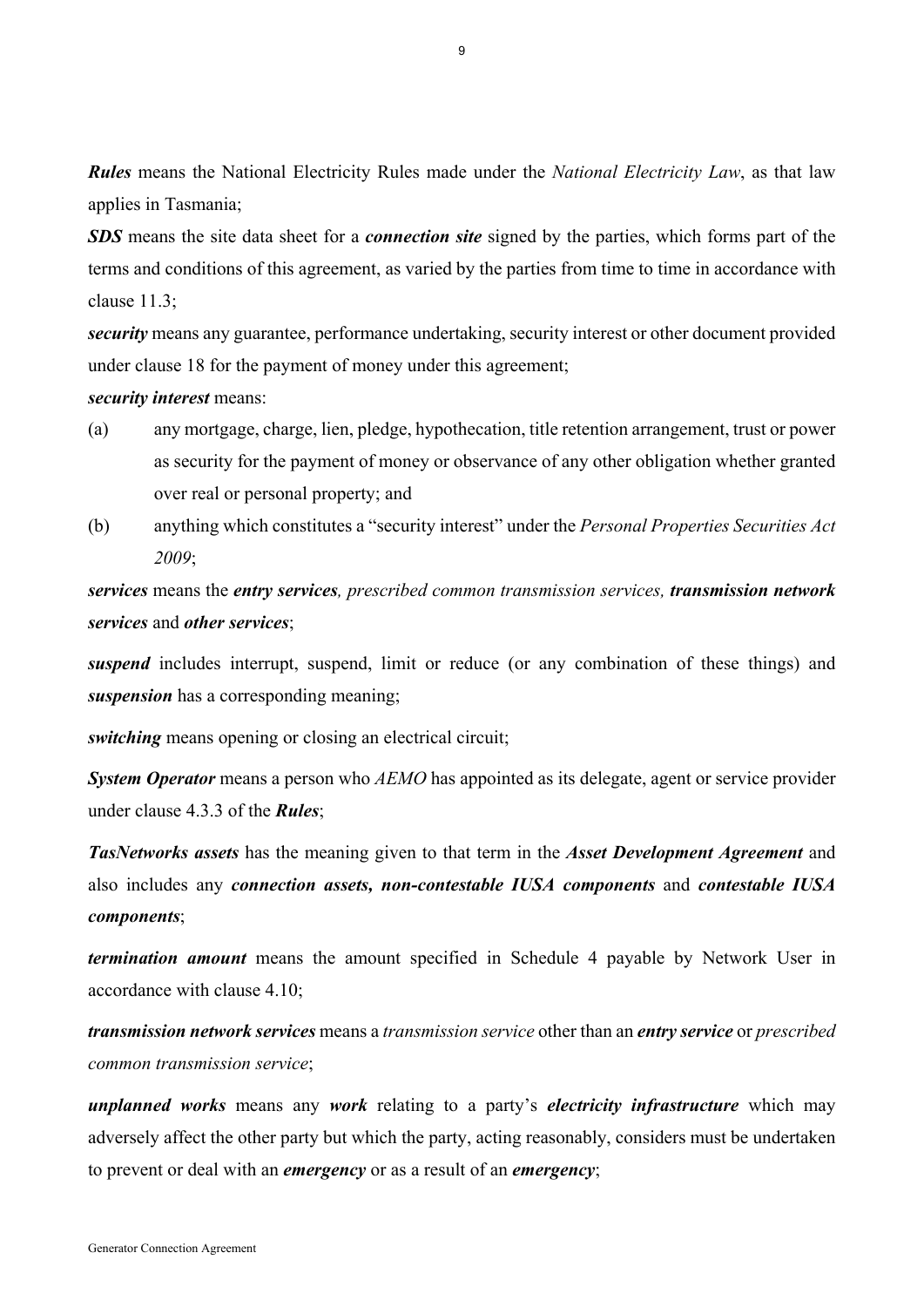*Rules* means the National Electricity Rules made under the *National Electricity Law*, as that law applies in Tasmania;

*SDS* means the site data sheet for a *connection site* signed by the parties, which forms part of the terms and conditions of this agreement, as varied by the parties from time to time in accordance with clause 11.3;

*security* means any guarantee, performance undertaking, security interest or other document provided under clause 18 for the payment of money under this agreement;

*security interest* means:

- (a) any mortgage, charge, lien, pledge, hypothecation, title retention arrangement, trust or power as security for the payment of money or observance of any other obligation whether granted over real or personal property; and
- (b) anything which constitutes a "security interest" under the *Personal Properties Securities Act 2009*;

*services* means the *entry services, prescribed common transmission services, transmission network services* and *other services*;

*suspend* includes interrupt, suspend, limit or reduce (or any combination of these things) and *suspension* has a corresponding meaning;

*switching* means opening or closing an electrical circuit;

*System Operator* means a person who *AEMO* has appointed as its delegate, agent or service provider under clause 4.3.3 of the *Rules*;

*TasNetworks assets* has the meaning given to that term in the *Asset Development Agreement* and also includes any *connection assets, non-contestable IUSA components* and *contestable IUSA components*;

*termination amount* means the amount specified in Schedule 4 payable by Network User in accordance with clause 4.10;

*transmission network services* means a *transmission service* other than an *entry service* or *prescribed common transmission service*;

*unplanned works* means any *work* relating to a party's *electricity infrastructure* which may adversely affect the other party but which the party, acting reasonably, considers must be undertaken to prevent or deal with an *emergency* or as a result of an *emergency*;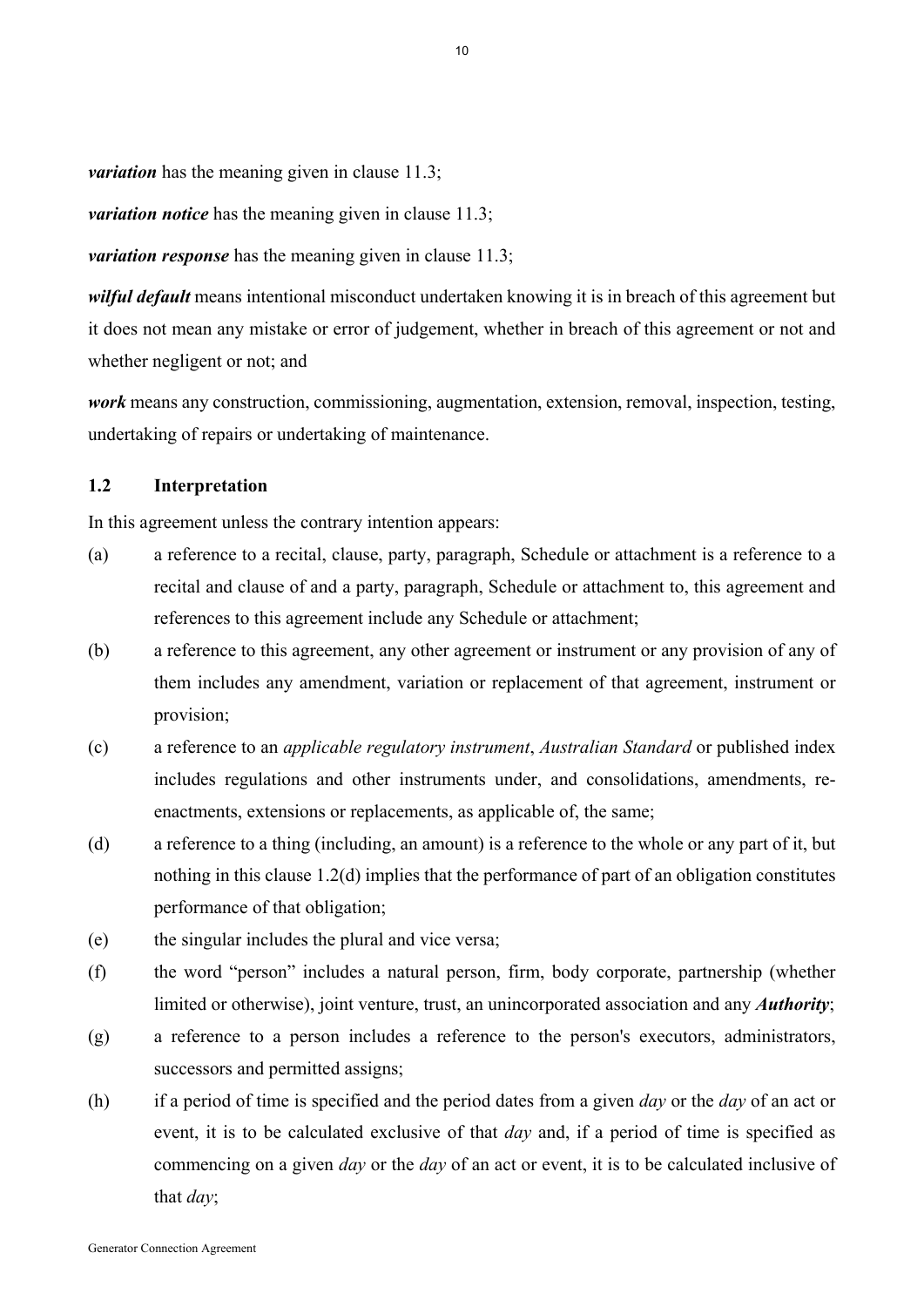*variation* has the meaning given in clause 11.3;

*variation notice* has the meaning given in clause 11.3;

*variation response* has the meaning given in clause 11.3;

*wilful default* means intentional misconduct undertaken knowing it is in breach of this agreement but it does not mean any mistake or error of judgement, whether in breach of this agreement or not and whether negligent or not; and

*work* means any construction, commissioning, augmentation, extension, removal, inspection, testing, undertaking of repairs or undertaking of maintenance.

## **1.2 Interpretation**

In this agreement unless the contrary intention appears:

- (a) a reference to a recital, clause, party, paragraph, Schedule or attachment is a reference to a recital and clause of and a party, paragraph, Schedule or attachment to, this agreement and references to this agreement include any Schedule or attachment;
- (b) a reference to this agreement, any other agreement or instrument or any provision of any of them includes any amendment, variation or replacement of that agreement, instrument or provision;
- (c) a reference to an *applicable regulatory instrument*, *Australian Standard* or published index includes regulations and other instruments under, and consolidations, amendments, reenactments, extensions or replacements, as applicable of, the same;
- (d) a reference to a thing (including, an amount) is a reference to the whole or any part of it, but nothing in this clause 1.2(d) implies that the performance of part of an obligation constitutes performance of that obligation;
- (e) the singular includes the plural and vice versa;
- (f) the word "person" includes a natural person, firm, body corporate, partnership (whether limited or otherwise), joint venture, trust, an unincorporated association and any *Authority*;
- (g) a reference to a person includes a reference to the person's executors, administrators, successors and permitted assigns;
- (h) if a period of time is specified and the period dates from a given *day* or the *day* of an act or event, it is to be calculated exclusive of that *day* and, if a period of time is specified as commencing on a given *day* or the *day* of an act or event, it is to be calculated inclusive of that *day*;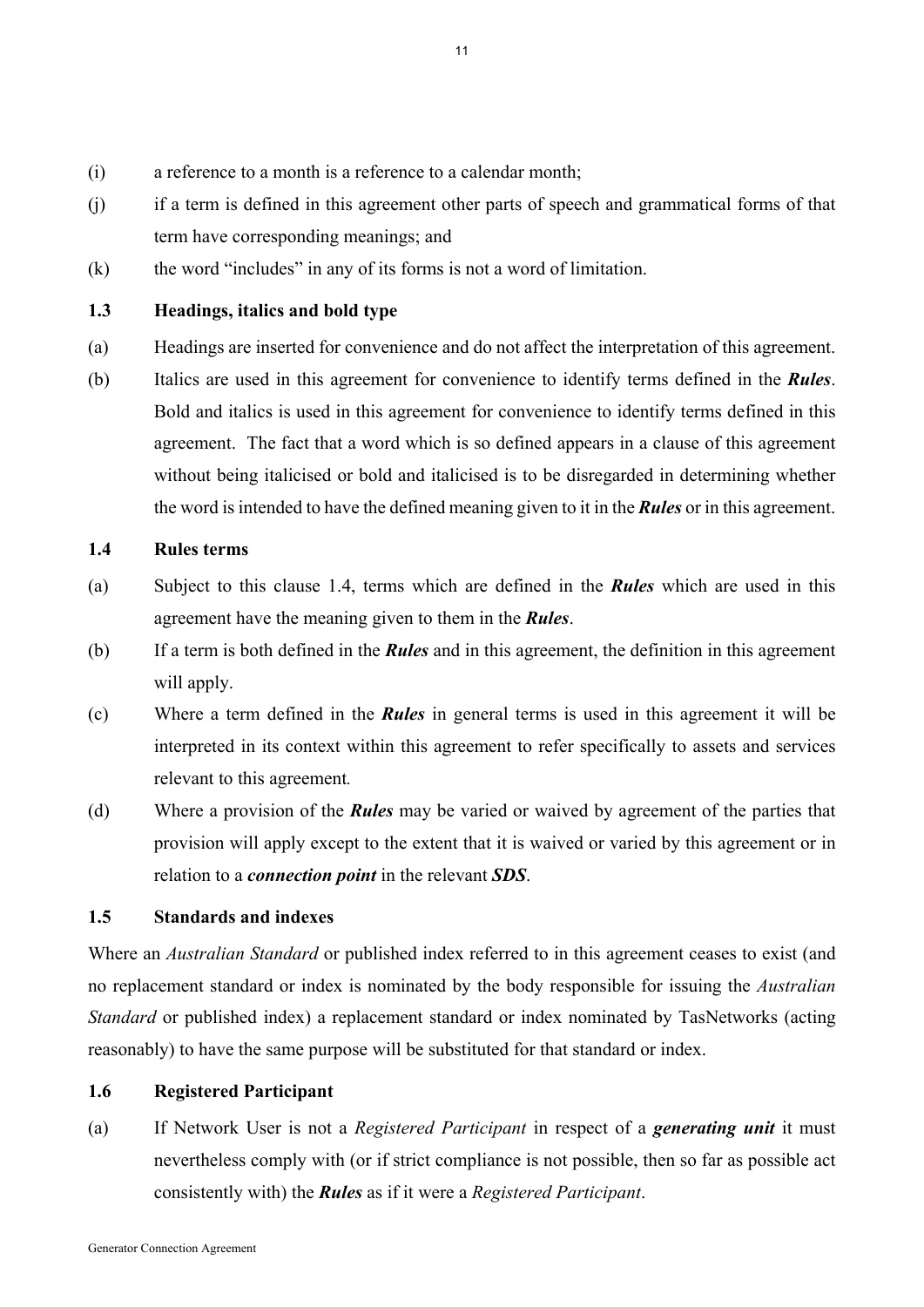- (i) a reference to a month is a reference to a calendar month;
- (j) if a term is defined in this agreement other parts of speech and grammatical forms of that term have corresponding meanings; and
- (k) the word "includes" in any of its forms is not a word of limitation.

## **1.3 Headings, italics and bold type**

- (a) Headings are inserted for convenience and do not affect the interpretation of this agreement.
- (b) Italics are used in this agreement for convenience to identify terms defined in the *Rules*. Bold and italics is used in this agreement for convenience to identify terms defined in this agreement. The fact that a word which is so defined appears in a clause of this agreement without being italicised or bold and italicised is to be disregarded in determining whether the word is intended to have the defined meaning given to it in the *Rules* or in this agreement.

## **1.4 Rules terms**

- (a) Subject to this clause 1.4, terms which are defined in the *Rules* which are used in this agreement have the meaning given to them in the *Rules*.
- (b) If a term is both defined in the *Rules* and in this agreement, the definition in this agreement will apply.
- (c) Where a term defined in the *Rules* in general terms is used in this agreement it will be interpreted in its context within this agreement to refer specifically to assets and services relevant to this agreement*.*
- (d) Where a provision of the *Rules* may be varied or waived by agreement of the parties that provision will apply except to the extent that it is waived or varied by this agreement or in relation to a *connection point* in the relevant *SDS*.

## **1.5 Standards and indexes**

Where an *Australian Standard* or published index referred to in this agreement ceases to exist (and no replacement standard or index is nominated by the body responsible for issuing the *Australian Standard* or published index) a replacement standard or index nominated by TasNetworks (acting reasonably) to have the same purpose will be substituted for that standard or index.

## **1.6 Registered Participant**

(a) If Network User is not a *Registered Participant* in respect of a *generating unit* it must nevertheless comply with (or if strict compliance is not possible, then so far as possible act consistently with) the *Rules* as if it were a *Registered Participant*.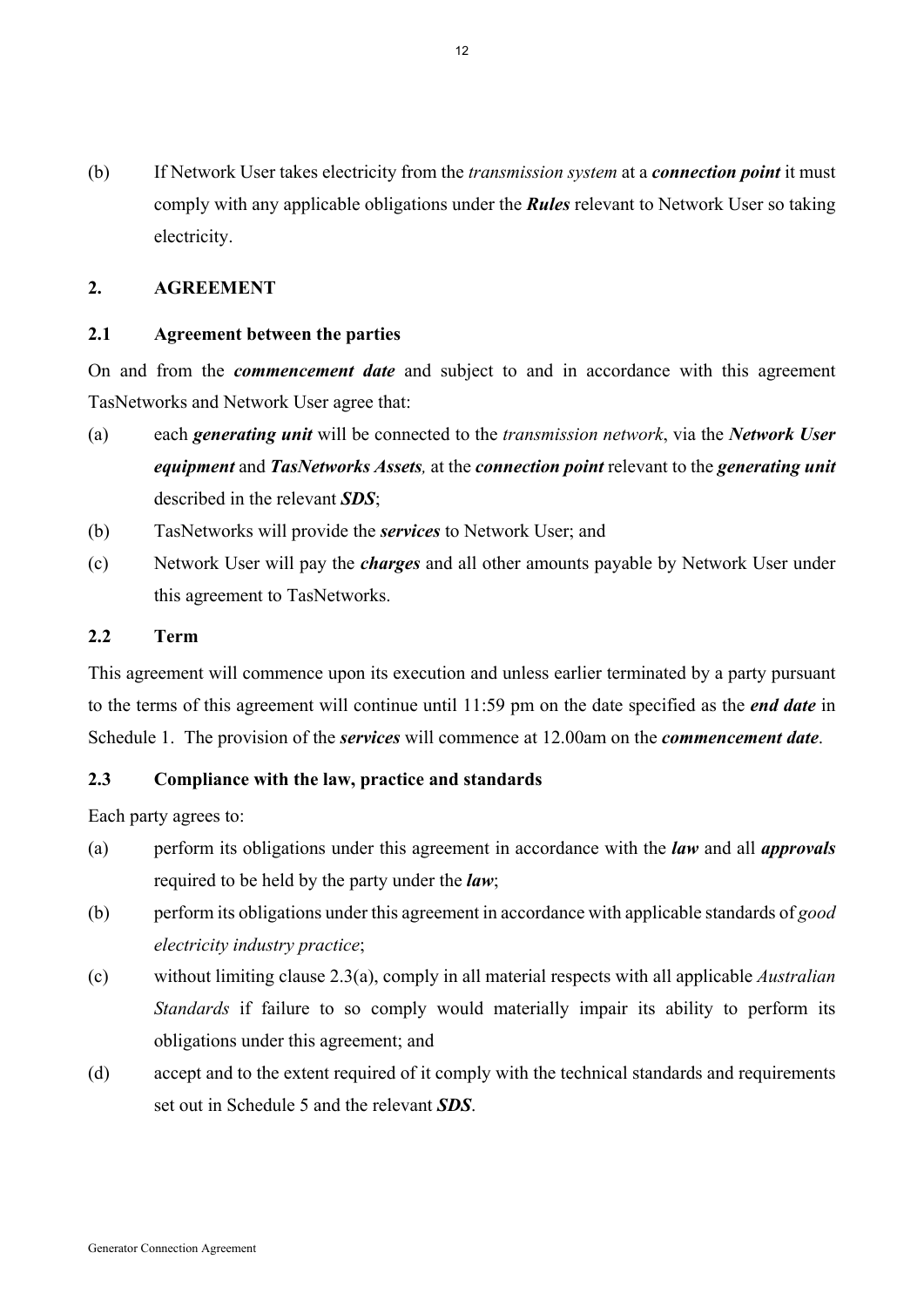(b) If Network User takes electricity from the *transmission system* at a *connection point* it must comply with any applicable obligations under the *Rules* relevant to Network User so taking electricity.

# **2. AGREEMENT**

## **2.1 Agreement between the parties**

On and from the *commencement date* and subject to and in accordance with this agreement TasNetworks and Network User agree that:

- (a) each *generating unit* will be connected to the *transmission network*, via the *Network User equipment* and *TasNetworks Assets,* at the *connection point* relevant to the *generating unit* described in the relevant *SDS*;
- (b) TasNetworks will provide the *services* to Network User; and
- (c) Network User will pay the *charges* and all other amounts payable by Network User under this agreement to TasNetworks.

#### **2.2 Term**

This agreement will commence upon its execution and unless earlier terminated by a party pursuant to the terms of this agreement will continue until 11:59 pm on the date specified as the *end date* in Schedule 1. The provision of the *services* will commence at 12.00am on the *commencement date*.

#### **2.3 Compliance with the law, practice and standards**

Each party agrees to:

- (a) perform its obligations under this agreement in accordance with the *law* and all *approvals* required to be held by the party under the *law*;
- (b) perform its obligations under this agreement in accordance with applicable standards of *good electricity industry practice*;
- (c) without limiting clause 2.3(a), comply in all material respects with all applicable *Australian Standards* if failure to so comply would materially impair its ability to perform its obligations under this agreement; and
- (d) accept and to the extent required of it comply with the technical standards and requirements set out in Schedule 5 and the relevant *SDS*.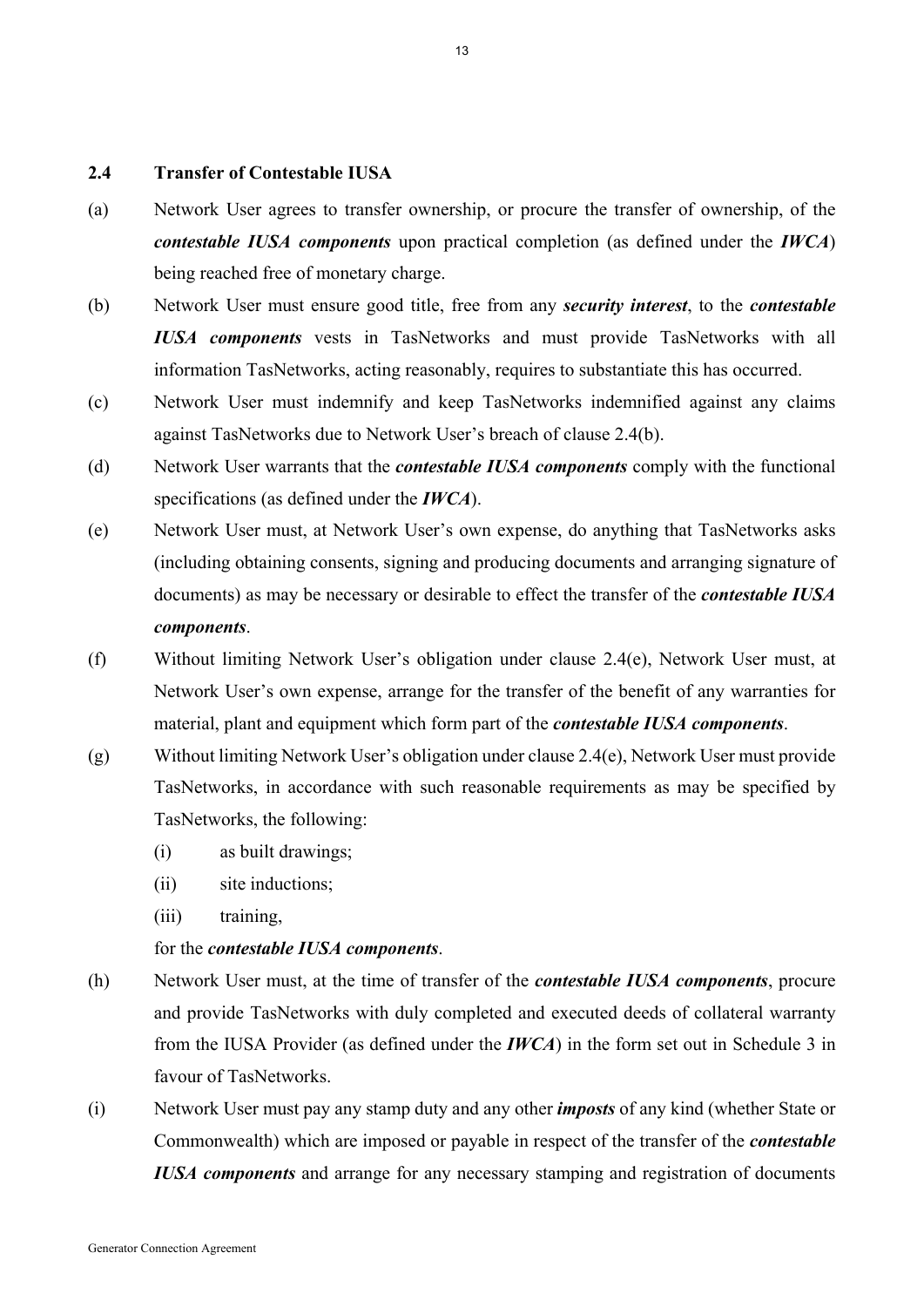## **2.4 Transfer of Contestable IUSA**

- (a) Network User agrees to transfer ownership, or procure the transfer of ownership, of the *contestable IUSA components* upon practical completion (as defined under the *IWCA*) being reached free of monetary charge.
- (b) Network User must ensure good title, free from any *security interest*, to the *contestable IUSA components* vests in TasNetworks and must provide TasNetworks with all information TasNetworks, acting reasonably, requires to substantiate this has occurred.
- (c) Network User must indemnify and keep TasNetworks indemnified against any claims against TasNetworks due to Network User's breach of clause 2.4(b).
- (d) Network User warrants that the *contestable IUSA components* comply with the functional specifications (as defined under the *IWCA*).
- (e) Network User must, at Network User's own expense, do anything that TasNetworks asks (including obtaining consents, signing and producing documents and arranging signature of documents) as may be necessary or desirable to effect the transfer of the *contestable IUSA components*.
- (f) Without limiting Network User's obligation under clause 2.4(e), Network User must, at Network User's own expense, arrange for the transfer of the benefit of any warranties for material, plant and equipment which form part of the *contestable IUSA components*.
- (g) Without limiting Network User's obligation under clause 2.4(e), Network User must provide TasNetworks, in accordance with such reasonable requirements as may be specified by TasNetworks, the following:
	- (i) as built drawings;
	- (ii) site inductions;
	- (iii) training,

#### for the *contestable IUSA components*.

- (h) Network User must, at the time of transfer of the *contestable IUSA components*, procure and provide TasNetworks with duly completed and executed deeds of collateral warranty from the IUSA Provider (as defined under the *IWCA*) in the form set out in Schedule 3 in favour of TasNetworks.
- (i) Network User must pay any stamp duty and any other *imposts* of any kind (whether State or Commonwealth) which are imposed or payable in respect of the transfer of the *contestable IUSA components* and arrange for any necessary stamping and registration of documents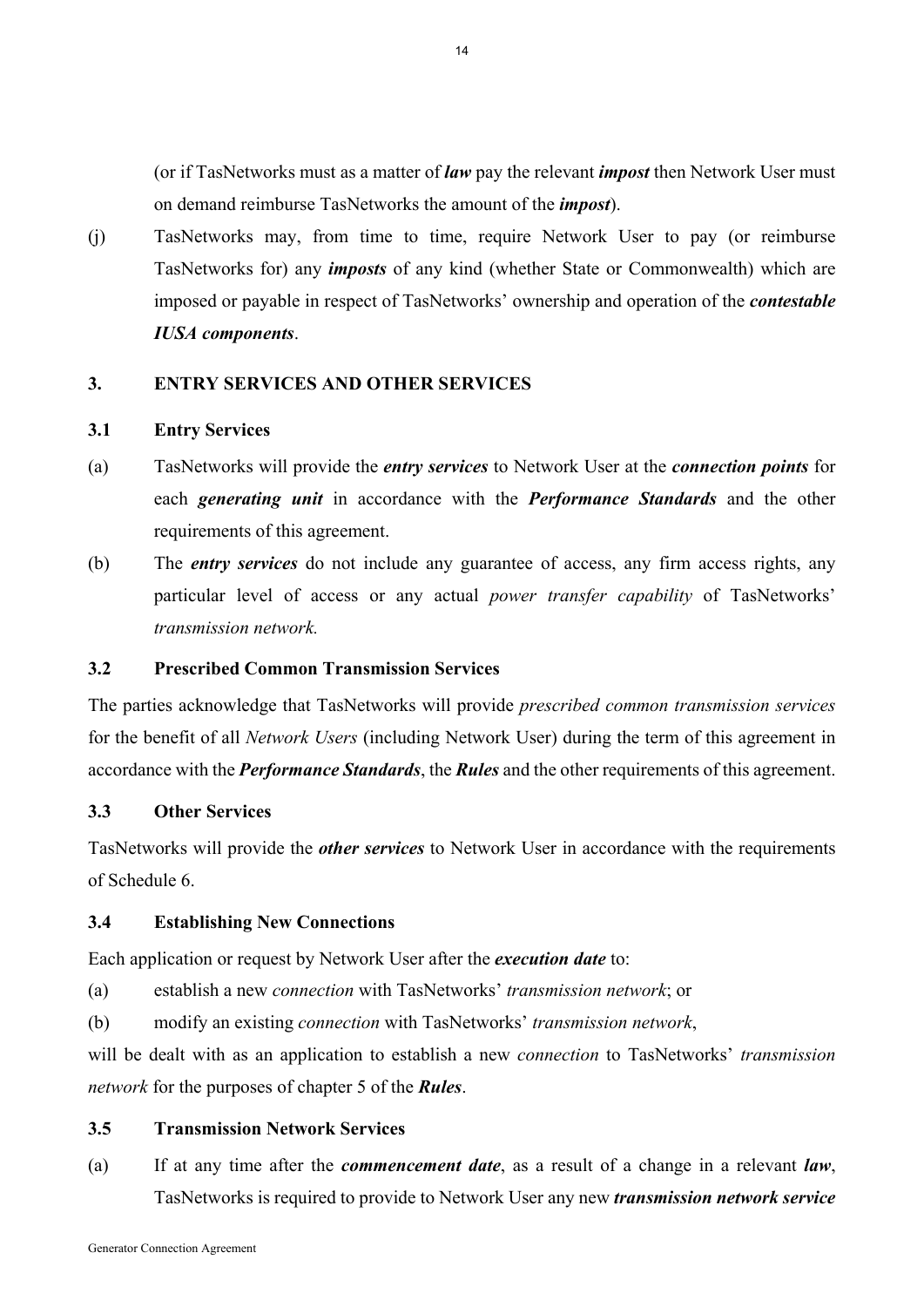(or if TasNetworks must as a matter of *law* pay the relevant *impost* then Network User must on demand reimburse TasNetworks the amount of the *impost*).

(j) TasNetworks may, from time to time, require Network User to pay (or reimburse TasNetworks for) any *imposts* of any kind (whether State or Commonwealth) which are imposed or payable in respect of TasNetworks' ownership and operation of the *contestable IUSA components*.

## **3. ENTRY SERVICES AND OTHER SERVICES**

#### **3.1 Entry Services**

- (a) TasNetworks will provide the *entry services* to Network User at the *connection points* for each *generating unit* in accordance with the *Performance Standards* and the other requirements of this agreement.
- (b) The *entry services* do not include any guarantee of access, any firm access rights, any particular level of access or any actual *power transfer capability* of TasNetworks' *transmission network.*

#### **3.2 Prescribed Common Transmission Services**

The parties acknowledge that TasNetworks will provide *prescribed common transmission services* for the benefit of all *Network Users* (including Network User) during the term of this agreement in accordance with the *Performance Standards*, the *Rules* and the other requirements of this agreement.

#### **3.3 Other Services**

TasNetworks will provide the *other services* to Network User in accordance with the requirements of Schedule 6.

#### **3.4 Establishing New Connections**

Each application or request by Network User after the *execution date* to:

(a) establish a new *connection* with TasNetworks' *transmission network*; or

(b) modify an existing *connection* with TasNetworks' *transmission network*,

will be dealt with as an application to establish a new *connection* to TasNetworks' *transmission network* for the purposes of chapter 5 of the *Rules*.

#### **3.5 Transmission Network Services**

(a) If at any time after the *commencement date*, as a result of a change in a relevant *law*, TasNetworks is required to provide to Network User any new *transmission network service*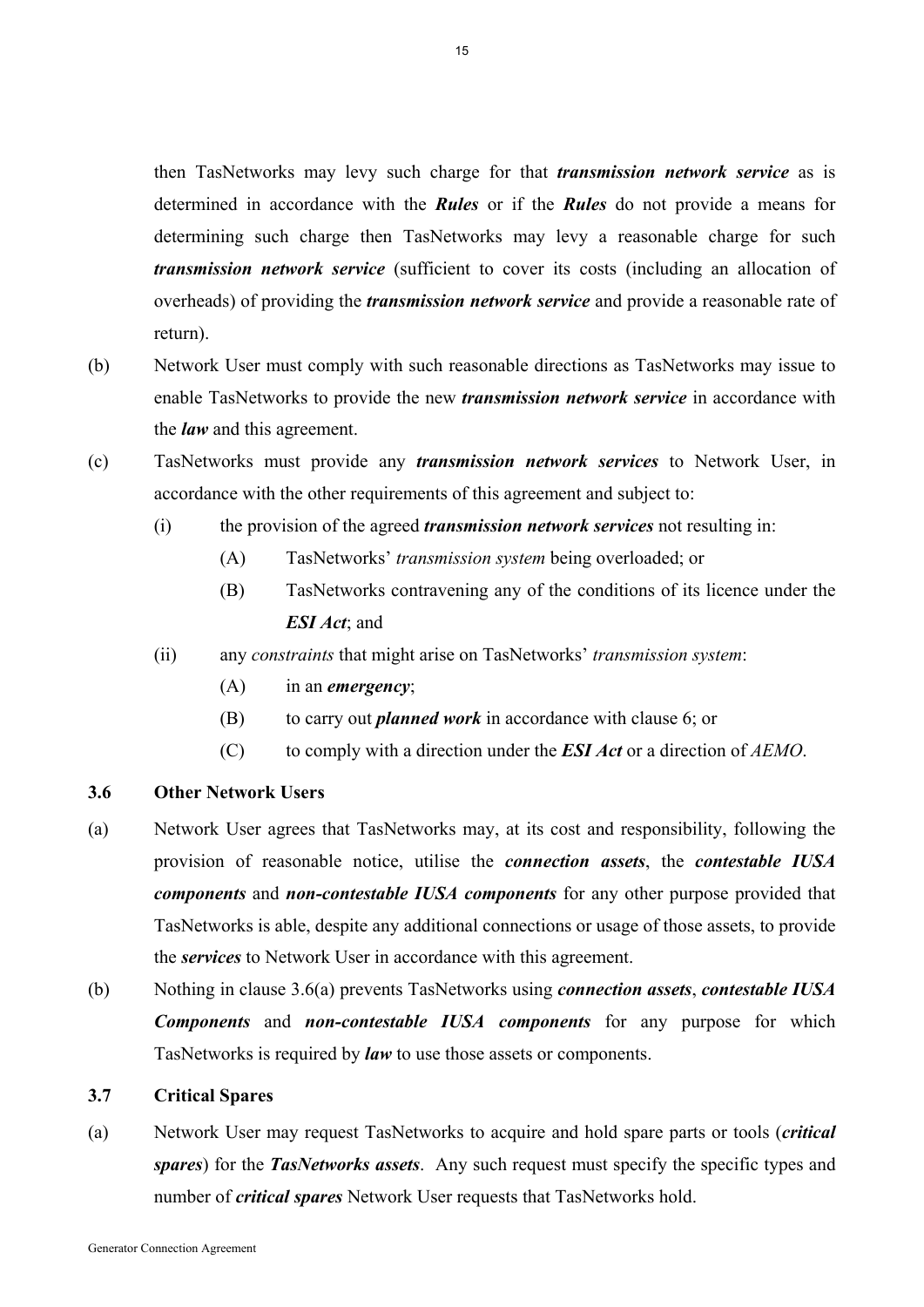then TasNetworks may levy such charge for that *transmission network service* as is determined in accordance with the *Rules* or if the *Rules* do not provide a means for determining such charge then TasNetworks may levy a reasonable charge for such *transmission network service* (sufficient to cover its costs (including an allocation of overheads) of providing the *transmission network service* and provide a reasonable rate of return).

- (b) Network User must comply with such reasonable directions as TasNetworks may issue to enable TasNetworks to provide the new *transmission network service* in accordance with the *law* and this agreement.
- (c) TasNetworks must provide any *transmission network services* to Network User, in accordance with the other requirements of this agreement and subject to:
	- (i) the provision of the agreed *transmission network services* not resulting in:
		- (A) TasNetworks' *transmission system* being overloaded; or
		- (B) TasNetworks contravening any of the conditions of its licence under the *ESI Act*; and
	- (ii) any *constraints* that might arise on TasNetworks' *transmission system*:
		- (A) in an *emergency*;
		- (B) to carry out *planned work* in accordance with clause 6; or
		- (C) to comply with a direction under the *ESI Act* or a direction of *AEMO*.

## **3.6 Other Network Users**

- (a) Network User agrees that TasNetworks may, at its cost and responsibility, following the provision of reasonable notice, utilise the *connection assets*, the *contestable IUSA components* and *non-contestable IUSA components* for any other purpose provided that TasNetworks is able, despite any additional connections or usage of those assets, to provide the *services* to Network User in accordance with this agreement.
- (b) Nothing in clause 3.6(a) prevents TasNetworks using *connection assets*, *contestable IUSA Components* and *non-contestable IUSA components* for any purpose for which TasNetworks is required by *law* to use those assets or components.

## **3.7 Critical Spares**

(a) Network User may request TasNetworks to acquire and hold spare parts or tools (*critical spares*) for the *TasNetworks assets*. Any such request must specify the specific types and number of *critical spares* Network User requests that TasNetworks hold.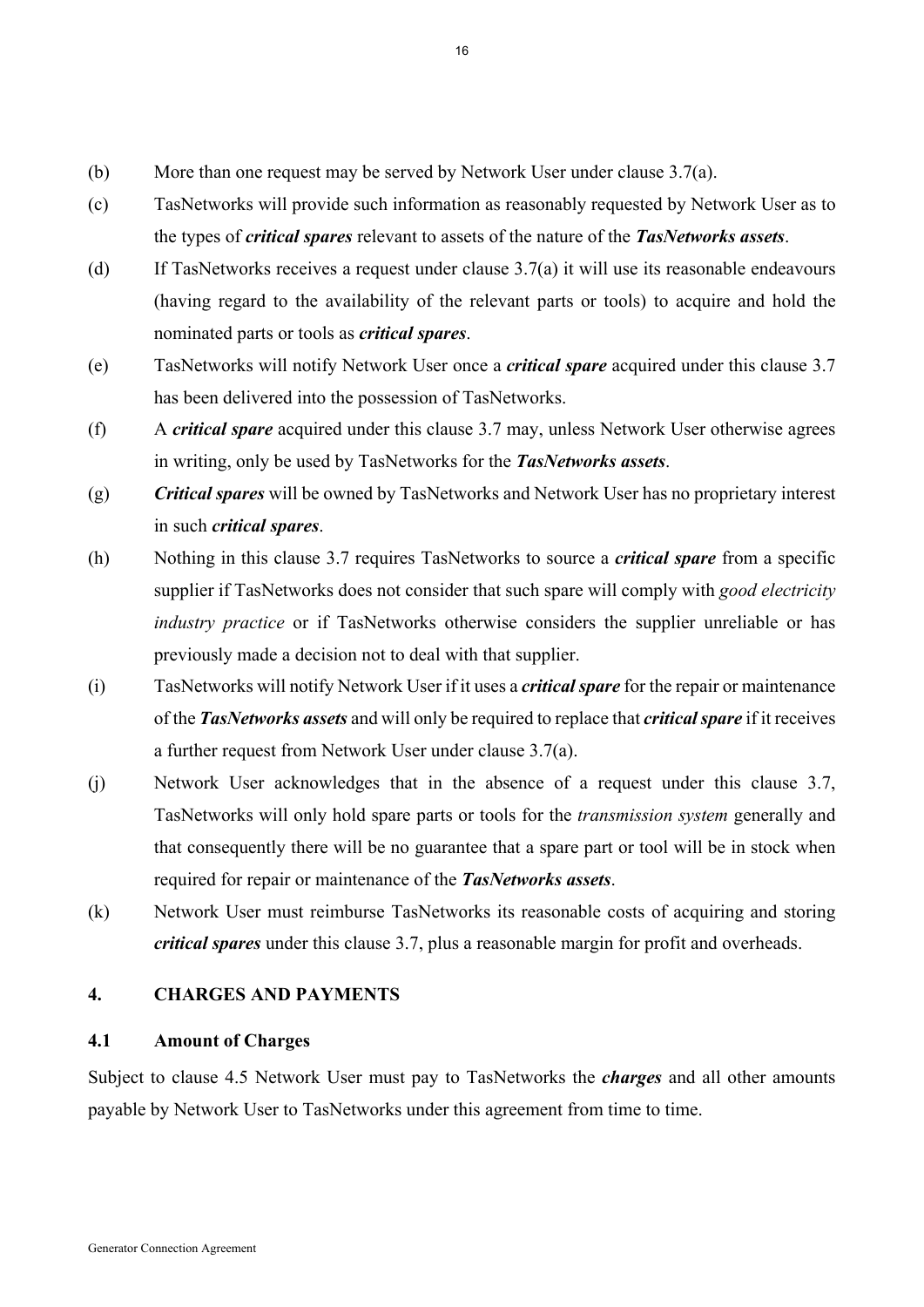- (b) More than one request may be served by Network User under clause 3.7(a).
- (c) TasNetworks will provide such information as reasonably requested by Network User as to the types of *critical spares* relevant to assets of the nature of the *TasNetworks assets*.
- (d) If TasNetworks receives a request under clause 3.7(a) it will use its reasonable endeavours (having regard to the availability of the relevant parts or tools) to acquire and hold the nominated parts or tools as *critical spares*.
- (e) TasNetworks will notify Network User once a *critical spare* acquired under this clause 3.7 has been delivered into the possession of TasNetworks.
- (f) A *critical spare* acquired under this clause 3.7 may, unless Network User otherwise agrees in writing, only be used by TasNetworks for the *TasNetworks assets*.
- (g) *Critical spares* will be owned by TasNetworks and Network User has no proprietary interest in such *critical spares*.
- (h) Nothing in this clause 3.7 requires TasNetworks to source a *critical spare* from a specific supplier if TasNetworks does not consider that such spare will comply with *good electricity industry practice* or if TasNetworks otherwise considers the supplier unreliable or has previously made a decision not to deal with that supplier.
- (i) TasNetworks will notify Network User if it uses a *critical spare* for the repair or maintenance of the *TasNetworks assets* and will only be required to replace that *critical spare* if it receives a further request from Network User under clause 3.7(a).
- (j) Network User acknowledges that in the absence of a request under this clause 3.7, TasNetworks will only hold spare parts or tools for the *transmission system* generally and that consequently there will be no guarantee that a spare part or tool will be in stock when required for repair or maintenance of the *TasNetworks assets*.
- (k) Network User must reimburse TasNetworks its reasonable costs of acquiring and storing *critical spares* under this clause 3.7, plus a reasonable margin for profit and overheads.

## **4. CHARGES AND PAYMENTS**

#### **4.1 Amount of Charges**

Subject to clause 4.5 Network User must pay to TasNetworks the *charges* and all other amounts payable by Network User to TasNetworks under this agreement from time to time.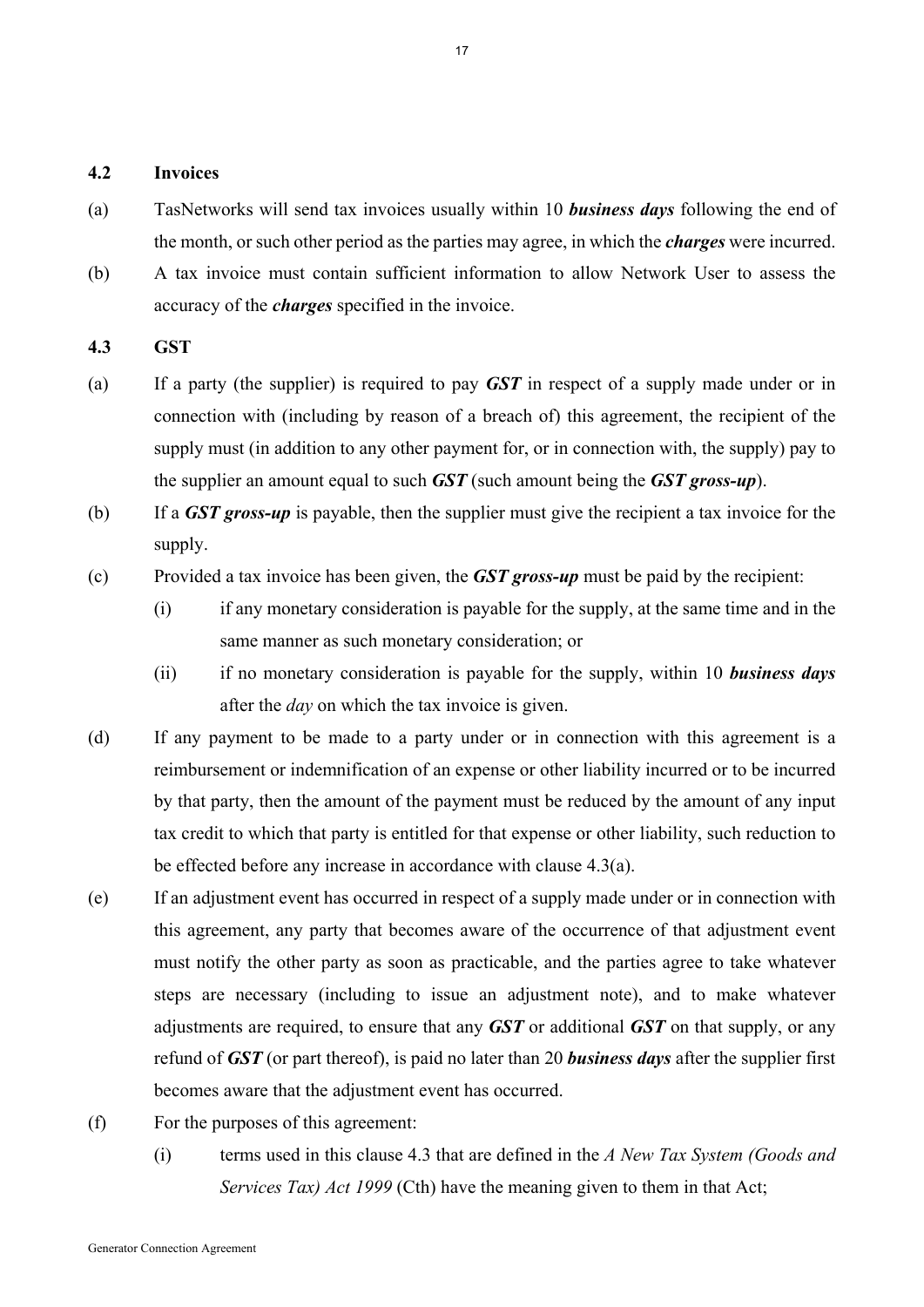#### **4.2 Invoices**

- (a) TasNetworks will send tax invoices usually within 10 *business days* following the end of the month, or such other period as the parties may agree, in which the *charges* were incurred.
- (b) A tax invoice must contain sufficient information to allow Network User to assess the accuracy of the *charges* specified in the invoice.

#### **4.3 GST**

- (a) If a party (the supplier) is required to pay *GST* in respect of a supply made under or in connection with (including by reason of a breach of) this agreement, the recipient of the supply must (in addition to any other payment for, or in connection with, the supply) pay to the supplier an amount equal to such *GST* (such amount being the *GST gross-up*).
- (b) If a *GST gross-up* is payable, then the supplier must give the recipient a tax invoice for the supply.
- (c) Provided a tax invoice has been given, the *GST gross-up* must be paid by the recipient:
	- (i) if any monetary consideration is payable for the supply, at the same time and in the same manner as such monetary consideration; or
	- (ii) if no monetary consideration is payable for the supply, within 10 *business days* after the *day* on which the tax invoice is given.
- (d) If any payment to be made to a party under or in connection with this agreement is a reimbursement or indemnification of an expense or other liability incurred or to be incurred by that party, then the amount of the payment must be reduced by the amount of any input tax credit to which that party is entitled for that expense or other liability, such reduction to be effected before any increase in accordance with clause 4.3(a).
- (e) If an adjustment event has occurred in respect of a supply made under or in connection with this agreement, any party that becomes aware of the occurrence of that adjustment event must notify the other party as soon as practicable, and the parties agree to take whatever steps are necessary (including to issue an adjustment note), and to make whatever adjustments are required, to ensure that any *GST* or additional *GST* on that supply, or any refund of *GST* (or part thereof), is paid no later than 20 *business days* after the supplier first becomes aware that the adjustment event has occurred.
- (f) For the purposes of this agreement:
	- (i) terms used in this clause 4.3 that are defined in the *A New Tax System (Goods and Services Tax) Act 1999* (Cth) have the meaning given to them in that Act;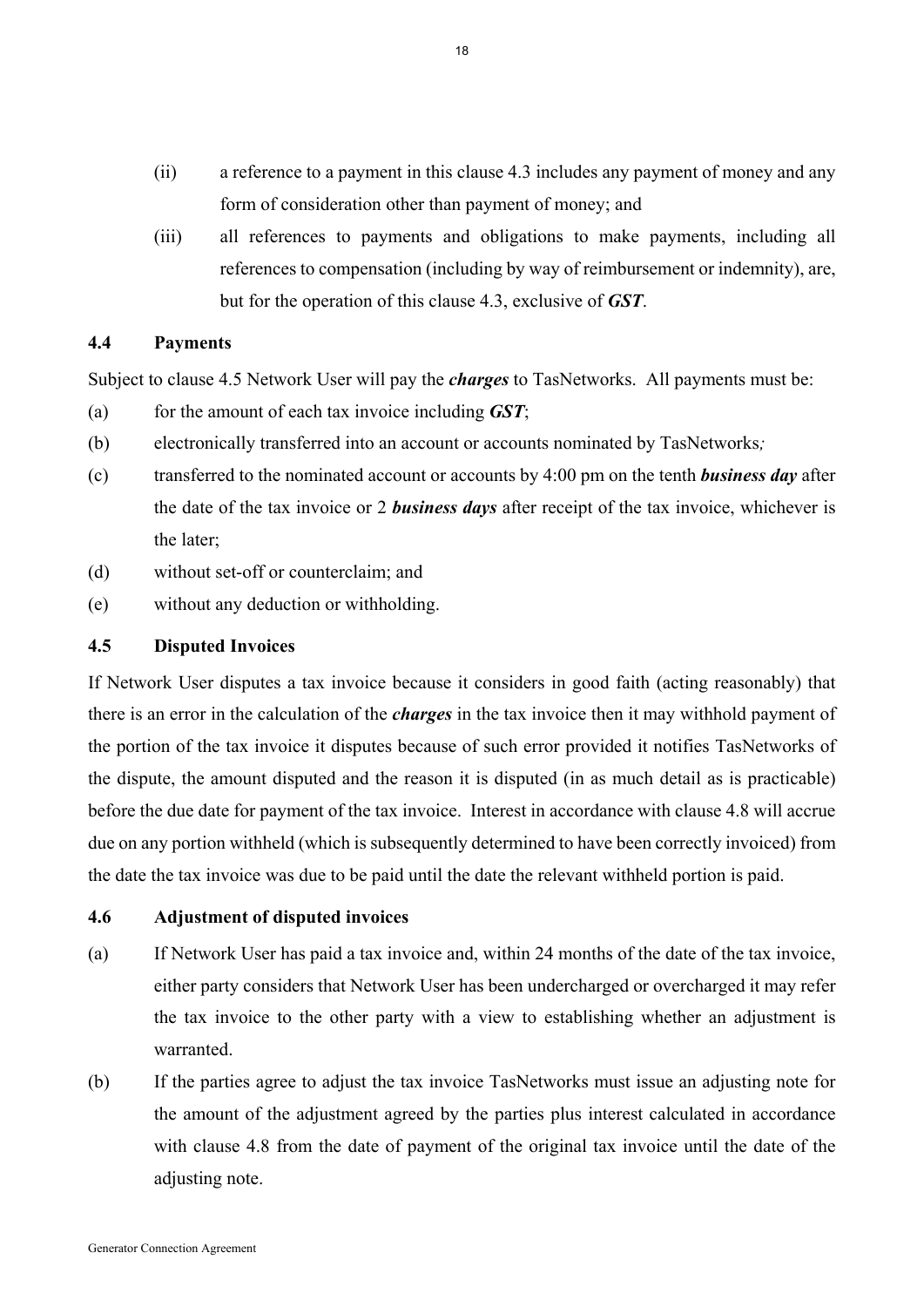- (ii) a reference to a payment in this clause 4.3 includes any payment of money and any form of consideration other than payment of money; and
- (iii) all references to payments and obligations to make payments, including all references to compensation (including by way of reimbursement or indemnity), are, but for the operation of this clause 4.3, exclusive of *GST*.

#### **4.4 Payments**

Subject to clause 4.5 Network User will pay the *charges* to TasNetworks. All payments must be:

- (a) for the amount of each tax invoice including *GST*;
- (b) electronically transferred into an account or accounts nominated by TasNetworks*;*
- (c) transferred to the nominated account or accounts by 4:00 pm on the tenth *business day* after the date of the tax invoice or 2 *business days* after receipt of the tax invoice, whichever is the later;
- (d) without set-off or counterclaim; and
- (e) without any deduction or withholding.

#### **4.5 Disputed Invoices**

If Network User disputes a tax invoice because it considers in good faith (acting reasonably) that there is an error in the calculation of the *charges* in the tax invoice then it may withhold payment of the portion of the tax invoice it disputes because of such error provided it notifies TasNetworks of the dispute, the amount disputed and the reason it is disputed (in as much detail as is practicable) before the due date for payment of the tax invoice. Interest in accordance with clause 4.8 will accrue due on any portion withheld (which is subsequently determined to have been correctly invoiced) from the date the tax invoice was due to be paid until the date the relevant withheld portion is paid.

## **4.6 Adjustment of disputed invoices**

- (a) If Network User has paid a tax invoice and, within 24 months of the date of the tax invoice, either party considers that Network User has been undercharged or overcharged it may refer the tax invoice to the other party with a view to establishing whether an adjustment is warranted.
- (b) If the parties agree to adjust the tax invoice TasNetworks must issue an adjusting note for the amount of the adjustment agreed by the parties plus interest calculated in accordance with clause 4.8 from the date of payment of the original tax invoice until the date of the adjusting note.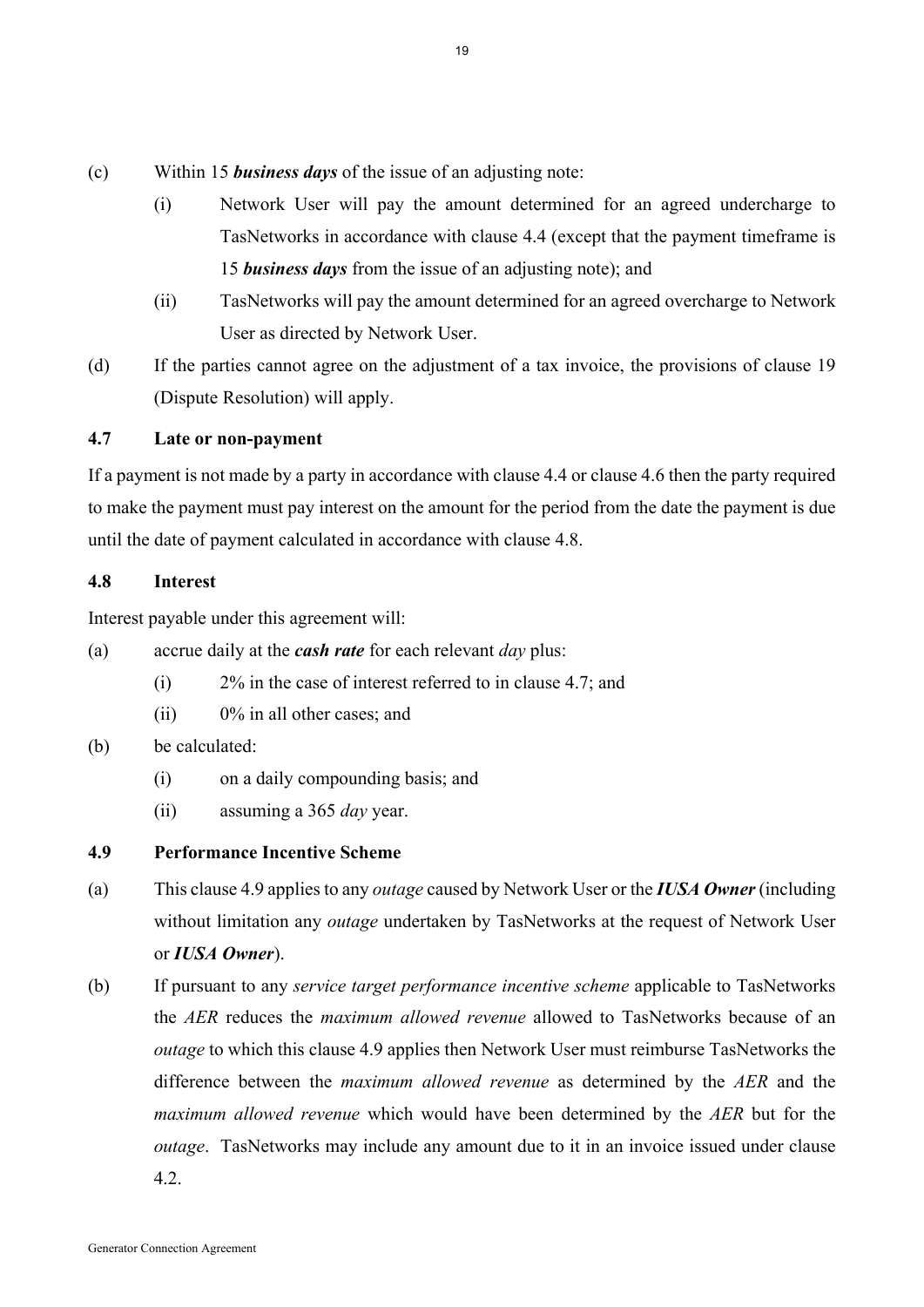- (c) Within 15 *business days* of the issue of an adjusting note:
	- (i) Network User will pay the amount determined for an agreed undercharge to TasNetworks in accordance with clause 4.4 (except that the payment timeframe is 15 *business days* from the issue of an adjusting note); and
	- (ii) TasNetworks will pay the amount determined for an agreed overcharge to Network User as directed by Network User.
- (d) If the parties cannot agree on the adjustment of a tax invoice, the provisions of clause 19 (Dispute Resolution) will apply.

## **4.7 Late or non-payment**

If a payment is not made by a party in accordance with clause 4.4 or clause 4.6 then the party required to make the payment must pay interest on the amount for the period from the date the payment is due until the date of payment calculated in accordance with clause 4.8.

## **4.8 Interest**

Interest payable under this agreement will:

- (a) accrue daily at the *cash rate* for each relevant *day* plus:
	- (i) 2% in the case of interest referred to in clause 4.7; and
	- (ii) 0% in all other cases; and

# (b) be calculated:

- (i) on a daily compounding basis; and
- (ii) assuming a 365 *day* year.
- **4.9 Performance Incentive Scheme**
- (a) This clause 4.9 applies to any *outage* caused by Network User or the *IUSA Owner* (including without limitation any *outage* undertaken by TasNetworks at the request of Network User or *IUSA Owner*).
- (b) If pursuant to any *service target performance incentive scheme* applicable to TasNetworks the *AER* reduces the *maximum allowed revenue* allowed to TasNetworks because of an *outage* to which this clause 4.9 applies then Network User must reimburse TasNetworks the difference between the *maximum allowed revenue* as determined by the *AER* and the *maximum allowed revenue* which would have been determined by the *AER* but for the *outage*. TasNetworks may include any amount due to it in an invoice issued under clause 4.2.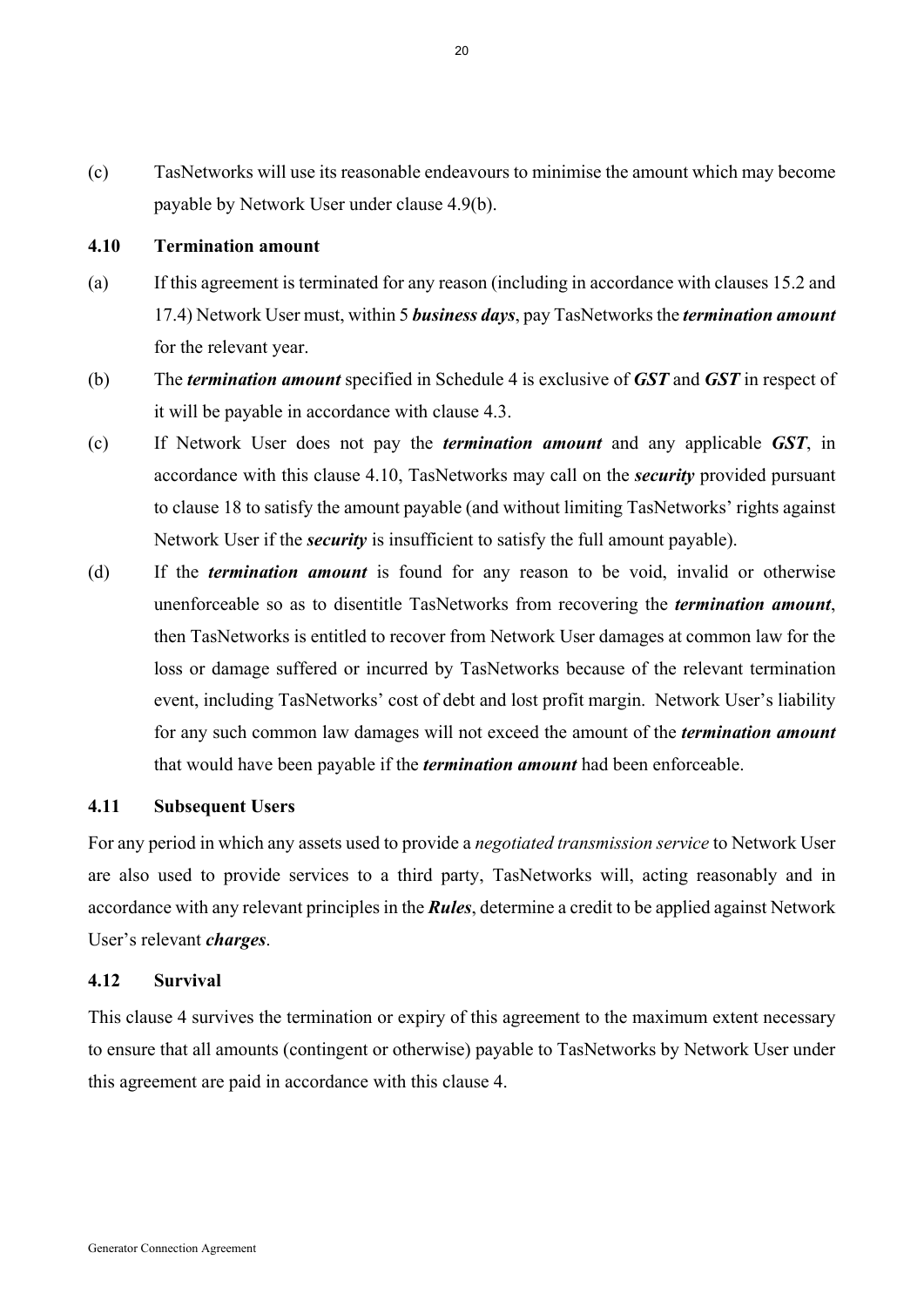(c) TasNetworks will use its reasonable endeavours to minimise the amount which may become payable by Network User under clause 4.9(b).

#### **4.10 Termination amount**

- (a) If this agreement is terminated for any reason (including in accordance with clauses 15.2 and 17.4) Network User must, within 5 *business days*, pay TasNetworks the *termination amount* for the relevant year.
- (b) The *termination amount* specified in Schedule 4 is exclusive of *GST* and *GST* in respect of it will be payable in accordance with clause 4.3.
- (c) If Network User does not pay the *termination amount* and any applicable *GST*, in accordance with this clause 4.10, TasNetworks may call on the *security* provided pursuant to clause 18 to satisfy the amount payable (and without limiting TasNetworks' rights against Network User if the *security* is insufficient to satisfy the full amount payable).
- (d) If the *termination amount* is found for any reason to be void, invalid or otherwise unenforceable so as to disentitle TasNetworks from recovering the *termination amount*, then TasNetworks is entitled to recover from Network User damages at common law for the loss or damage suffered or incurred by TasNetworks because of the relevant termination event, including TasNetworks' cost of debt and lost profit margin. Network User's liability for any such common law damages will not exceed the amount of the *termination amount* that would have been payable if the *termination amount* had been enforceable.

#### **4.11 Subsequent Users**

For any period in which any assets used to provide a *negotiated transmission service* to Network User are also used to provide services to a third party, TasNetworks will, acting reasonably and in accordance with any relevant principles in the *Rules*, determine a credit to be applied against Network User's relevant *charges*.

#### **4.12 Survival**

This clause 4 survives the termination or expiry of this agreement to the maximum extent necessary to ensure that all amounts (contingent or otherwise) payable to TasNetworks by Network User under this agreement are paid in accordance with this clause 4.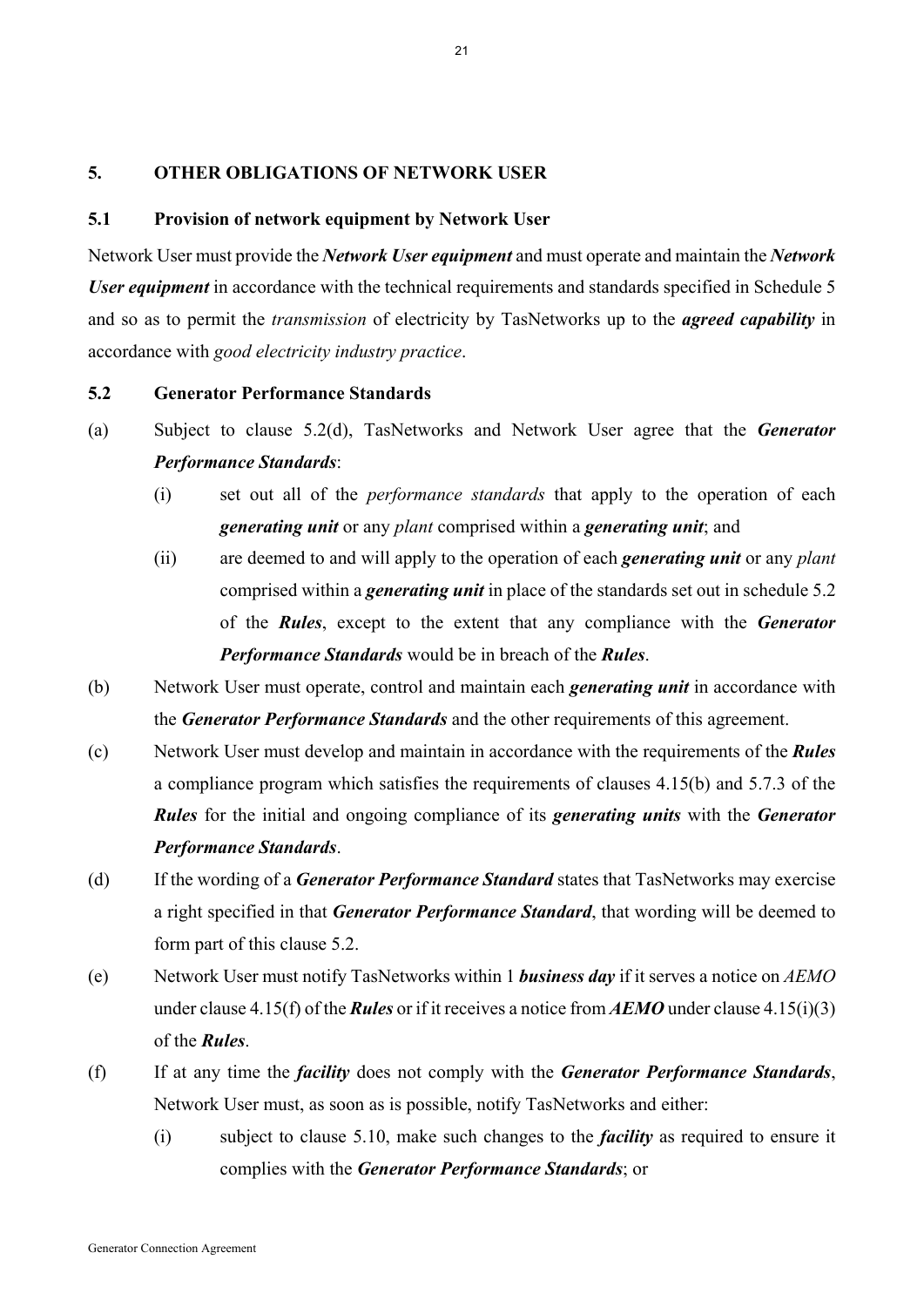#### **5. OTHER OBLIGATIONS OF NETWORK USER**

#### **5.1 Provision of network equipment by Network User**

Network User must provide the *Network User equipment* and must operate and maintain the *Network User equipment* in accordance with the technical requirements and standards specified in Schedule 5 and so as to permit the *transmission* of electricity by TasNetworks up to the *agreed capability* in accordance with *good electricity industry practice*.

#### **5.2 Generator Performance Standards**

- (a) Subject to clause 5.2(d), TasNetworks and Network User agree that the *Generator Performance Standards*:
	- (i) set out all of the *performance standards* that apply to the operation of each *generating unit* or any *plant* comprised within a *generating unit*; and
	- (ii) are deemed to and will apply to the operation of each *generating unit* or any *plant* comprised within a *generating unit* in place of the standards set out in schedule 5.2 of the *Rules*, except to the extent that any compliance with the *Generator Performance Standards* would be in breach of the *Rules*.
- (b) Network User must operate, control and maintain each *generating unit* in accordance with the *Generator Performance Standards* and the other requirements of this agreement.
- (c) Network User must develop and maintain in accordance with the requirements of the *Rules* a compliance program which satisfies the requirements of clauses 4.15(b) and 5.7.3 of the *Rules* for the initial and ongoing compliance of its *generating units* with the *Generator Performance Standards*.
- (d) If the wording of a *Generator Performance Standard* states that TasNetworks may exercise a right specified in that *Generator Performance Standard*, that wording will be deemed to form part of this clause 5.2.
- (e) Network User must notify TasNetworks within 1 *business day* if it serves a notice on *AEMO* under clause 4.15(f) of the *Rules* or if it receives a notice from *AEMO* under clause 4.15(i)(3) of the *Rules*.
- (f) If at any time the *facility* does not comply with the *Generator Performance Standards*, Network User must, as soon as is possible, notify TasNetworks and either:
	- (i) subject to clause 5.10, make such changes to the *facility* as required to ensure it complies with the *Generator Performance Standards*; or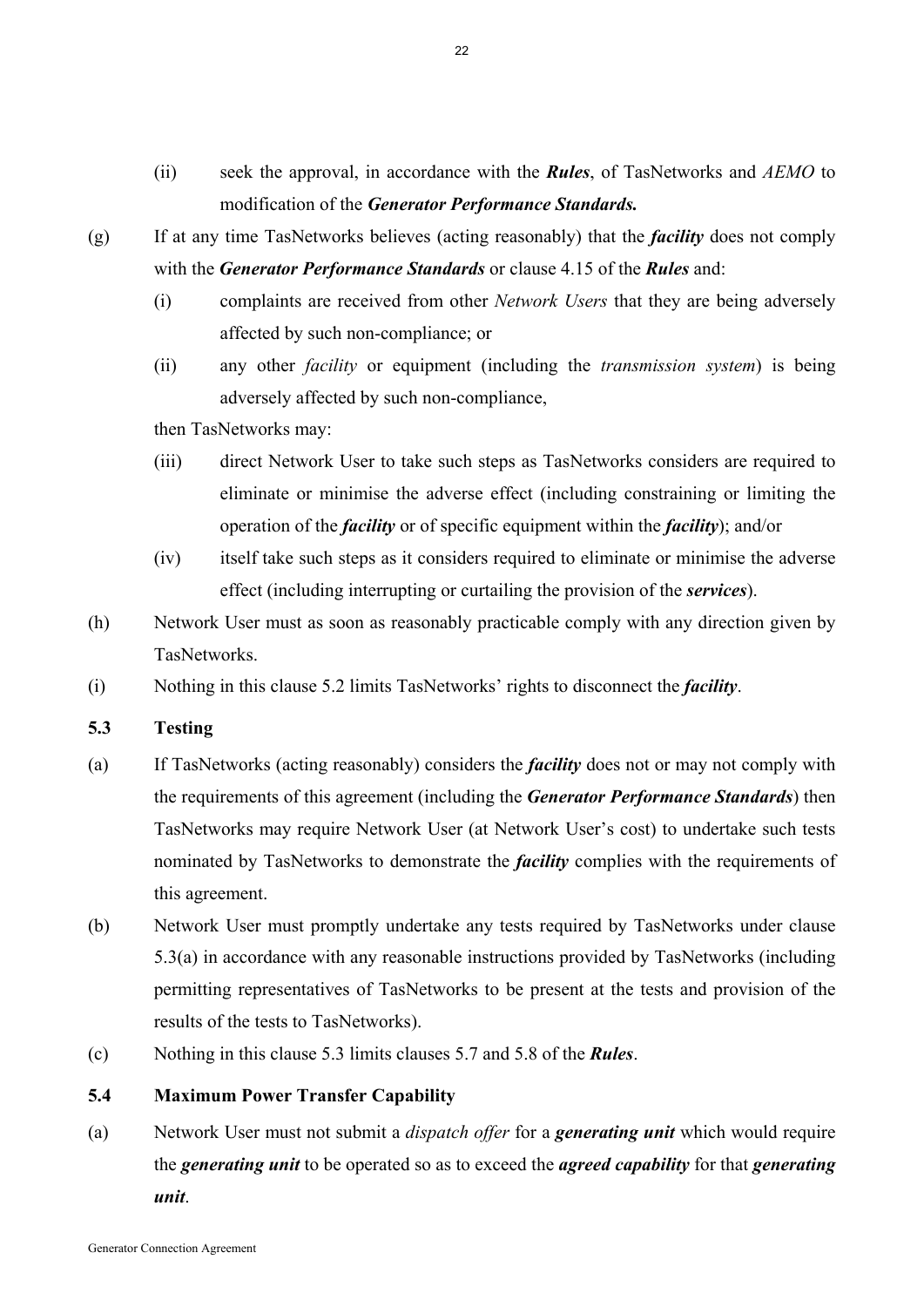(ii) seek the approval, in accordance with the *Rules*, of TasNetworks and *AEMO* to modification of the *Generator Performance Standards.*

- (g) If at any time TasNetworks believes (acting reasonably) that the *facility* does not comply with the *Generator Performance Standards* or clause 4.15 of the *Rules* and:
	- (i) complaints are received from other *Network Users* that they are being adversely affected by such non-compliance; or
	- (ii) any other *facility* or equipment (including the *transmission system*) is being adversely affected by such non-compliance,

then TasNetworks may:

- (iii) direct Network User to take such steps as TasNetworks considers are required to eliminate or minimise the adverse effect (including constraining or limiting the operation of the *facility* or of specific equipment within the *facility*); and/or
- (iv) itself take such steps as it considers required to eliminate or minimise the adverse effect (including interrupting or curtailing the provision of the *services*).
- (h) Network User must as soon as reasonably practicable comply with any direction given by TasNetworks.
- (i) Nothing in this clause 5.2 limits TasNetworks' rights to disconnect the *facility*.
- **5.3 Testing**
- (a) If TasNetworks (acting reasonably) considers the *facility* does not or may not comply with the requirements of this agreement (including the *Generator Performance Standards*) then TasNetworks may require Network User (at Network User's cost) to undertake such tests nominated by TasNetworks to demonstrate the *facility* complies with the requirements of this agreement.
- (b) Network User must promptly undertake any tests required by TasNetworks under clause 5.3(a) in accordance with any reasonable instructions provided by TasNetworks (including permitting representatives of TasNetworks to be present at the tests and provision of the results of the tests to TasNetworks).
- (c) Nothing in this clause 5.3 limits clauses 5.7 and 5.8 of the *Rules*.

# **5.4 Maximum Power Transfer Capability**

(a) Network User must not submit a *dispatch offer* for a *generating unit* which would require the *generating unit* to be operated so as to exceed the *agreed capability* for that *generating unit*.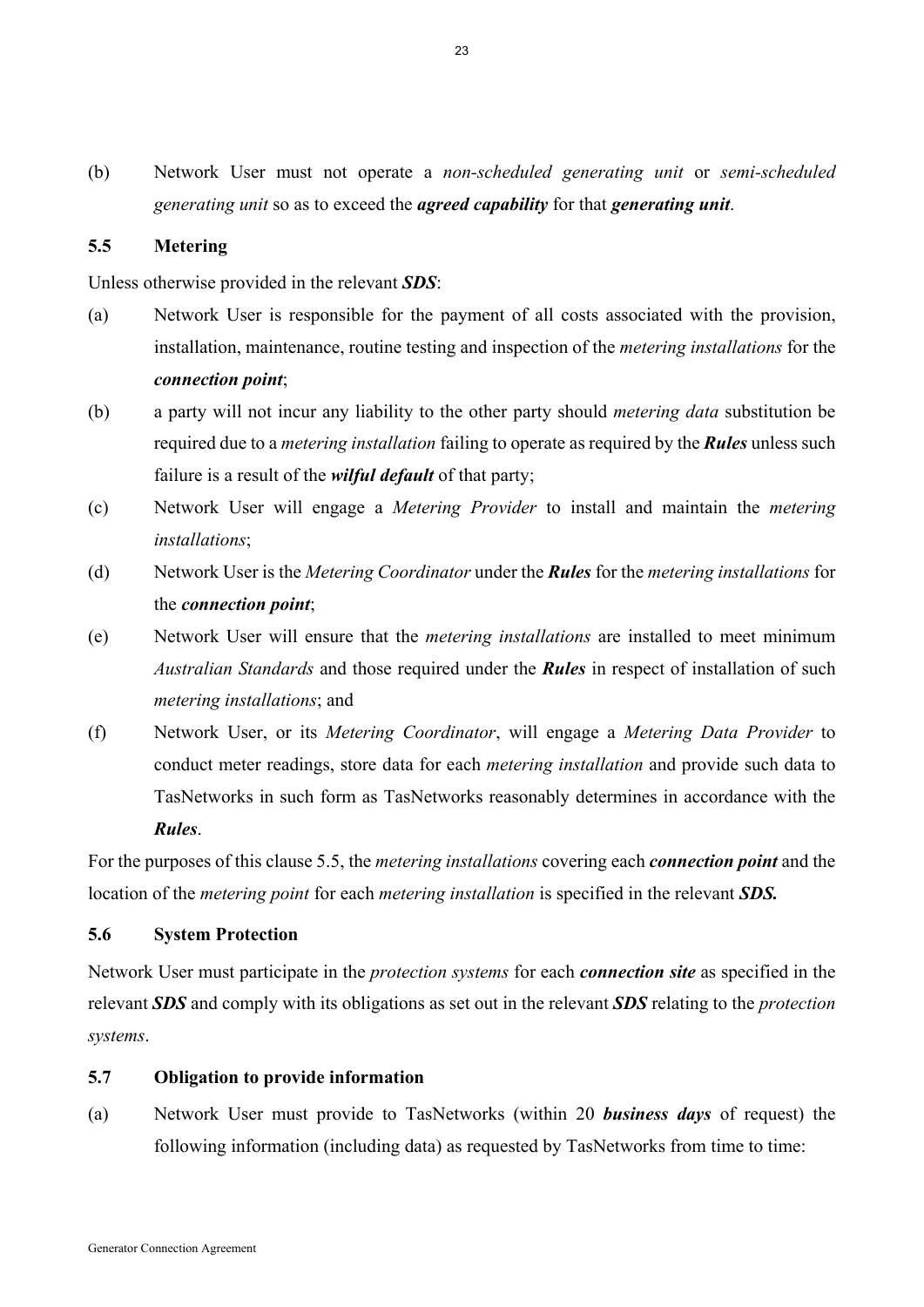(b) Network User must not operate a *non-scheduled generating unit* or *semi-scheduled generating unit* so as to exceed the *agreed capability* for that *generating unit*.

## **5.5 Metering**

Unless otherwise provided in the relevant *SDS*:

- (a) Network User is responsible for the payment of all costs associated with the provision, installation, maintenance, routine testing and inspection of the *metering installations* for the *connection point*;
- (b) a party will not incur any liability to the other party should *metering data* substitution be required due to a *metering installation* failing to operate as required by the *Rules* unless such failure is a result of the *wilful default* of that party;
- (c) Network User will engage a *Metering Provider* to install and maintain the *metering installations*;
- (d) Network User is the *Metering Coordinator* under the *Rules* for the *metering installations* for the *connection point*;
- (e) Network User will ensure that the *metering installations* are installed to meet minimum *Australian Standards* and those required under the *Rules* in respect of installation of such *metering installations*; and
- (f) Network User, or its *Metering Coordinator*, will engage a *Metering Data Provider* to conduct meter readings, store data for each *metering installation* and provide such data to TasNetworks in such form as TasNetworks reasonably determines in accordance with the *Rules*.

For the purposes of this clause 5.5, the *metering installations* covering each *connection point* and the location of the *metering point* for each *metering installation* is specified in the relevant *SDS.*

#### **5.6 System Protection**

Network User must participate in the *protection systems* for each *connection site* as specified in the relevant *SDS* and comply with its obligations as set out in the relevant *SDS* relating to the *protection systems*.

## **5.7 Obligation to provide information**

(a) Network User must provide to TasNetworks (within 20 *business days* of request) the following information (including data) as requested by TasNetworks from time to time: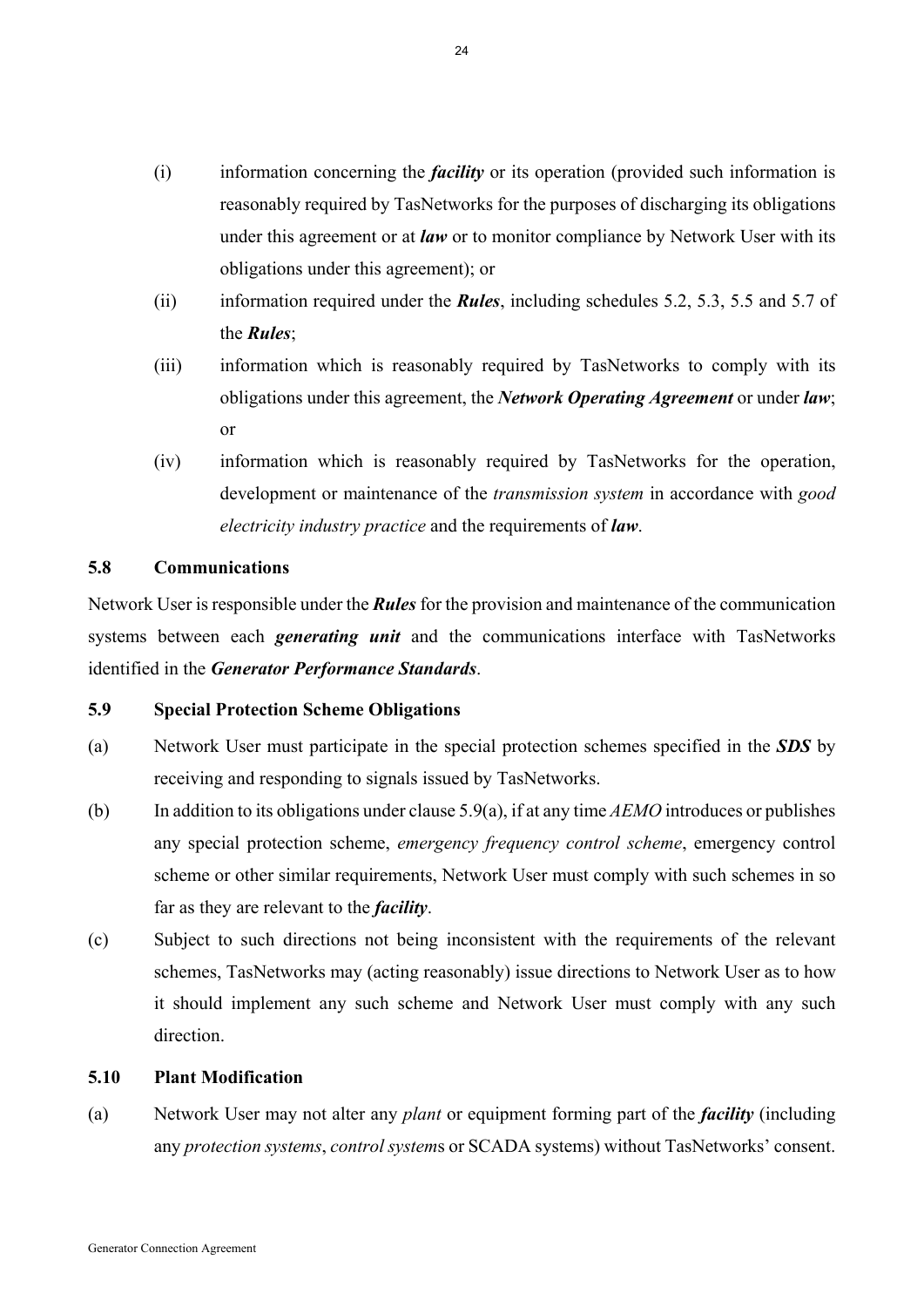- (i) information concerning the *facility* or its operation (provided such information is reasonably required by TasNetworks for the purposes of discharging its obligations under this agreement or at *law* or to monitor compliance by Network User with its obligations under this agreement); or
- (ii) information required under the *Rules*, including schedules 5.2, 5.3, 5.5 and 5.7 of the *Rules*;
- (iii) information which is reasonably required by TasNetworks to comply with its obligations under this agreement, the *Network Operating Agreement* or under *law*; or
- (iv) information which is reasonably required by TasNetworks for the operation, development or maintenance of the *transmission system* in accordance with *good electricity industry practice* and the requirements of *law*.

## **5.8 Communications**

Network User is responsible under the *Rules* for the provision and maintenance of the communication systems between each *generating unit* and the communications interface with TasNetworks identified in the *Generator Performance Standards*.

## **5.9 Special Protection Scheme Obligations**

- (a) Network User must participate in the special protection schemes specified in the *SDS* by receiving and responding to signals issued by TasNetworks.
- (b) In addition to its obligations under clause 5.9(a), if at any time *AEMO* introduces or publishes any special protection scheme, *emergency frequency control scheme*, emergency control scheme or other similar requirements, Network User must comply with such schemes in so far as they are relevant to the *facility*.
- (c) Subject to such directions not being inconsistent with the requirements of the relevant schemes, TasNetworks may (acting reasonably) issue directions to Network User as to how it should implement any such scheme and Network User must comply with any such direction.

#### **5.10 Plant Modification**

(a) Network User may not alter any *plant* or equipment forming part of the *facility* (including any *protection systems*, *control system*s or SCADA systems) without TasNetworks' consent.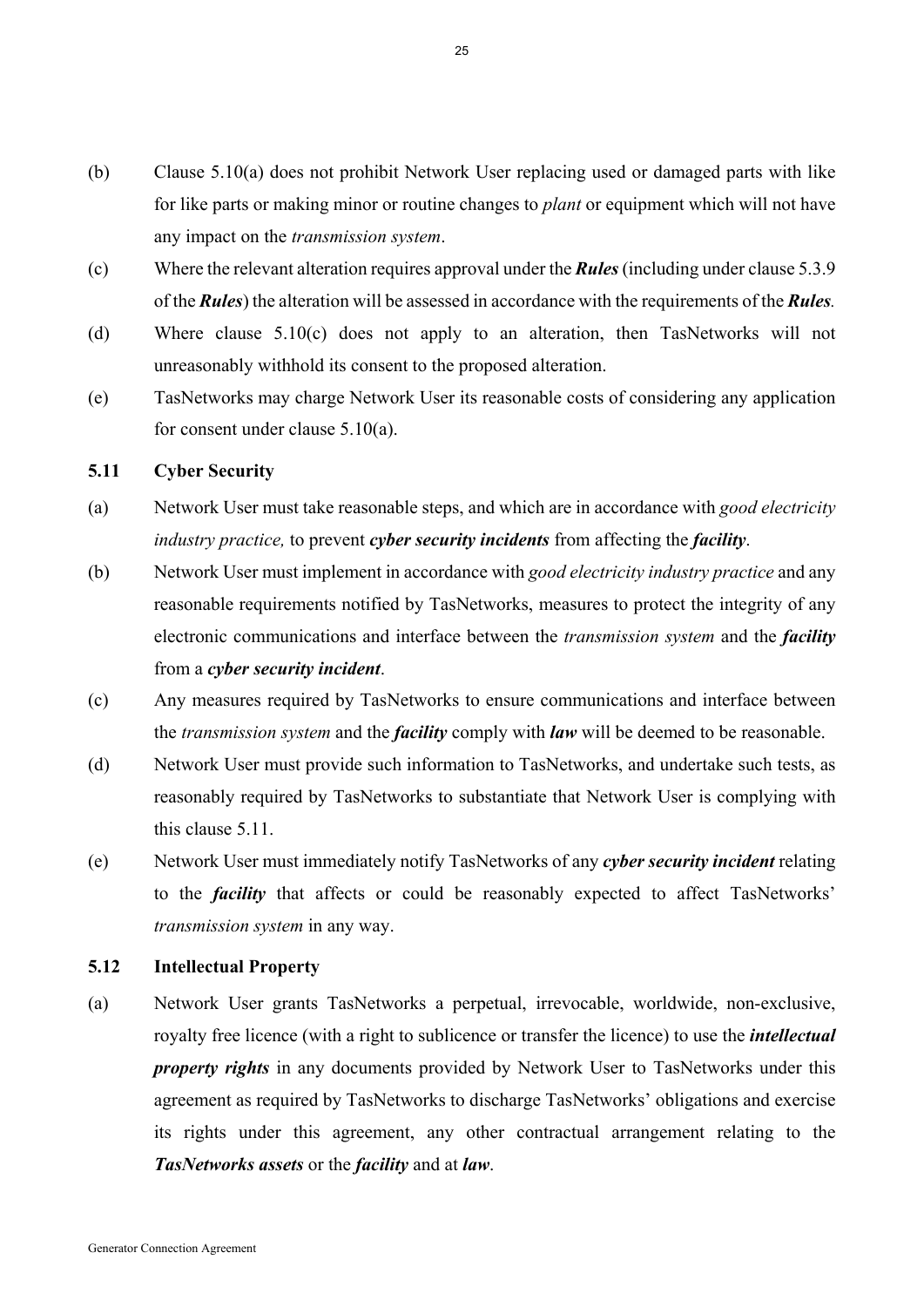- (b) Clause 5.10(a) does not prohibit Network User replacing used or damaged parts with like for like parts or making minor or routine changes to *plant* or equipment which will not have any impact on the *transmission system*.
- (c) Where the relevant alteration requires approval under the *Rules* (including under clause 5.3.9 of the *Rules*) the alteration will be assessed in accordance with the requirements of the *Rules.*
- (d) Where clause 5.10(c) does not apply to an alteration, then TasNetworks will not unreasonably withhold its consent to the proposed alteration.
- (e) TasNetworks may charge Network User its reasonable costs of considering any application for consent under clause 5.10(a).

## **5.11 Cyber Security**

- (a) Network User must take reasonable steps, and which are in accordance with *good electricity industry practice,* to prevent *cyber security incidents* from affecting the *facility*.
- (b) Network User must implement in accordance with *good electricity industry practice* and any reasonable requirements notified by TasNetworks, measures to protect the integrity of any electronic communications and interface between the *transmission system* and the *facility* from a *cyber security incident*.
- (c) Any measures required by TasNetworks to ensure communications and interface between the *transmission system* and the *facility* comply with *law* will be deemed to be reasonable.
- (d) Network User must provide such information to TasNetworks, and undertake such tests, as reasonably required by TasNetworks to substantiate that Network User is complying with this clause 5.11.
- (e) Network User must immediately notify TasNetworks of any *cyber security incident* relating to the *facility* that affects or could be reasonably expected to affect TasNetworks' *transmission system* in any way.

## **5.12 Intellectual Property**

(a) Network User grants TasNetworks a perpetual, irrevocable, worldwide, non-exclusive, royalty free licence (with a right to sublicence or transfer the licence) to use the *intellectual property rights* in any documents provided by Network User to TasNetworks under this agreement as required by TasNetworks to discharge TasNetworks' obligations and exercise its rights under this agreement, any other contractual arrangement relating to the *TasNetworks assets* or the *facility* and at *law*.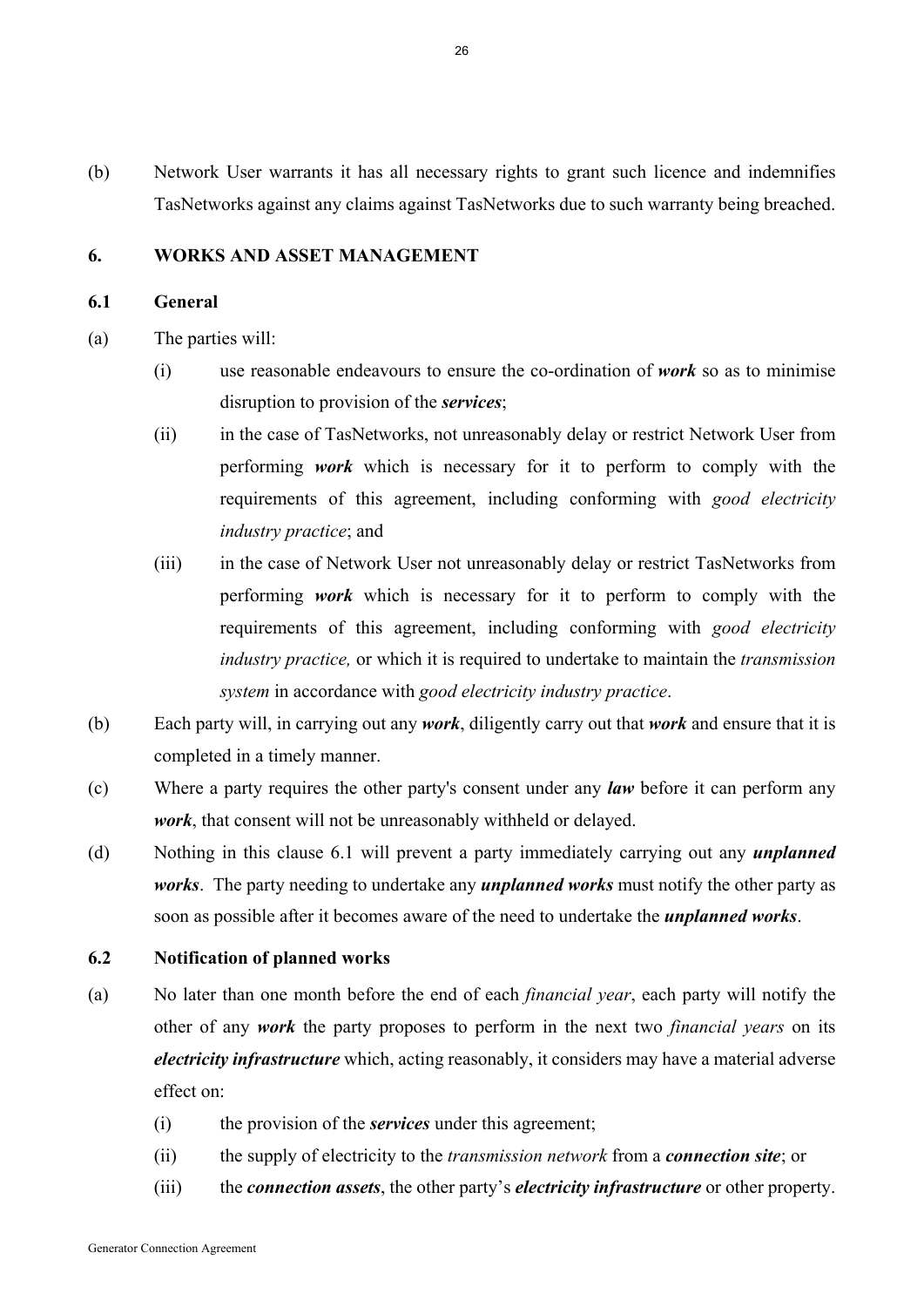(b) Network User warrants it has all necessary rights to grant such licence and indemnifies TasNetworks against any claims against TasNetworks due to such warranty being breached.

## **6. WORKS AND ASSET MANAGEMENT**

#### **6.1 General**

- (a) The parties will:
	- (i) use reasonable endeavours to ensure the co-ordination of *work* so as to minimise disruption to provision of the *services*;
	- (ii) in the case of TasNetworks, not unreasonably delay or restrict Network User from performing *work* which is necessary for it to perform to comply with the requirements of this agreement, including conforming with *good electricity industry practice*; and
	- (iii) in the case of Network User not unreasonably delay or restrict TasNetworks from performing *work* which is necessary for it to perform to comply with the requirements of this agreement, including conforming with *good electricity industry practice,* or which it is required to undertake to maintain the *transmission system* in accordance with *good electricity industry practice*.
- (b) Each party will, in carrying out any *work*, diligently carry out that *work* and ensure that it is completed in a timely manner.
- (c) Where a party requires the other party's consent under any *law* before it can perform any *work*, that consent will not be unreasonably withheld or delayed.
- (d) Nothing in this clause 6.1 will prevent a party immediately carrying out any *unplanned works*. The party needing to undertake any *unplanned works* must notify the other party as soon as possible after it becomes aware of the need to undertake the *unplanned works*.

## **6.2 Notification of planned works**

- (a) No later than one month before the end of each *financial year*, each party will notify the other of any *work* the party proposes to perform in the next two *financial years* on its *electricity infrastructure* which, acting reasonably, it considers may have a material adverse effect on:
	- (i) the provision of the *services* under this agreement;
	- (ii) the supply of electricity to the *transmission network* from a *connection site*; or
	- (iii) the *connection assets*, the other party's *electricity infrastructure* or other property.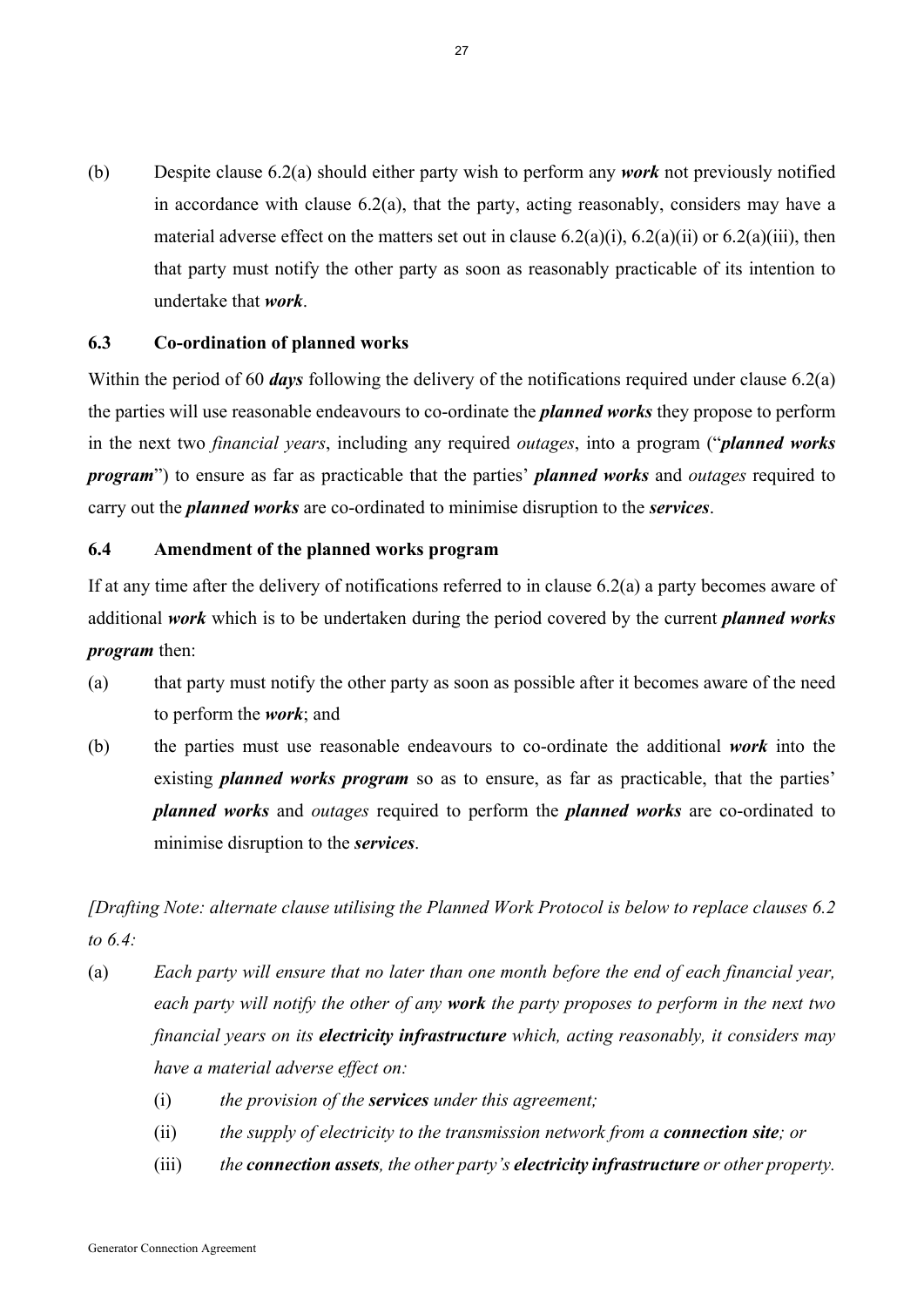(b) Despite clause 6.2(a) should either party wish to perform any *work* not previously notified in accordance with clause 6.2(a), that the party, acting reasonably, considers may have a material adverse effect on the matters set out in clause  $6.2(a)(i)$ ,  $6.2(a)(ii)$  or  $6.2(a)(iii)$ , then that party must notify the other party as soon as reasonably practicable of its intention to undertake that *work*.

#### **6.3 Co-ordination of planned works**

Within the period of 60 *days* following the delivery of the notifications required under clause 6.2(a) the parties will use reasonable endeavours to co-ordinate the *planned works* they propose to perform in the next two *financial years*, including any required *outages*, into a program ("*planned works program*") to ensure as far as practicable that the parties' *planned works* and *outages* required to carry out the *planned works* are co-ordinated to minimise disruption to the *services*.

#### **6.4 Amendment of the planned works program**

If at any time after the delivery of notifications referred to in clause 6.2(a) a party becomes aware of additional *work* which is to be undertaken during the period covered by the current *planned works program* then:

- (a) that party must notify the other party as soon as possible after it becomes aware of the need to perform the *work*; and
- (b) the parties must use reasonable endeavours to co-ordinate the additional *work* into the existing *planned works program* so as to ensure, as far as practicable, that the parties' *planned works* and *outages* required to perform the *planned works* are co-ordinated to minimise disruption to the *services*.

*[Drafting Note: alternate clause utilising the Planned Work Protocol is below to replace clauses 6.2 to 6.4:* 

- (a) *Each party will ensure that no later than one month before the end of each financial year, each party will notify the other of any work the party proposes to perform in the next two financial years on its electricity infrastructure which, acting reasonably, it considers may have a material adverse effect on:* 
	- (i) *the provision of the services under this agreement;*
	- (ii) *the supply of electricity to the transmission network from a connection site; or*
	- (iii) *the connection assets, the other party's electricity infrastructure or other property.*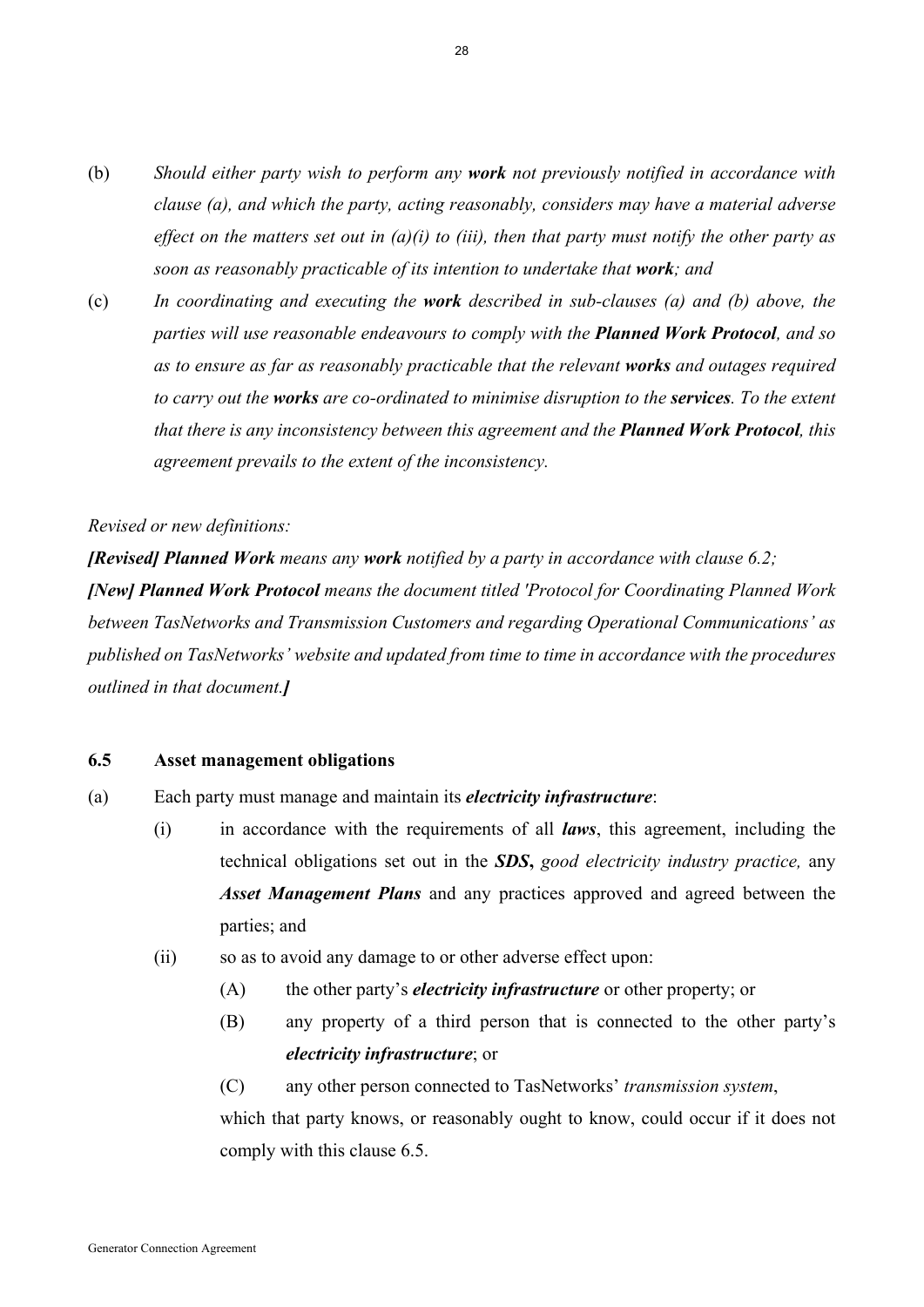- (b) *Should either party wish to perform any work not previously notified in accordance with clause (a), and which the party, acting reasonably, considers may have a material adverse effect on the matters set out in (a)(i) to (iii), then that party must notify the other party as soon as reasonably practicable of its intention to undertake that work; and*
- (c) *In coordinating and executing the work described in sub-clauses (a) and (b) above, the parties will use reasonable endeavours to comply with the Planned Work Protocol, and so as to ensure as far as reasonably practicable that the relevant works and outages required to carry out the works are co-ordinated to minimise disruption to the services. To the extent that there is any inconsistency between this agreement and the Planned Work Protocol, this agreement prevails to the extent of the inconsistency.*

#### *Revised or new definitions:*

*[Revised] Planned Work means any work notified by a party in accordance with clause 6.2;* 

*[New] Planned Work Protocol means the document titled 'Protocol for Coordinating Planned Work between TasNetworks and Transmission Customers and regarding Operational Communications' as published on TasNetworks' website and updated from time to time in accordance with the procedures outlined in that document.]* 

## **6.5 Asset management obligations**

- (a) Each party must manage and maintain its *electricity infrastructure*:
	- (i) in accordance with the requirements of all *laws*, this agreement, including the technical obligations set out in the *SDS***,** *good electricity industry practice,* any *Asset Management Plans* and any practices approved and agreed between the parties; and
	- (ii) so as to avoid any damage to or other adverse effect upon:
		- (A) the other party's *electricity infrastructure* or other property; or
		- (B) any property of a third person that is connected to the other party's *electricity infrastructure*; or
		- (C) any other person connected to TasNetworks' *transmission system*, which that party knows, or reasonably ought to know, could occur if it does not comply with this clause 6.5.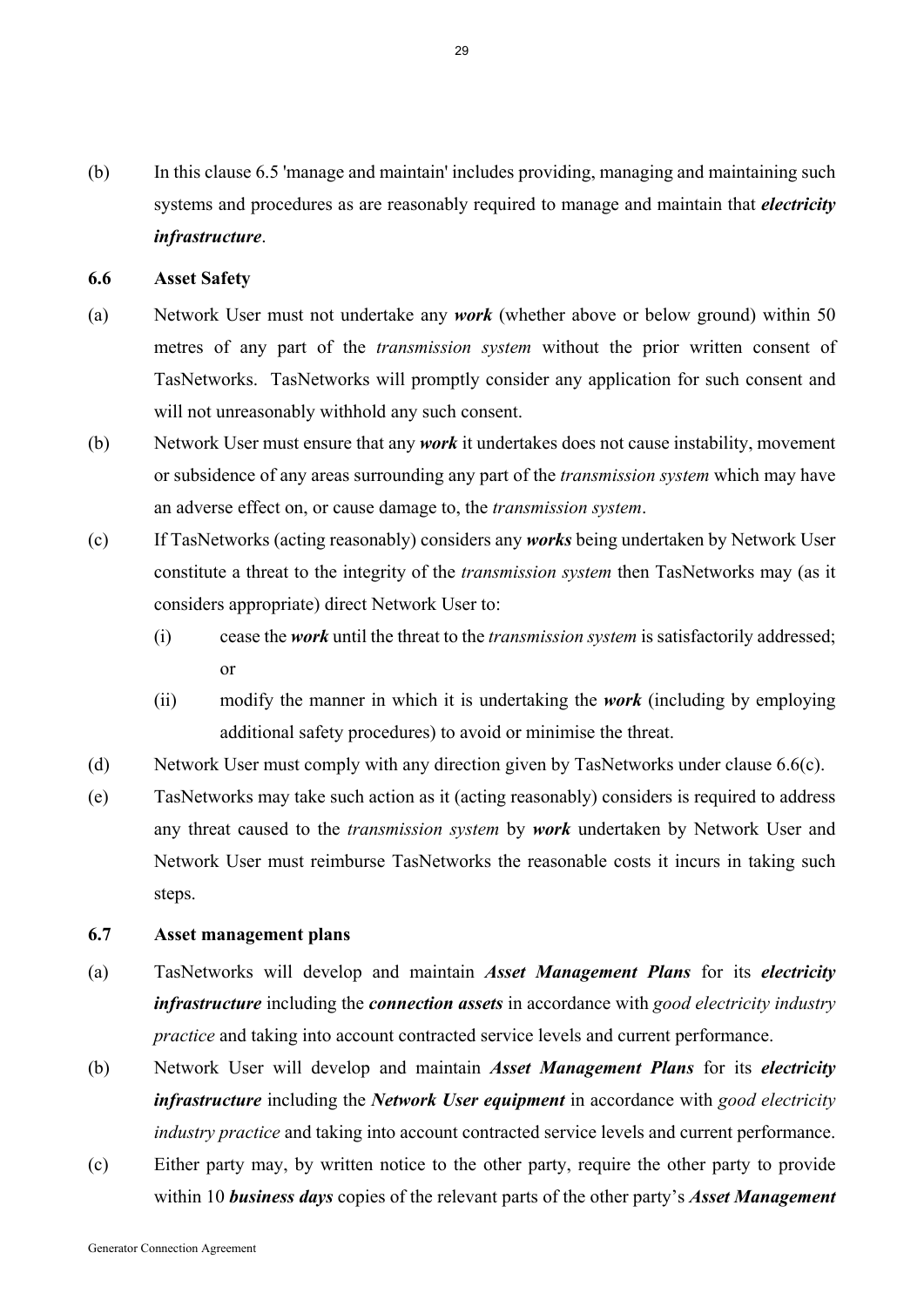(b) In this clause 6.5 'manage and maintain' includes providing, managing and maintaining such systems and procedures as are reasonably required to manage and maintain that *electricity infrastructure*.

#### **6.6 Asset Safety**

- (a) Network User must not undertake any *work* (whether above or below ground) within 50 metres of any part of the *transmission system* without the prior written consent of TasNetworks. TasNetworks will promptly consider any application for such consent and will not unreasonably withhold any such consent.
- (b) Network User must ensure that any *work* it undertakes does not cause instability, movement or subsidence of any areas surrounding any part of the *transmission system* which may have an adverse effect on, or cause damage to, the *transmission system*.
- (c) If TasNetworks (acting reasonably) considers any *works* being undertaken by Network User constitute a threat to the integrity of the *transmission system* then TasNetworks may (as it considers appropriate) direct Network User to:
	- (i) cease the *work* until the threat to the *transmission system* is satisfactorily addressed; or
	- (ii) modify the manner in which it is undertaking the *work* (including by employing additional safety procedures) to avoid or minimise the threat.
- (d) Network User must comply with any direction given by TasNetworks under clause 6.6(c).
- (e) TasNetworks may take such action as it (acting reasonably) considers is required to address any threat caused to the *transmission system* by *work* undertaken by Network User and Network User must reimburse TasNetworks the reasonable costs it incurs in taking such steps.

## **6.7 Asset management plans**

- (a) TasNetworks will develop and maintain *Asset Management Plans* for its *electricity infrastructure* including the *connection assets* in accordance with *good electricity industry practice* and taking into account contracted service levels and current performance.
- (b) Network User will develop and maintain *Asset Management Plans* for its *electricity infrastructure* including the *Network User equipment* in accordance with *good electricity industry practice* and taking into account contracted service levels and current performance.
- (c) Either party may, by written notice to the other party, require the other party to provide within 10 *business days* copies of the relevant parts of the other party's *Asset Management*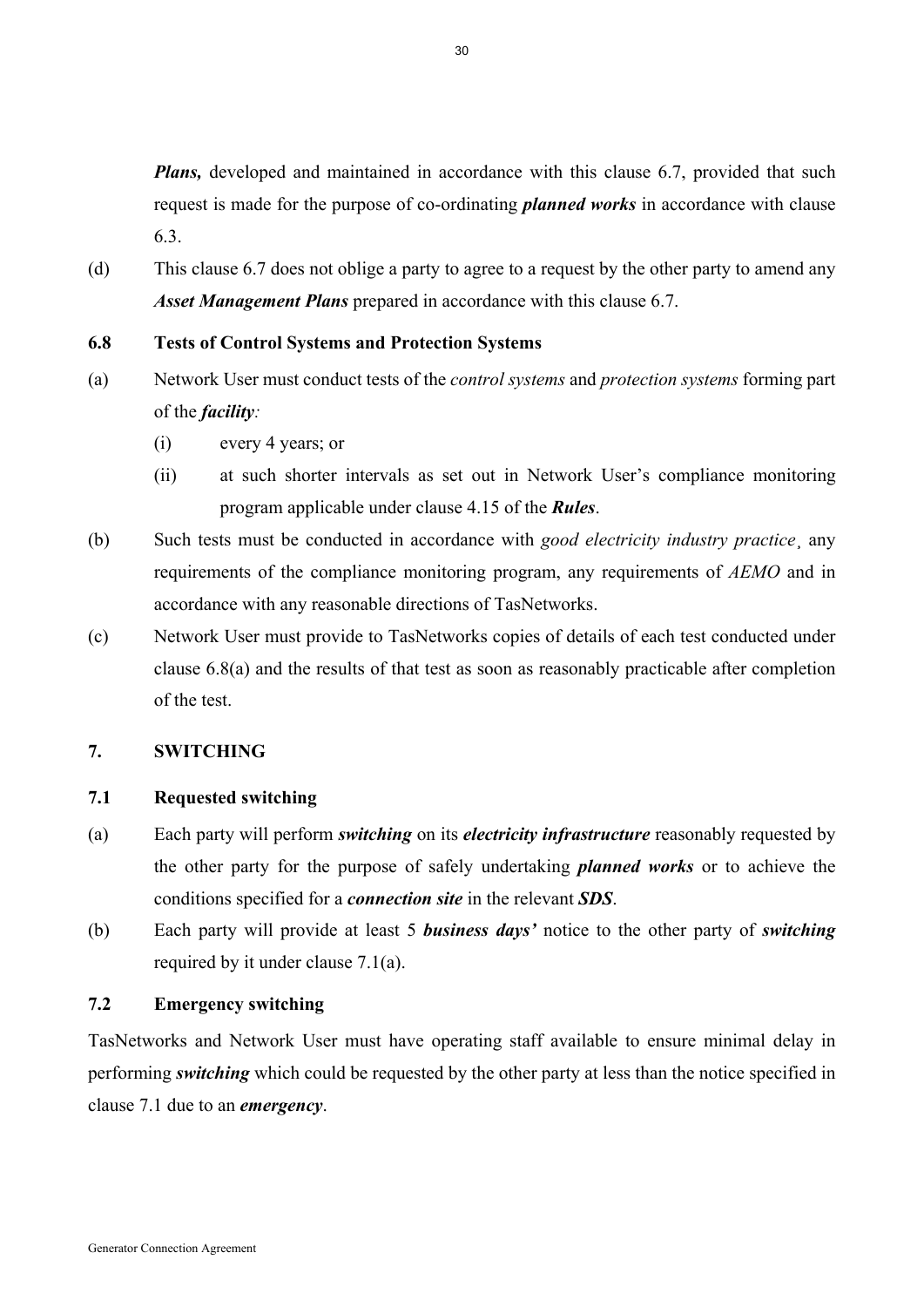*Plans*, developed and maintained in accordance with this clause 6.7, provided that such request is made for the purpose of co-ordinating *planned works* in accordance with clause 6.3.

(d) This clause 6.7 does not oblige a party to agree to a request by the other party to amend any *Asset Management Plans* prepared in accordance with this clause 6.7.

## **6.8 Tests of Control Systems and Protection Systems**

- (a) Network User must conduct tests of the *control systems* and *protection systems* forming part of the *facility:* 
	- (i) every 4 years; or
	- (ii) at such shorter intervals as set out in Network User's compliance monitoring program applicable under clause 4.15 of the *Rules*.
- (b) Such tests must be conducted in accordance with *good electricity industry practice*¸ any requirements of the compliance monitoring program, any requirements of *AEMO* and in accordance with any reasonable directions of TasNetworks.
- (c) Network User must provide to TasNetworks copies of details of each test conducted under clause 6.8(a) and the results of that test as soon as reasonably practicable after completion of the test.

# **7. SWITCHING**

# **7.1 Requested switching**

- (a) Each party will perform *switching* on its *electricity infrastructure* reasonably requested by the other party for the purpose of safely undertaking *planned works* or to achieve the conditions specified for a *connection site* in the relevant *SDS*.
- (b) Each party will provide at least 5 *business days'* notice to the other party of *switching* required by it under clause 7.1(a).

# **7.2 Emergency switching**

TasNetworks and Network User must have operating staff available to ensure minimal delay in performing *switching* which could be requested by the other party at less than the notice specified in clause 7.1 due to an *emergency*.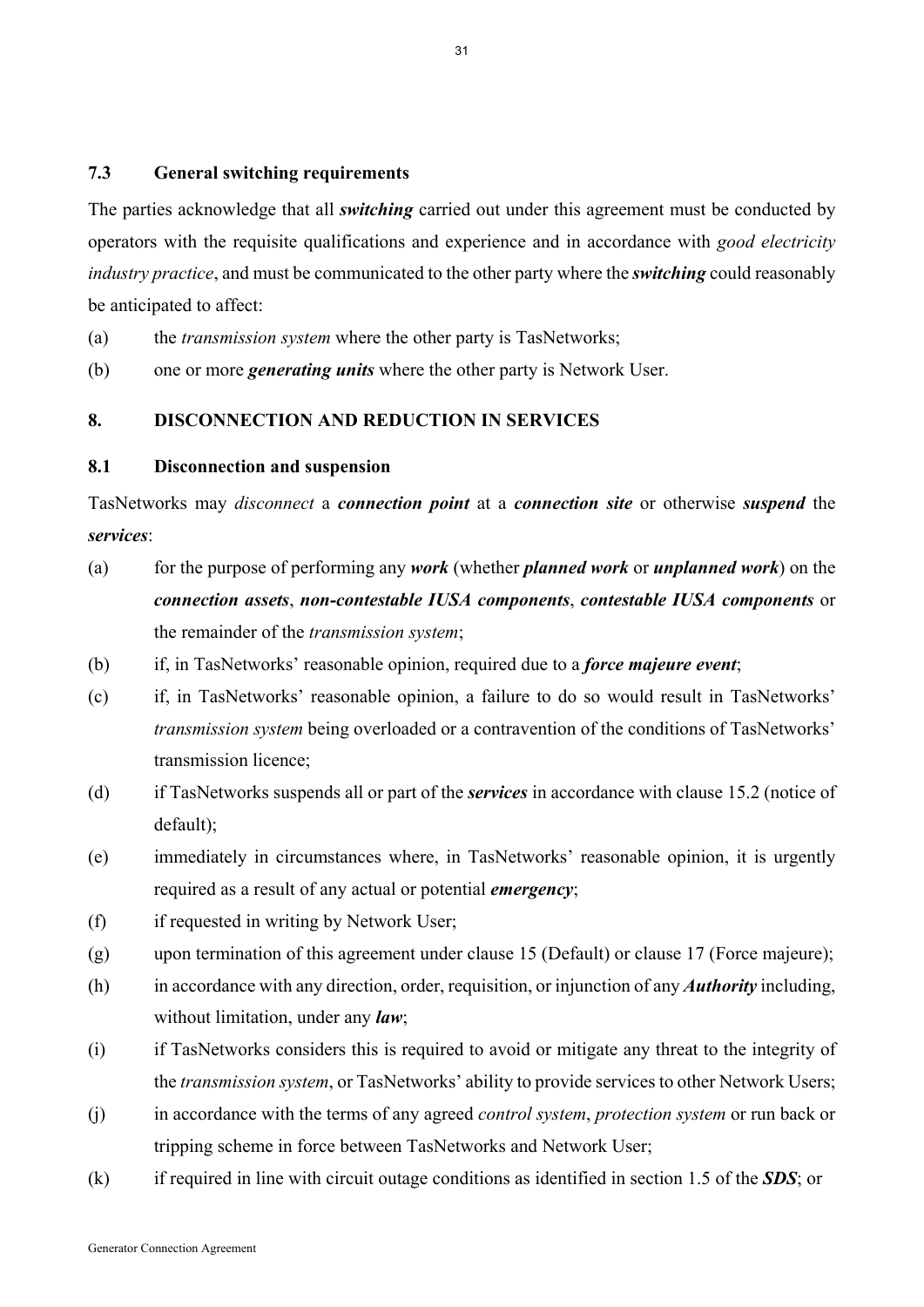#### **7.3 General switching requirements**

The parties acknowledge that all *switching* carried out under this agreement must be conducted by operators with the requisite qualifications and experience and in accordance with *good electricity industry practice*, and must be communicated to the other party where the *switching* could reasonably be anticipated to affect:

(a) the *transmission system* where the other party is TasNetworks;

(b) one or more *generating units* where the other party is Network User.

## **8. DISCONNECTION AND REDUCTION IN SERVICES**

#### **8.1 Disconnection and suspension**

TasNetworks may *disconnect* a *connection point* at a *connection site* or otherwise *suspend* the *services*:

- (a) for the purpose of performing any *work* (whether *planned work* or *unplanned work*) on the *connection assets*, *non-contestable IUSA components*, *contestable IUSA components* or the remainder of the *transmission system*;
- (b) if, in TasNetworks' reasonable opinion, required due to a *force majeure event*;
- (c) if, in TasNetworks' reasonable opinion, a failure to do so would result in TasNetworks' *transmission system* being overloaded or a contravention of the conditions of TasNetworks' transmission licence;
- (d) if TasNetworks suspends all or part of the *services* in accordance with clause 15.2 (notice of default);
- (e) immediately in circumstances where, in TasNetworks' reasonable opinion, it is urgently required as a result of any actual or potential *emergency*;
- (f) if requested in writing by Network User;
- (g) upon termination of this agreement under clause 15 (Default) or clause 17 (Force majeure);
- (h) in accordance with any direction, order, requisition, or injunction of any *Authority* including, without limitation, under any *law*;
- (i) if TasNetworks considers this is required to avoid or mitigate any threat to the integrity of the *transmission system*, or TasNetworks' ability to provide services to other Network Users;
- (j) in accordance with the terms of any agreed *control system*, *protection system* or run back or tripping scheme in force between TasNetworks and Network User;
- (k) if required in line with circuit outage conditions as identified in section 1.5 of the *SDS*; or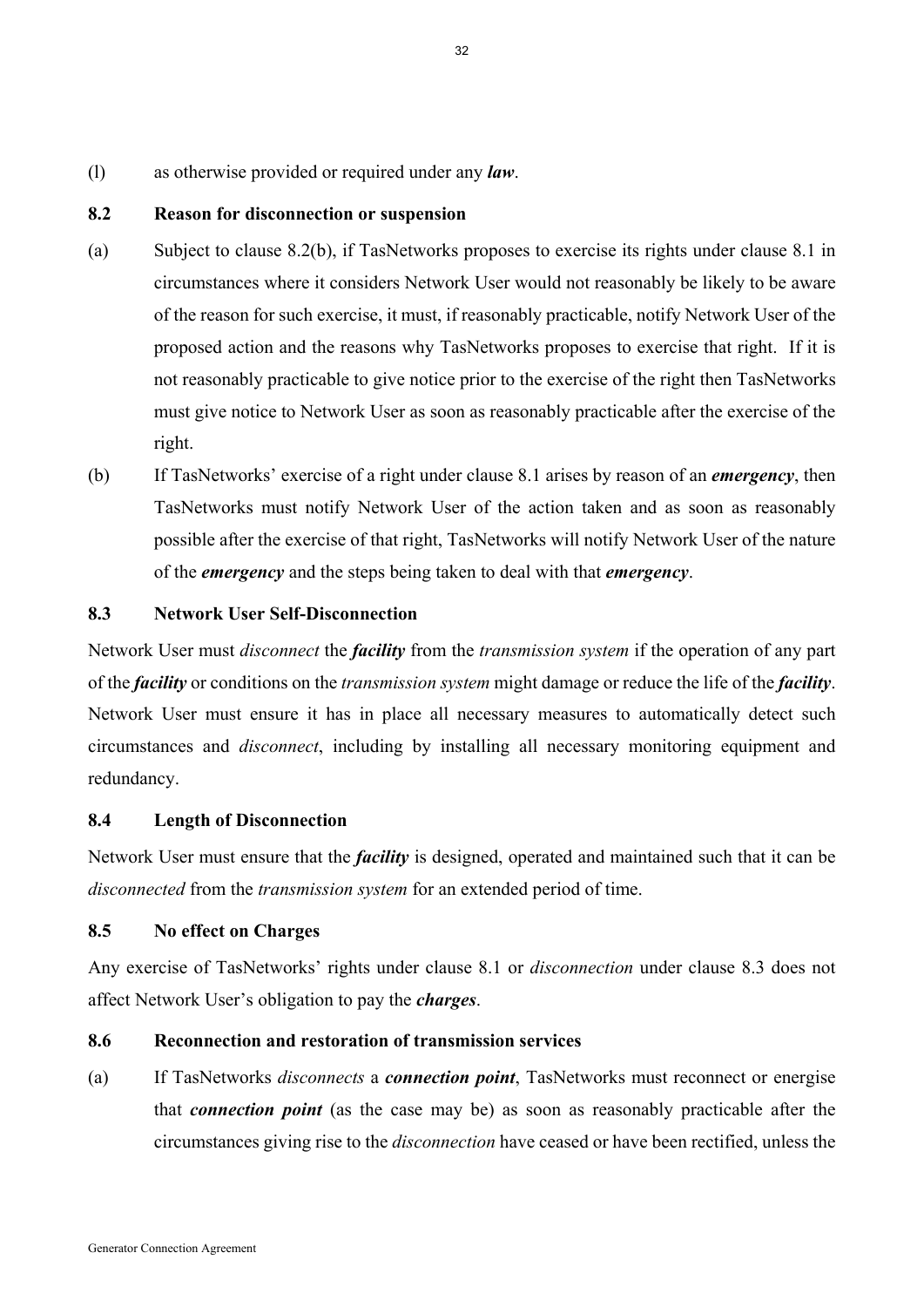(l) as otherwise provided or required under any *law*.

#### **8.2 Reason for disconnection or suspension**

- (a) Subject to clause 8.2(b), if TasNetworks proposes to exercise its rights under clause 8.1 in circumstances where it considers Network User would not reasonably be likely to be aware of the reason for such exercise, it must, if reasonably practicable, notify Network User of the proposed action and the reasons why TasNetworks proposes to exercise that right. If it is not reasonably practicable to give notice prior to the exercise of the right then TasNetworks must give notice to Network User as soon as reasonably practicable after the exercise of the right.
- (b) If TasNetworks' exercise of a right under clause 8.1 arises by reason of an *emergency*, then TasNetworks must notify Network User of the action taken and as soon as reasonably possible after the exercise of that right, TasNetworks will notify Network User of the nature of the *emergency* and the steps being taken to deal with that *emergency*.

## **8.3 Network User Self-Disconnection**

Network User must *disconnect* the *facility* from the *transmission system* if the operation of any part of the *facility* or conditions on the *transmission system* might damage or reduce the life of the *facility*. Network User must ensure it has in place all necessary measures to automatically detect such circumstances and *disconnect*, including by installing all necessary monitoring equipment and redundancy.

#### **8.4 Length of Disconnection**

Network User must ensure that the *facility* is designed, operated and maintained such that it can be *disconnected* from the *transmission system* for an extended period of time.

## **8.5 No effect on Charges**

Any exercise of TasNetworks' rights under clause 8.1 or *disconnection* under clause 8.3 does not affect Network User's obligation to pay the *charges*.

#### **8.6 Reconnection and restoration of transmission services**

(a) If TasNetworks *disconnects* a *connection point*, TasNetworks must reconnect or energise that *connection point* (as the case may be) as soon as reasonably practicable after the circumstances giving rise to the *disconnection* have ceased or have been rectified, unless the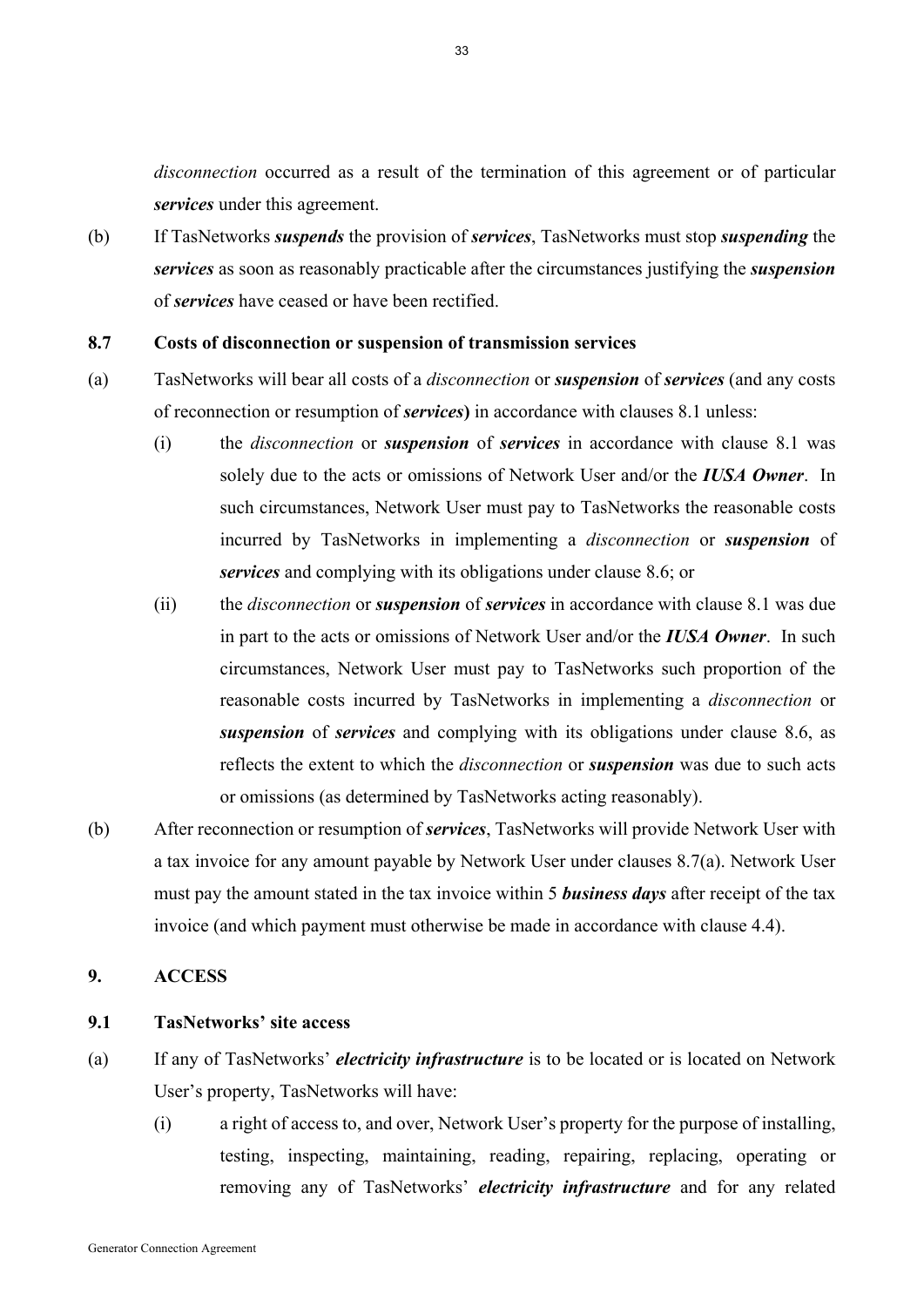*disconnection* occurred as a result of the termination of this agreement or of particular *services* under this agreement.

(b) If TasNetworks *suspends* the provision of *services*, TasNetworks must stop *suspending* the *services* as soon as reasonably practicable after the circumstances justifying the *suspension*  of *services* have ceased or have been rectified.

#### **8.7 Costs of disconnection or suspension of transmission services**

- (a) TasNetworks will bear all costs of a *disconnection* or *suspension* of *services* (and any costs of reconnection or resumption of *services***)** in accordance with clauses 8.1 unless:
	- (i) the *disconnection* or *suspension* of *services* in accordance with clause 8.1 was solely due to the acts or omissions of Network User and/or the *IUSA Owner*. In such circumstances, Network User must pay to TasNetworks the reasonable costs incurred by TasNetworks in implementing a *disconnection* or *suspension* of *services* and complying with its obligations under clause 8.6; or
	- (ii) the *disconnection* or *suspension* of *services* in accordance with clause 8.1 was due in part to the acts or omissions of Network User and/or the *IUSA Owner*. In such circumstances, Network User must pay to TasNetworks such proportion of the reasonable costs incurred by TasNetworks in implementing a *disconnection* or *suspension* of *services* and complying with its obligations under clause 8.6, as reflects the extent to which the *disconnection* or *suspension* was due to such acts or omissions (as determined by TasNetworks acting reasonably).
- (b) After reconnection or resumption of *services*, TasNetworks will provide Network User with a tax invoice for any amount payable by Network User under clauses 8.7(a). Network User must pay the amount stated in the tax invoice within 5 *business days* after receipt of the tax invoice (and which payment must otherwise be made in accordance with clause 4.4).

#### **9. ACCESS**

# **9.1 TasNetworks' site access**

- (a) If any of TasNetworks' *electricity infrastructure* is to be located or is located on Network User's property, TasNetworks will have:
	- (i) a right of access to, and over, Network User's property for the purpose of installing, testing, inspecting, maintaining, reading, repairing, replacing, operating or removing any of TasNetworks' *electricity infrastructure* and for any related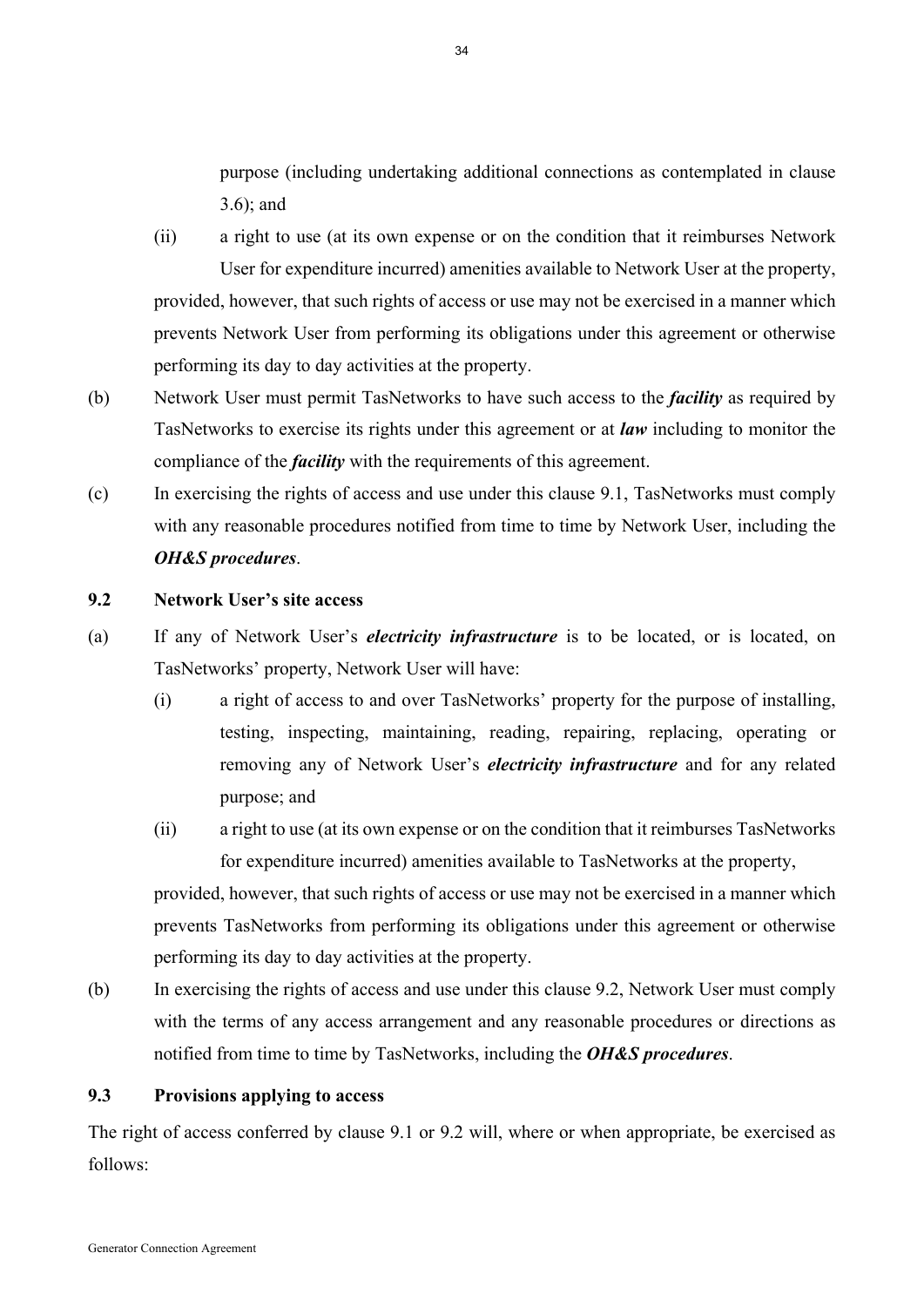purpose (including undertaking additional connections as contemplated in clause 3.6); and

(ii) a right to use (at its own expense or on the condition that it reimburses Network User for expenditure incurred) amenities available to Network User at the property, provided, however, that such rights of access or use may not be exercised in a manner which prevents Network User from performing its obligations under this agreement or otherwise performing its day to day activities at the property.

- (b) Network User must permit TasNetworks to have such access to the *facility* as required by TasNetworks to exercise its rights under this agreement or at *law* including to monitor the compliance of the *facility* with the requirements of this agreement.
- (c) In exercising the rights of access and use under this clause 9.1, TasNetworks must comply with any reasonable procedures notified from time to time by Network User, including the *OH&S procedures*.

## **9.2 Network User's site access**

- (a) If any of Network User's *electricity infrastructure* is to be located, or is located, on TasNetworks' property, Network User will have:
	- (i) a right of access to and over TasNetworks' property for the purpose of installing, testing, inspecting, maintaining, reading, repairing, replacing, operating or removing any of Network User's *electricity infrastructure* and for any related purpose; and
	- (ii) a right to use (at its own expense or on the condition that it reimburses TasNetworks for expenditure incurred) amenities available to TasNetworks at the property,

provided, however, that such rights of access or use may not be exercised in a manner which prevents TasNetworks from performing its obligations under this agreement or otherwise performing its day to day activities at the property.

(b) In exercising the rights of access and use under this clause 9.2, Network User must comply with the terms of any access arrangement and any reasonable procedures or directions as notified from time to time by TasNetworks, including the *OH&S procedures*.

## **9.3 Provisions applying to access**

The right of access conferred by clause 9.1 or 9.2 will, where or when appropriate, be exercised as follows: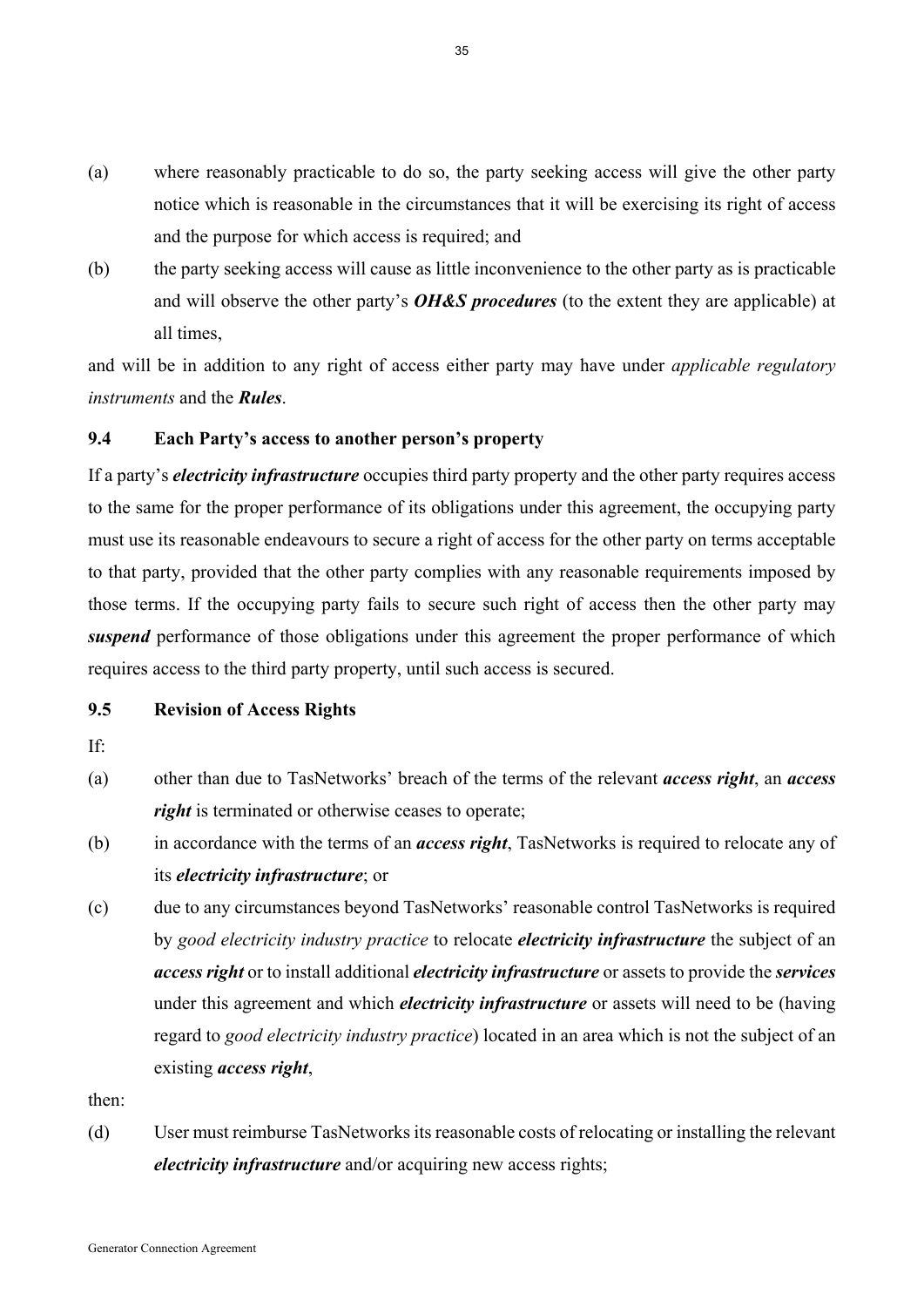- (a) where reasonably practicable to do so, the party seeking access will give the other party notice which is reasonable in the circumstances that it will be exercising its right of access and the purpose for which access is required; and
- (b) the party seeking access will cause as little inconvenience to the other party as is practicable and will observe the other party's *OH&S procedures* (to the extent they are applicable) at all times,

and will be in addition to any right of access either party may have under *applicable regulatory instruments* and the *Rules*.

#### **9.4 Each Party's access to another person's property**

If a party's *electricity infrastructure* occupies third party property and the other party requires access to the same for the proper performance of its obligations under this agreement, the occupying party must use its reasonable endeavours to secure a right of access for the other party on terms acceptable to that party, provided that the other party complies with any reasonable requirements imposed by those terms. If the occupying party fails to secure such right of access then the other party may *suspend* performance of those obligations under this agreement the proper performance of which requires access to the third party property, until such access is secured.

### **9.5 Revision of Access Rights**

- If:
- (a) other than due to TasNetworks' breach of the terms of the relevant *access right*, an *access right* is terminated or otherwise ceases to operate;
- (b) in accordance with the terms of an *access right*, TasNetworks is required to relocate any of its *electricity infrastructure*; or
- (c) due to any circumstances beyond TasNetworks' reasonable control TasNetworks is required by *good electricity industry practice* to relocate *electricity infrastructure* the subject of an *access right* or to install additional *electricity infrastructure* or assets to provide the *services* under this agreement and which *electricity infrastructure* or assets will need to be (having regard to *good electricity industry practice*) located in an area which is not the subject of an existing *access right*,

then:

(d) User must reimburse TasNetworks its reasonable costs of relocating or installing the relevant *electricity infrastructure* and/or acquiring new access rights;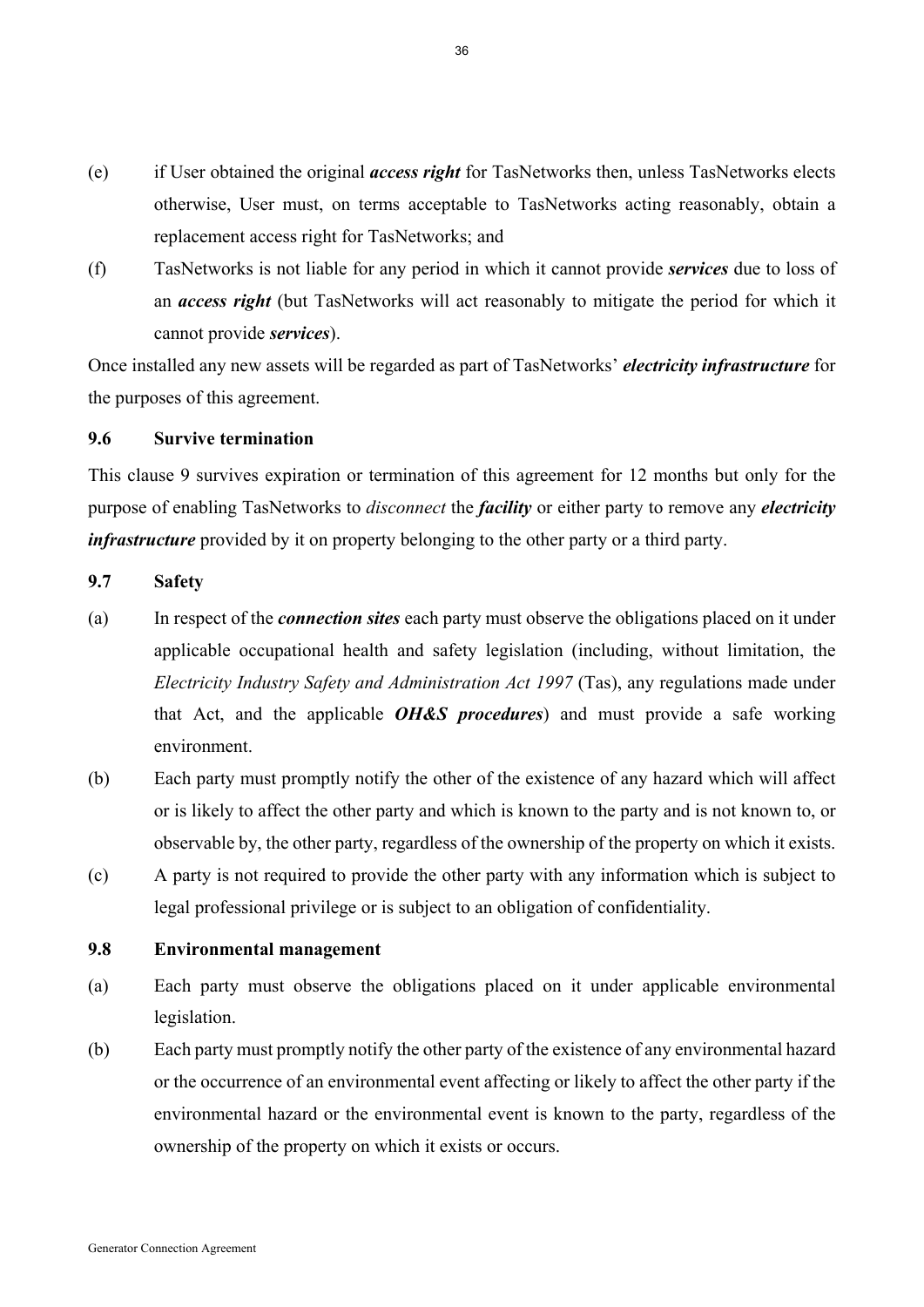- (e) if User obtained the original *access right* for TasNetworks then, unless TasNetworks elects otherwise, User must, on terms acceptable to TasNetworks acting reasonably, obtain a replacement access right for TasNetworks; and
- (f) TasNetworks is not liable for any period in which it cannot provide *services* due to loss of an *access right* (but TasNetworks will act reasonably to mitigate the period for which it cannot provide *services*).

Once installed any new assets will be regarded as part of TasNetworks' *electricity infrastructure* for the purposes of this agreement.

# **9.6 Survive termination**

This clause 9 survives expiration or termination of this agreement for 12 months but only for the purpose of enabling TasNetworks to *disconnect* the *facility* or either party to remove any *electricity infrastructure* provided by it on property belonging to the other party or a third party.

## **9.7 Safety**

- (a) In respect of the *connection sites* each party must observe the obligations placed on it under applicable occupational health and safety legislation (including, without limitation, the *Electricity Industry Safety and Administration Act 1997* (Tas), any regulations made under that Act, and the applicable *OH&S procedures*) and must provide a safe working environment.
- (b) Each party must promptly notify the other of the existence of any hazard which will affect or is likely to affect the other party and which is known to the party and is not known to, or observable by, the other party, regardless of the ownership of the property on which it exists.
- (c) A party is not required to provide the other party with any information which is subject to legal professional privilege or is subject to an obligation of confidentiality.

## **9.8 Environmental management**

- (a) Each party must observe the obligations placed on it under applicable environmental legislation.
- (b) Each party must promptly notify the other party of the existence of any environmental hazard or the occurrence of an environmental event affecting or likely to affect the other party if the environmental hazard or the environmental event is known to the party, regardless of the ownership of the property on which it exists or occurs.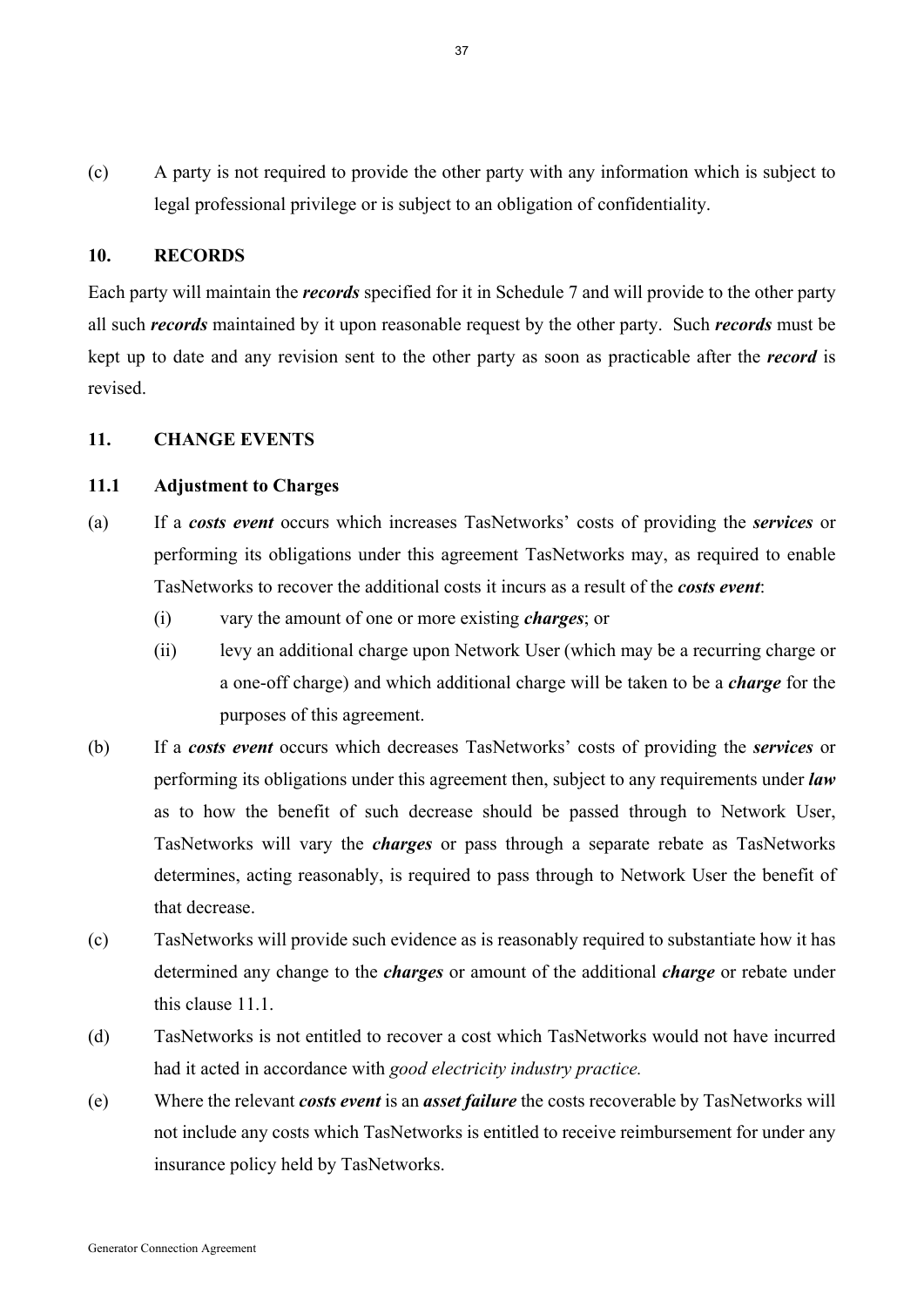(c) A party is not required to provide the other party with any information which is subject to legal professional privilege or is subject to an obligation of confidentiality.

#### **10. RECORDS**

Each party will maintain the *records* specified for it in Schedule 7 and will provide to the other party all such *records* maintained by it upon reasonable request by the other party. Such *records* must be kept up to date and any revision sent to the other party as soon as practicable after the *record* is revised.

## **11. CHANGE EVENTS**

## **11.1 Adjustment to Charges**

- (a) If a *costs event* occurs which increases TasNetworks' costs of providing the *services* or performing its obligations under this agreement TasNetworks may, as required to enable TasNetworks to recover the additional costs it incurs as a result of the *costs event*:
	- (i) vary the amount of one or more existing *charges*; or
	- (ii) levy an additional charge upon Network User (which may be a recurring charge or a one-off charge) and which additional charge will be taken to be a *charge* for the purposes of this agreement.
- (b) If a *costs event* occurs which decreases TasNetworks' costs of providing the *services* or performing its obligations under this agreement then, subject to any requirements under *law* as to how the benefit of such decrease should be passed through to Network User, TasNetworks will vary the *charges* or pass through a separate rebate as TasNetworks determines, acting reasonably, is required to pass through to Network User the benefit of that decrease.
- (c) TasNetworks will provide such evidence as is reasonably required to substantiate how it has determined any change to the *charges* or amount of the additional *charge* or rebate under this clause 11.1.
- (d) TasNetworks is not entitled to recover a cost which TasNetworks would not have incurred had it acted in accordance with *good electricity industry practice.*
- (e) Where the relevant *costs event* is an *asset failure* the costs recoverable by TasNetworks will not include any costs which TasNetworks is entitled to receive reimbursement for under any insurance policy held by TasNetworks.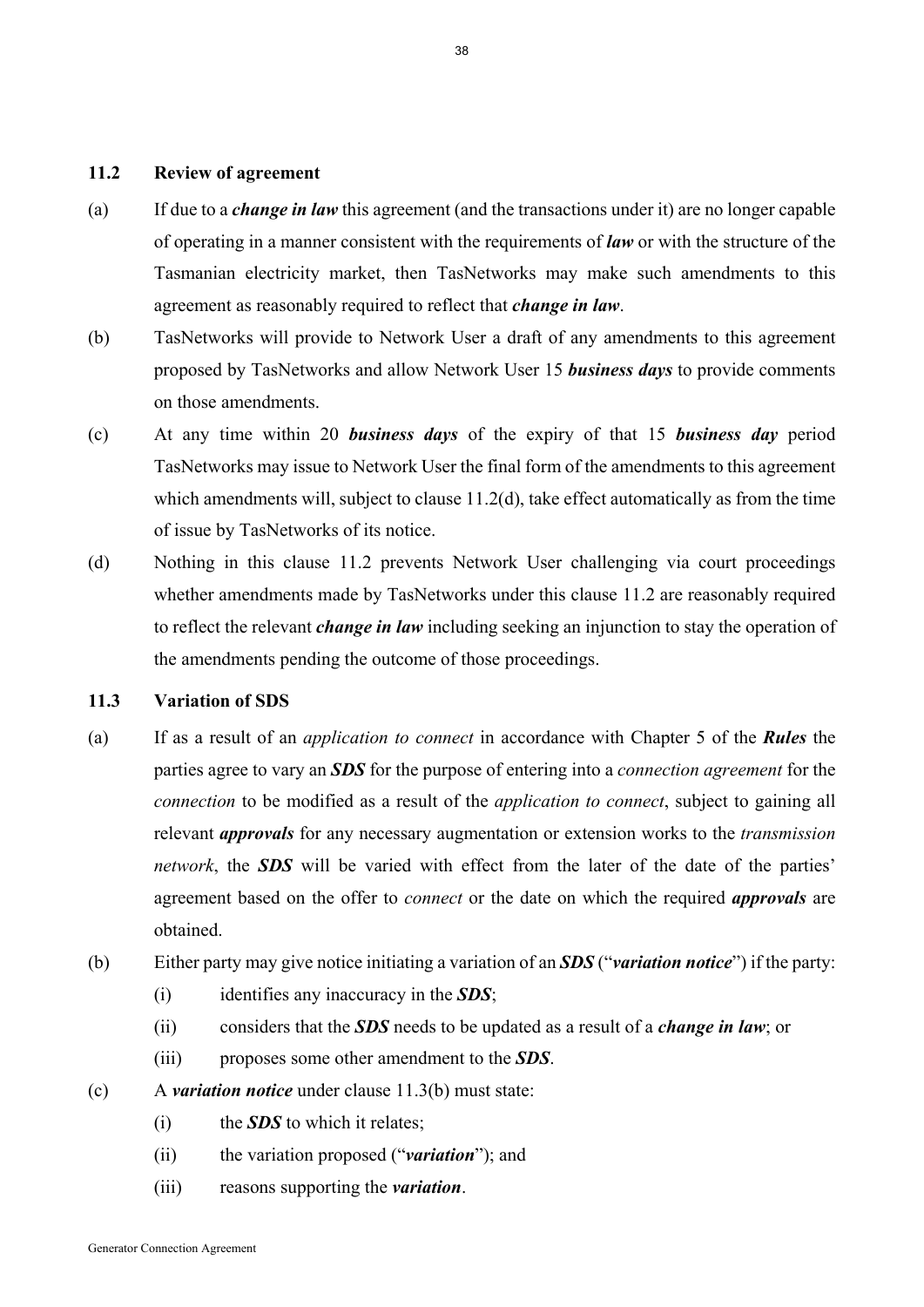## **11.2 Review of agreement**

- (a) If due to a *change in law* this agreement (and the transactions under it) are no longer capable of operating in a manner consistent with the requirements of *law* or with the structure of the Tasmanian electricity market, then TasNetworks may make such amendments to this agreement as reasonably required to reflect that *change in law*.
- (b) TasNetworks will provide to Network User a draft of any amendments to this agreement proposed by TasNetworks and allow Network User 15 *business days* to provide comments on those amendments.
- (c) At any time within 20 *business days* of the expiry of that 15 *business day* period TasNetworks may issue to Network User the final form of the amendments to this agreement which amendments will, subject to clause 11.2(d), take effect automatically as from the time of issue by TasNetworks of its notice.
- (d) Nothing in this clause 11.2 prevents Network User challenging via court proceedings whether amendments made by TasNetworks under this clause 11.2 are reasonably required to reflect the relevant *change in law* including seeking an injunction to stay the operation of the amendments pending the outcome of those proceedings.

#### **11.3 Variation of SDS**

- (a) If as a result of an *application to connect* in accordance with Chapter 5 of the *Rules* the parties agree to vary an *SDS* for the purpose of entering into a *connection agreement* for the *connection* to be modified as a result of the *application to connect*, subject to gaining all relevant *approvals* for any necessary augmentation or extension works to the *transmission network*, the **SDS** will be varied with effect from the later of the date of the parties' agreement based on the offer to *connect* or the date on which the required *approvals* are obtained.
- (b) Either party may give notice initiating a variation of an *SDS* ("*variation notice*") if the party:
	- (i) identifies any inaccuracy in the *SDS*;
	- (ii) considers that the *SDS* needs to be updated as a result of a *change in law*; or
	- (iii) proposes some other amendment to the *SDS*.
- (c) A *variation notice* under clause 11.3(b) must state:
	- (i) the *SDS* to which it relates;
	- (ii) the variation proposed ("*variation*"); and
	- (iii) reasons supporting the *variation*.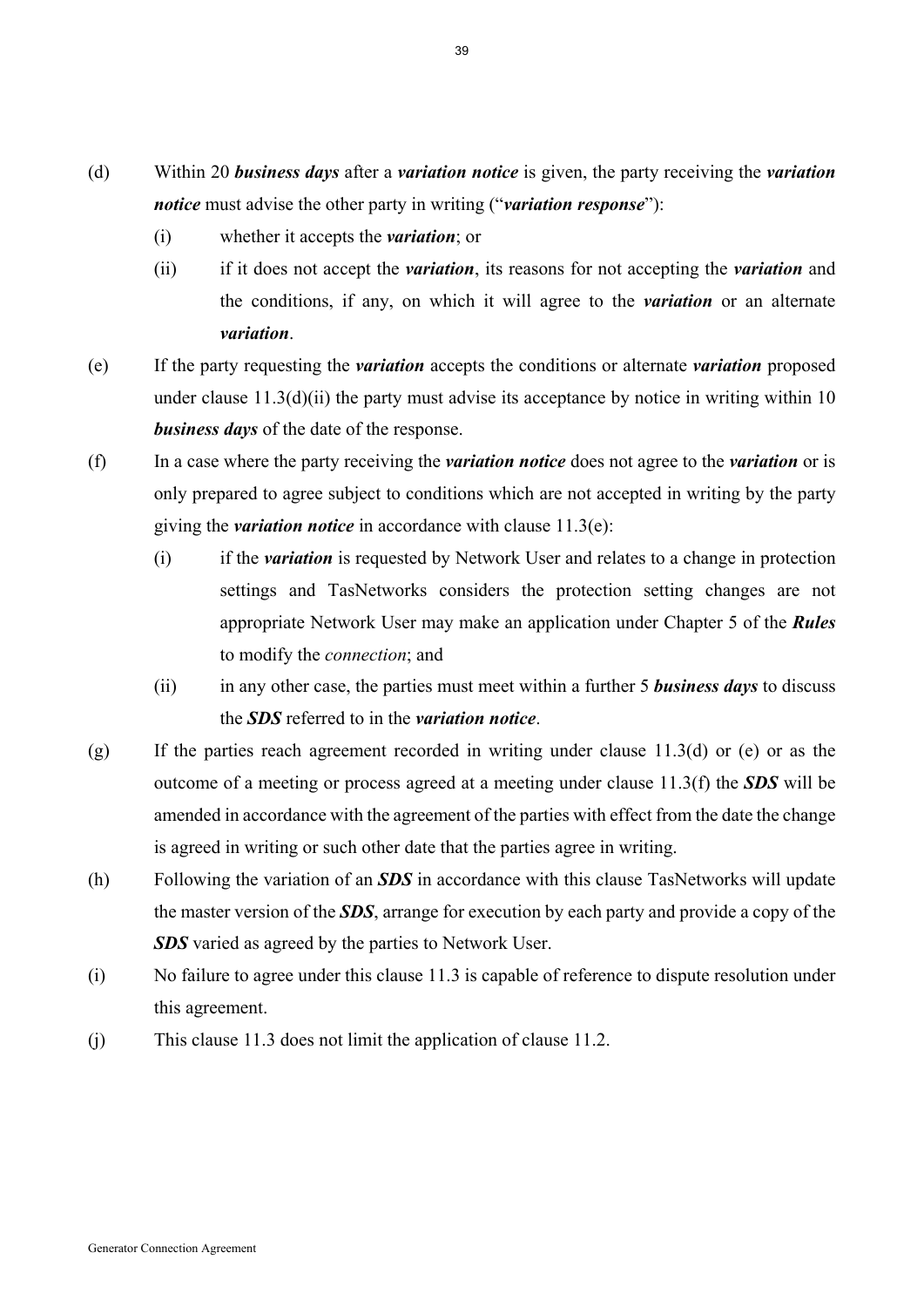- (d) Within 20 *business days* after a *variation notice* is given, the party receiving the *variation notice* must advise the other party in writing ("*variation response*"):
	- (i) whether it accepts the *variation*; or
	- (ii) if it does not accept the *variation*, its reasons for not accepting the *variation* and the conditions, if any, on which it will agree to the *variation* or an alternate *variation*.
- (e) If the party requesting the *variation* accepts the conditions or alternate *variation* proposed under clause  $11.3(d)(ii)$  the party must advise its acceptance by notice in writing within 10 *business days* of the date of the response.
- (f) In a case where the party receiving the *variation notice* does not agree to the *variation* or is only prepared to agree subject to conditions which are not accepted in writing by the party giving the *variation notice* in accordance with clause 11.3(e):
	- (i) if the *variation* is requested by Network User and relates to a change in protection settings and TasNetworks considers the protection setting changes are not appropriate Network User may make an application under Chapter 5 of the *Rules* to modify the *connection*; and
	- (ii) in any other case, the parties must meet within a further 5 *business days* to discuss the *SDS* referred to in the *variation notice*.
- $(g)$  If the parties reach agreement recorded in writing under clause 11.3(d) or (e) or as the outcome of a meeting or process agreed at a meeting under clause 11.3(f) the *SDS* will be amended in accordance with the agreement of the parties with effect from the date the change is agreed in writing or such other date that the parties agree in writing.
- (h) Following the variation of an *SDS* in accordance with this clause TasNetworks will update the master version of the *SDS*, arrange for execution by each party and provide a copy of the *SDS* varied as agreed by the parties to Network User.
- (i) No failure to agree under this clause 11.3 is capable of reference to dispute resolution under this agreement.
- (j) This clause 11.3 does not limit the application of clause 11.2.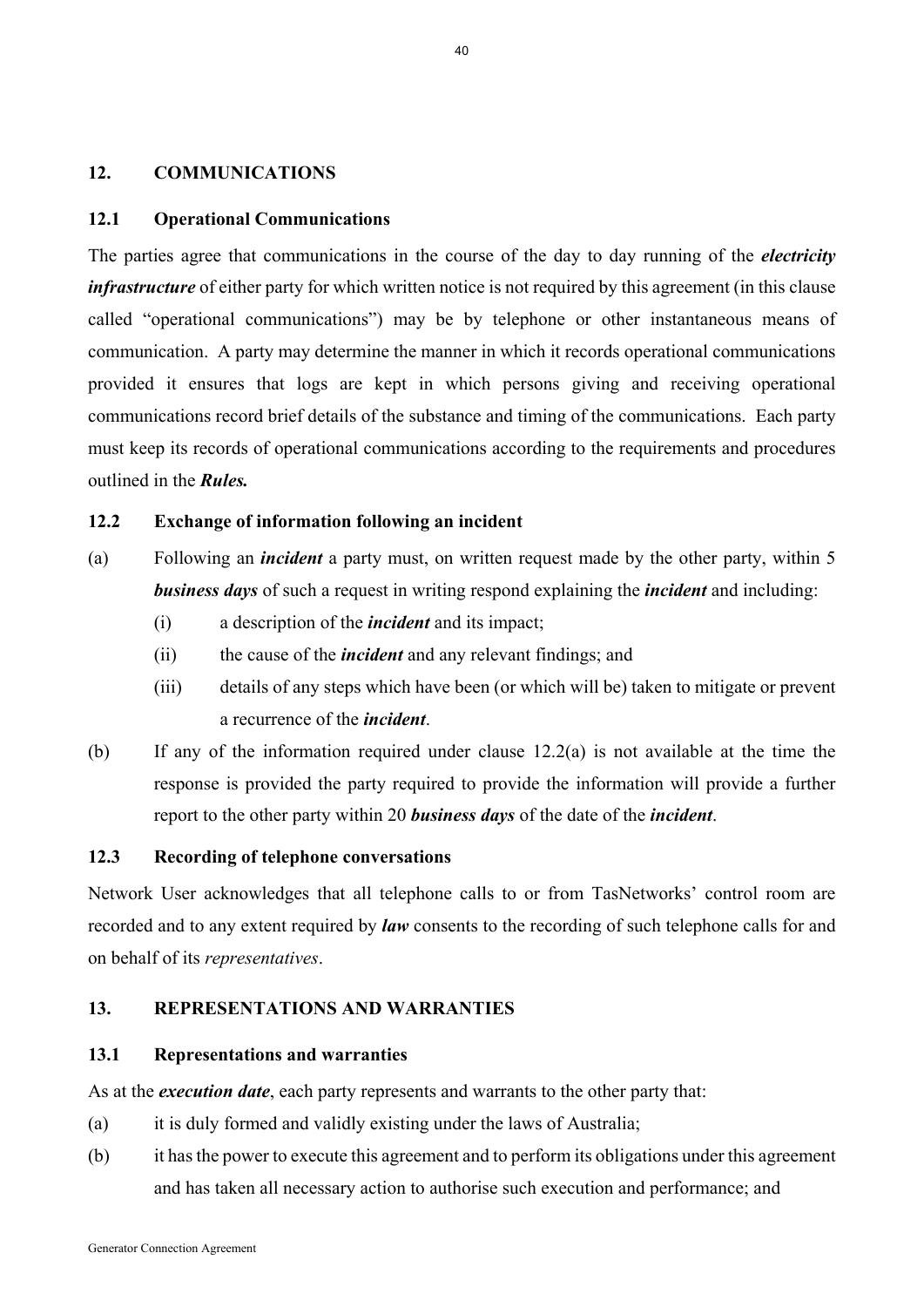#### **12. COMMUNICATIONS**

#### **12.1 Operational Communications**

The parties agree that communications in the course of the day to day running of the *electricity infrastructure* of either party for which written notice is not required by this agreement (in this clause called "operational communications") may be by telephone or other instantaneous means of communication. A party may determine the manner in which it records operational communications provided it ensures that logs are kept in which persons giving and receiving operational communications record brief details of the substance and timing of the communications. Each party must keep its records of operational communications according to the requirements and procedures outlined in the *Rules.*

# **12.2 Exchange of information following an incident**

- (a) Following an *incident* a party must, on written request made by the other party, within 5 *business days* of such a request in writing respond explaining the *incident* and including:
	- (i) a description of the *incident* and its impact;
	- (ii) the cause of the *incident* and any relevant findings; and
	- (iii) details of any steps which have been (or which will be) taken to mitigate or prevent a recurrence of the *incident*.
- (b) If any of the information required under clause 12.2(a) is not available at the time the response is provided the party required to provide the information will provide a further report to the other party within 20 *business days* of the date of the *incident*.

## **12.3 Recording of telephone conversations**

Network User acknowledges that all telephone calls to or from TasNetworks' control room are recorded and to any extent required by *law* consents to the recording of such telephone calls for and on behalf of its *representatives*.

#### **13. REPRESENTATIONS AND WARRANTIES**

#### **13.1 Representations and warranties**

As at the *execution date*, each party represents and warrants to the other party that:

- (a) it is duly formed and validly existing under the laws of Australia;
- (b) it has the power to execute this agreement and to perform its obligations under this agreement and has taken all necessary action to authorise such execution and performance; and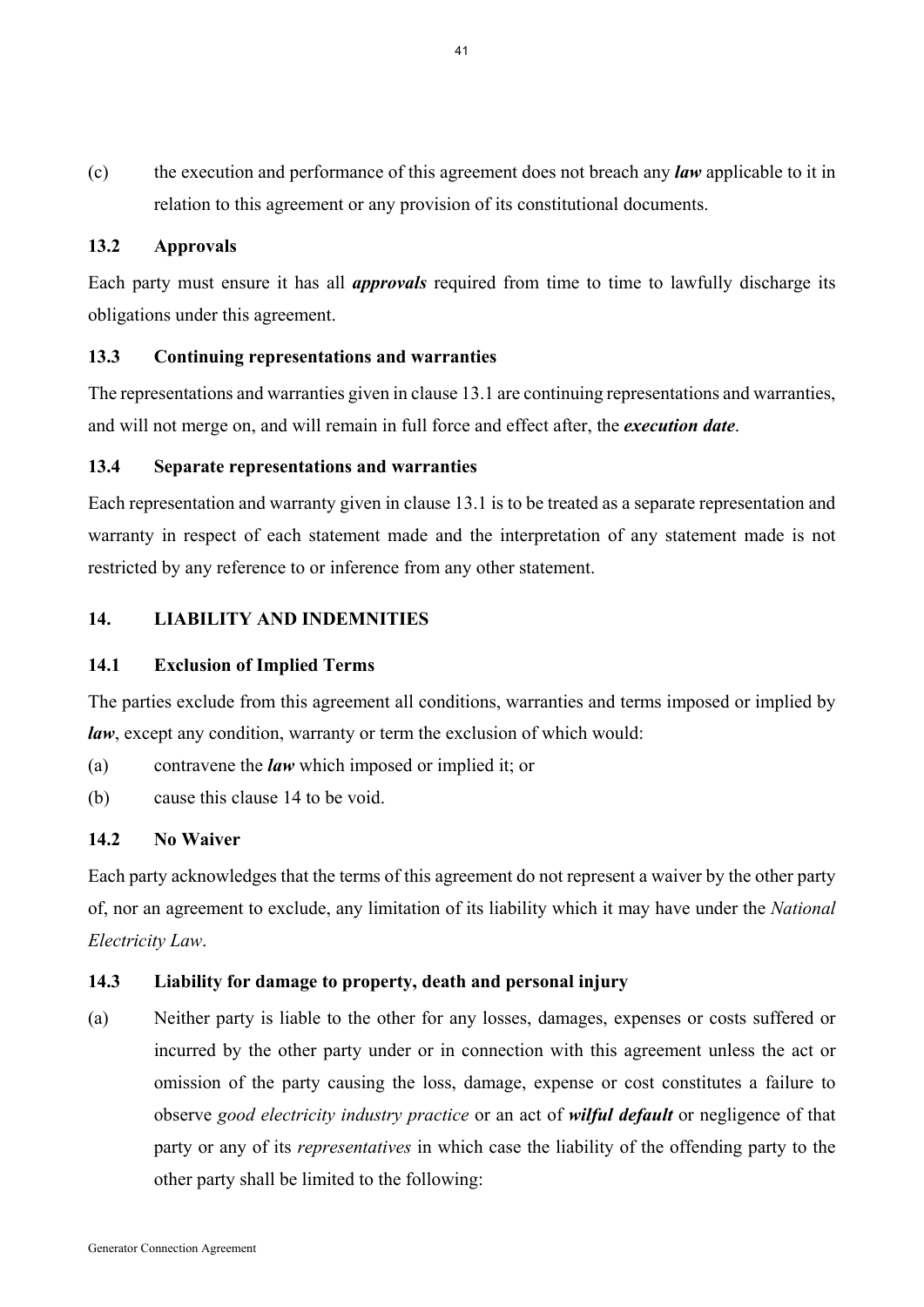(c) the execution and performance of this agreement does not breach any *law* applicable to it in relation to this agreement or any provision of its constitutional documents.

## **13.2 Approvals**

Each party must ensure it has all *approvals* required from time to time to lawfully discharge its obligations under this agreement.

## **13.3 Continuing representations and warranties**

The representations and warranties given in clause 13.1 are continuing representations and warranties, and will not merge on, and will remain in full force and effect after, the *execution date*.

## **13.4 Separate representations and warranties**

Each representation and warranty given in clause 13.1 is to be treated as a separate representation and warranty in respect of each statement made and the interpretation of any statement made is not restricted by any reference to or inference from any other statement.

#### **14. LIABILITY AND INDEMNITIES**

#### **14.1 Exclusion of Implied Terms**

The parties exclude from this agreement all conditions, warranties and terms imposed or implied by *law*, except any condition, warranty or term the exclusion of which would:

- (a) contravene the *law* which imposed or implied it; or
- (b) cause this clause 14 to be void.

#### **14.2 No Waiver**

Each party acknowledges that the terms of this agreement do not represent a waiver by the other party of, nor an agreement to exclude, any limitation of its liability which it may have under the *National Electricity Law*.

## **14.3 Liability for damage to property, death and personal injury**

(a) Neither party is liable to the other for any losses, damages, expenses or costs suffered or incurred by the other party under or in connection with this agreement unless the act or omission of the party causing the loss, damage, expense or cost constitutes a failure to observe *good electricity industry practice* or an act of *wilful default* or negligence of that party or any of its *representatives* in which case the liability of the offending party to the other party shall be limited to the following: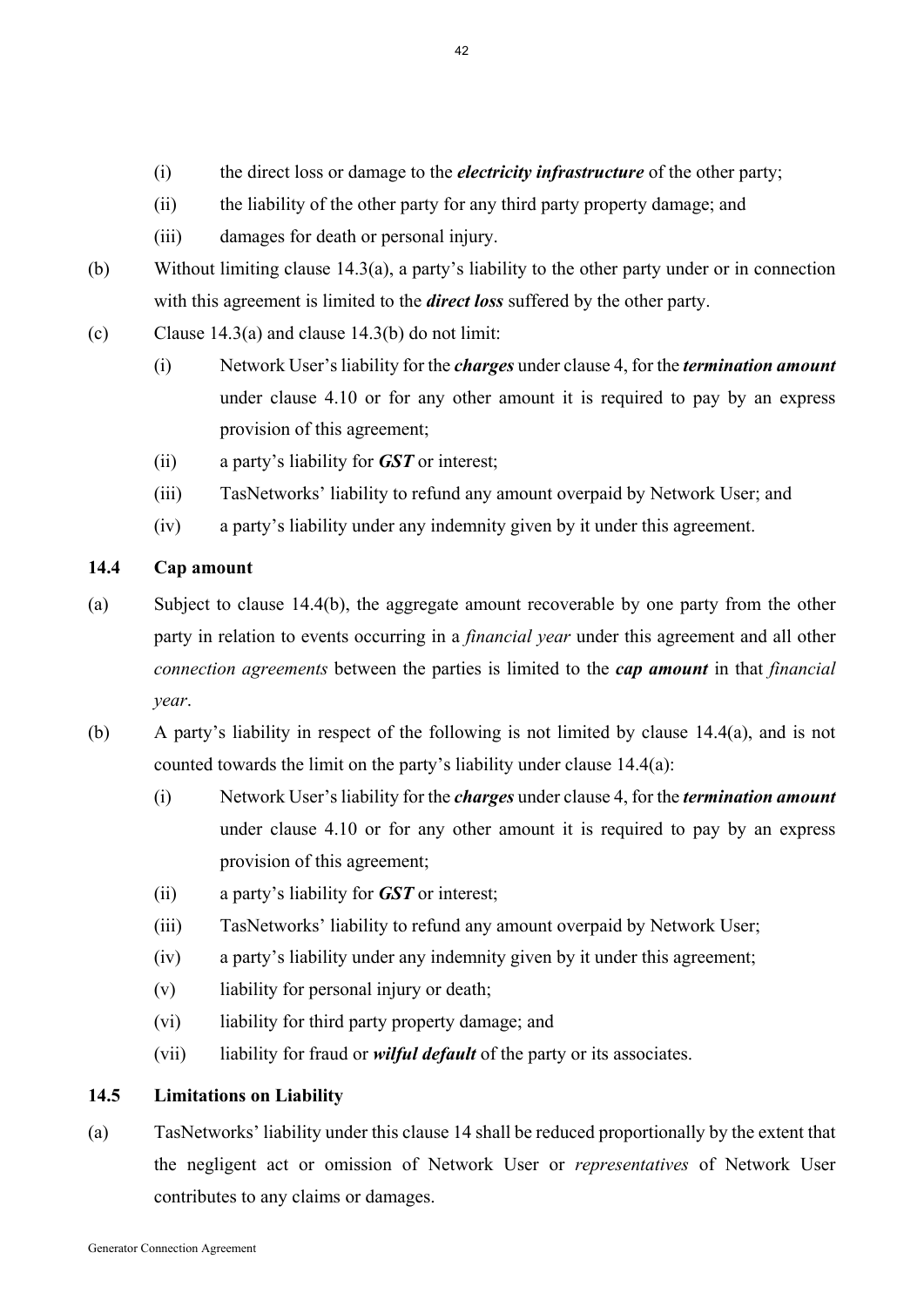- (i) the direct loss or damage to the *electricity infrastructure* of the other party;
- (ii) the liability of the other party for any third party property damage; and
- (iii) damages for death or personal injury.
- (b) Without limiting clause 14.3(a), a party's liability to the other party under or in connection with this agreement is limited to the *direct loss* suffered by the other party.
- (c) Clause 14.3(a) and clause 14.3(b) do not limit:
	- (i) Network User's liability for the *charges* under clause 4, for the *termination amount*  under clause 4.10 or for any other amount it is required to pay by an express provision of this agreement;
	- (ii) a party's liability for *GST* or interest;
	- (iii) TasNetworks' liability to refund any amount overpaid by Network User; and
	- (iv) a party's liability under any indemnity given by it under this agreement.

# **14.4 Cap amount**

- (a) Subject to clause 14.4(b), the aggregate amount recoverable by one party from the other party in relation to events occurring in a *financial year* under this agreement and all other *connection agreements* between the parties is limited to the *cap amount* in that *financial year*.
- (b) A party's liability in respect of the following is not limited by clause 14.4(a), and is not counted towards the limit on the party's liability under clause 14.4(a):
	- (i) Network User's liability for the *charges* under clause 4, for the *termination amount*  under clause 4.10 or for any other amount it is required to pay by an express provision of this agreement;
	- (ii) a party's liability for *GST* or interest;
	- (iii) TasNetworks' liability to refund any amount overpaid by Network User;
	- (iv) a party's liability under any indemnity given by it under this agreement;
	- (v) liability for personal injury or death;
	- (vi) liability for third party property damage; and
	- (vii) liability for fraud or *wilful default* of the party or its associates.

# **14.5 Limitations on Liability**

(a) TasNetworks' liability under this clause 14 shall be reduced proportionally by the extent that the negligent act or omission of Network User or *representatives* of Network User contributes to any claims or damages.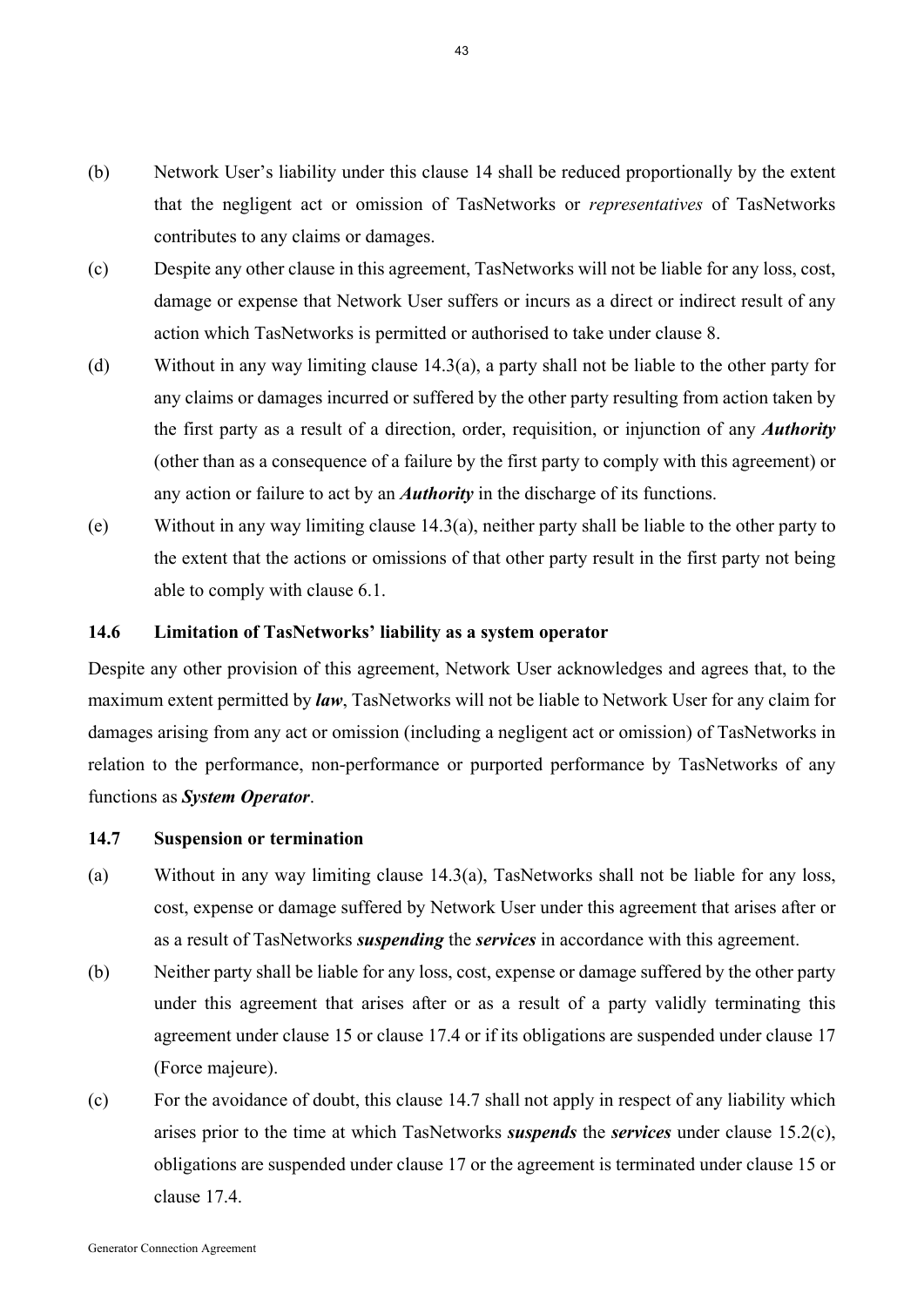- (b) Network User's liability under this clause 14 shall be reduced proportionally by the extent that the negligent act or omission of TasNetworks or *representatives* of TasNetworks contributes to any claims or damages.
- (c) Despite any other clause in this agreement, TasNetworks will not be liable for any loss, cost, damage or expense that Network User suffers or incurs as a direct or indirect result of any action which TasNetworks is permitted or authorised to take under clause 8.
- (d) Without in any way limiting clause 14.3(a), a party shall not be liable to the other party for any claims or damages incurred or suffered by the other party resulting from action taken by the first party as a result of a direction, order, requisition, or injunction of any *Authority* (other than as a consequence of a failure by the first party to comply with this agreement) or any action or failure to act by an *Authority* in the discharge of its functions.
- (e) Without in any way limiting clause 14.3(a), neither party shall be liable to the other party to the extent that the actions or omissions of that other party result in the first party not being able to comply with clause 6.1.

#### **14.6 Limitation of TasNetworks' liability as a system operator**

Despite any other provision of this agreement, Network User acknowledges and agrees that, to the maximum extent permitted by *law*, TasNetworks will not be liable to Network User for any claim for damages arising from any act or omission (including a negligent act or omission) of TasNetworks in relation to the performance, non-performance or purported performance by TasNetworks of any functions as *System Operator*.

#### **14.7 Suspension or termination**

- (a) Without in any way limiting clause  $14.3(a)$ , TasNetworks shall not be liable for any loss, cost, expense or damage suffered by Network User under this agreement that arises after or as a result of TasNetworks *suspending* the *services* in accordance with this agreement.
- (b) Neither party shall be liable for any loss, cost, expense or damage suffered by the other party under this agreement that arises after or as a result of a party validly terminating this agreement under clause 15 or clause 17.4 or if its obligations are suspended under clause 17 (Force majeure).
- (c) For the avoidance of doubt, this clause 14.7 shall not apply in respect of any liability which arises prior to the time at which TasNetworks *suspends* the *services* under clause 15.2(c), obligations are suspended under clause 17 or the agreement is terminated under clause 15 or clause 17.4.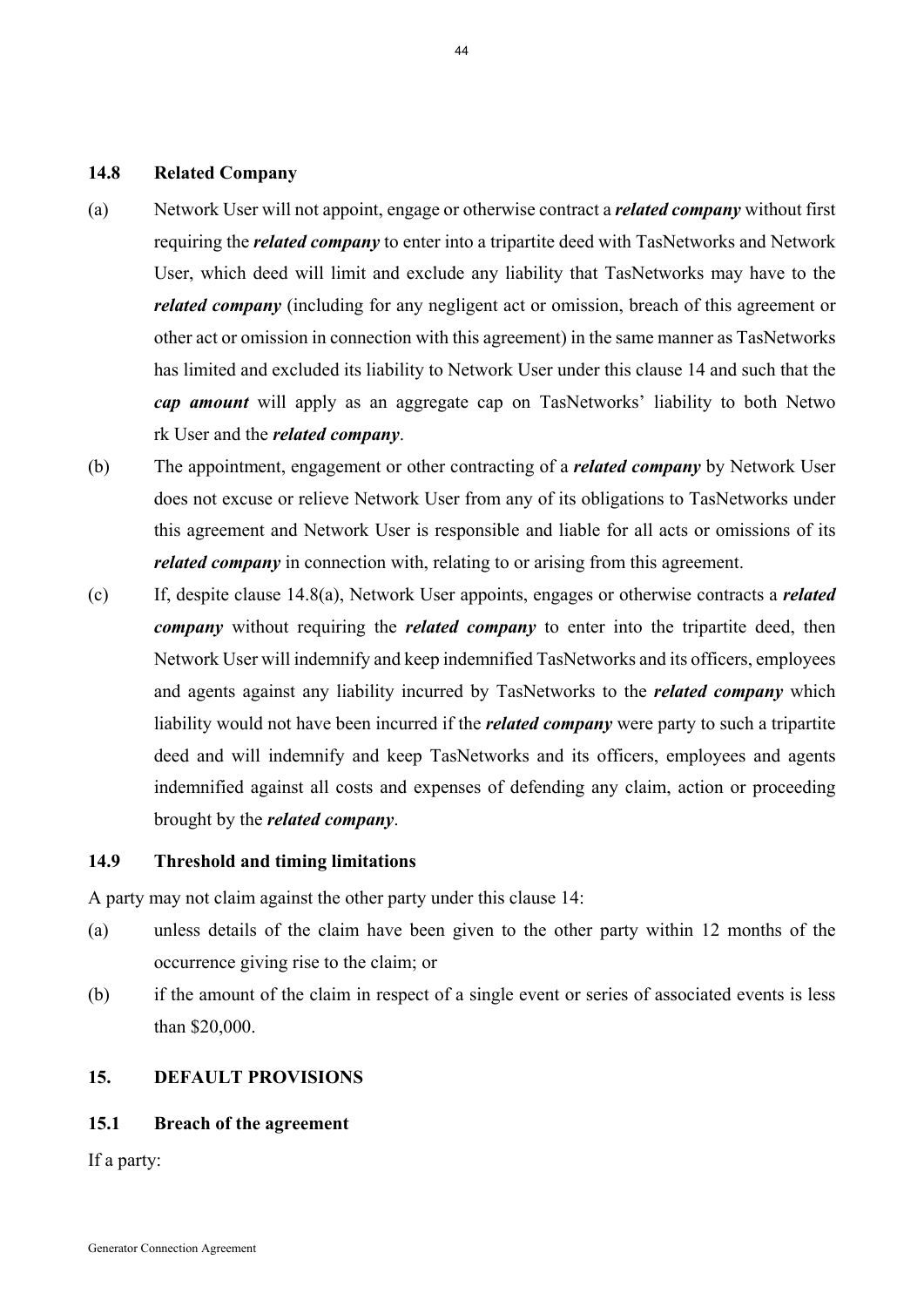#### **14.8 Related Company**

- (a) Network User will not appoint, engage or otherwise contract a *related company* without first requiring the *related company* to enter into a tripartite deed with TasNetworks and Network User, which deed will limit and exclude any liability that TasNetworks may have to the *related company* (including for any negligent act or omission, breach of this agreement or other act or omission in connection with this agreement) in the same manner as TasNetworks has limited and excluded its liability to Network User under this clause 14 and such that the *cap amount* will apply as an aggregate cap on TasNetworks' liability to both Netwo rk User and the *related company*.
- (b) The appointment, engagement or other contracting of a *related company* by Network User does not excuse or relieve Network User from any of its obligations to TasNetworks under this agreement and Network User is responsible and liable for all acts or omissions of its *related company* in connection with, relating to or arising from this agreement.
- (c) If, despite clause 14.8(a), Network User appoints, engages or otherwise contracts a *related company* without requiring the *related company* to enter into the tripartite deed, then Network User will indemnify and keep indemnified TasNetworks and its officers, employees and agents against any liability incurred by TasNetworks to the *related company* which liability would not have been incurred if the *related company* were party to such a tripartite deed and will indemnify and keep TasNetworks and its officers, employees and agents indemnified against all costs and expenses of defending any claim, action or proceeding brought by the *related company*.

#### **14.9 Threshold and timing limitations**

A party may not claim against the other party under this clause 14:

- (a) unless details of the claim have been given to the other party within 12 months of the occurrence giving rise to the claim; or
- (b) if the amount of the claim in respect of a single event or series of associated events is less than \$20,000.

#### **15. DEFAULT PROVISIONS**

#### **15.1 Breach of the agreement**

If a party: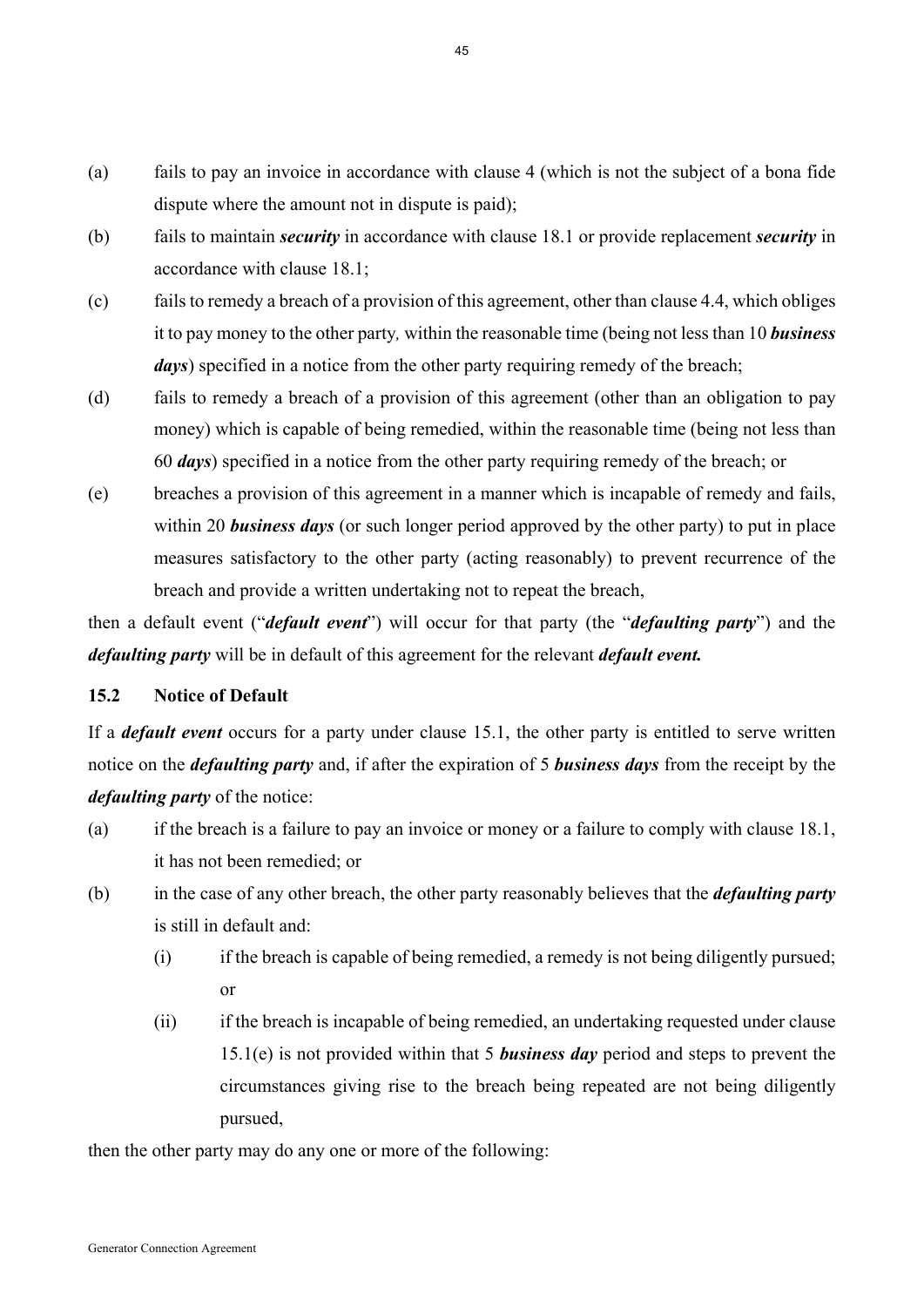- (a) fails to pay an invoice in accordance with clause 4 (which is not the subject of a bona fide dispute where the amount not in dispute is paid);
- (b) fails to maintain *security* in accordance with clause 18.1 or provide replacement *security* in accordance with clause 18.1;
- (c) fails to remedy a breach of a provision of this agreement, other than clause 4.4, which obliges it to pay money to the other party*,* within the reasonable time (being not less than 10 *business days*) specified in a notice from the other party requiring remedy of the breach;
- (d) fails to remedy a breach of a provision of this agreement (other than an obligation to pay money) which is capable of being remedied, within the reasonable time (being not less than 60 *days*) specified in a notice from the other party requiring remedy of the breach; or
- (e) breaches a provision of this agreement in a manner which is incapable of remedy and fails, within 20 *business days* (or such longer period approved by the other party) to put in place measures satisfactory to the other party (acting reasonably) to prevent recurrence of the breach and provide a written undertaking not to repeat the breach,

then a default event ("*default event*") will occur for that party (the "*defaulting party*") and the *defaulting party* will be in default of this agreement for the relevant *default event.*

#### **15.2 Notice of Default**

If a *default event* occurs for a party under clause 15.1, the other party is entitled to serve written notice on the *defaulting party* and, if after the expiration of 5 *business days* from the receipt by the *defaulting party* of the notice:

- (a) if the breach is a failure to pay an invoice or money or a failure to comply with clause 18.1, it has not been remedied; or
- (b) in the case of any other breach, the other party reasonably believes that the *defaulting party* is still in default and:
	- (i) if the breach is capable of being remedied, a remedy is not being diligently pursued; or
	- (ii) if the breach is incapable of being remedied, an undertaking requested under clause 15.1(e) is not provided within that 5 *business day* period and steps to prevent the circumstances giving rise to the breach being repeated are not being diligently pursued,

then the other party may do any one or more of the following: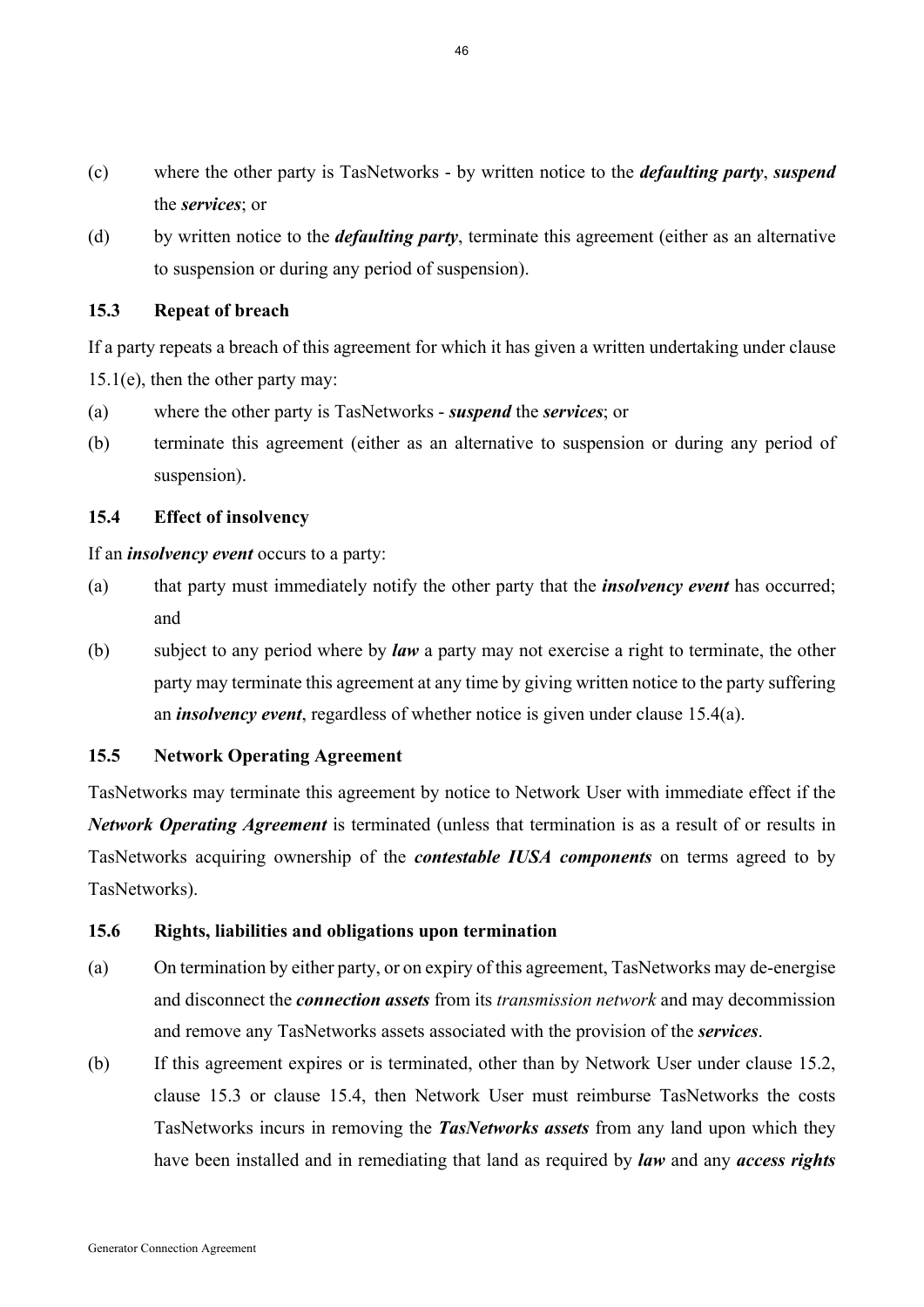- (c) where the other party is TasNetworks by written notice to the *defaulting party*, *suspend* the *services*; or
- (d) by written notice to the *defaulting party*, terminate this agreement (either as an alternative to suspension or during any period of suspension).

### **15.3 Repeat of breach**

If a party repeats a breach of this agreement for which it has given a written undertaking under clause 15.1(e), then the other party may:

- (a) where the other party is TasNetworks *suspend* the *services*; or
- (b) terminate this agreement (either as an alternative to suspension or during any period of suspension).

## **15.4 Effect of insolvency**

If an *insolvency event* occurs to a party:

- (a) that party must immediately notify the other party that the *insolvency event* has occurred; and
- (b) subject to any period where by *law* a party may not exercise a right to terminate, the other party may terminate this agreement at any time by giving written notice to the party suffering an *insolvency event*, regardless of whether notice is given under clause 15.4(a).

# **15.5 Network Operating Agreement**

TasNetworks may terminate this agreement by notice to Network User with immediate effect if the *Network Operating Agreement* is terminated (unless that termination is as a result of or results in TasNetworks acquiring ownership of the *contestable IUSA components* on terms agreed to by TasNetworks).

### **15.6 Rights, liabilities and obligations upon termination**

- (a) On termination by either party, or on expiry of this agreement, TasNetworks may de-energise and disconnect the *connection assets* from its *transmission network* and may decommission and remove any TasNetworks assets associated with the provision of the *services*.
- (b) If this agreement expires or is terminated, other than by Network User under clause 15.2, clause 15.3 or clause 15.4, then Network User must reimburse TasNetworks the costs TasNetworks incurs in removing the *TasNetworks assets* from any land upon which they have been installed and in remediating that land as required by *law* and any *access rights*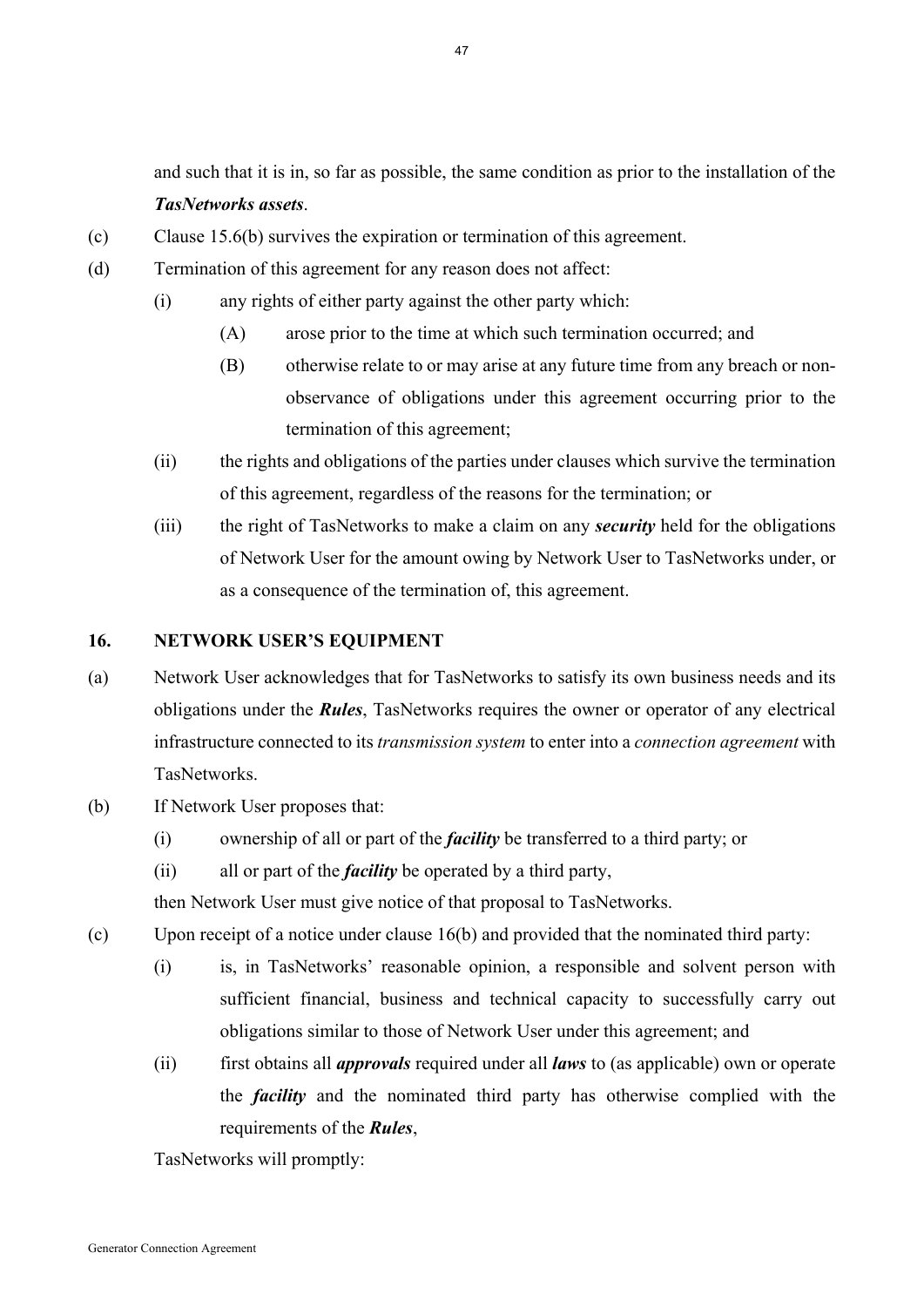and such that it is in, so far as possible, the same condition as prior to the installation of the *TasNetworks assets*.

- (c) Clause 15.6(b) survives the expiration or termination of this agreement.
- (d) Termination of this agreement for any reason does not affect:
	- (i) any rights of either party against the other party which:
		- (A) arose prior to the time at which such termination occurred; and
		- (B) otherwise relate to or may arise at any future time from any breach or nonobservance of obligations under this agreement occurring prior to the termination of this agreement;
	- (ii) the rights and obligations of the parties under clauses which survive the termination of this agreement, regardless of the reasons for the termination; or
	- (iii) the right of TasNetworks to make a claim on any *security* held for the obligations of Network User for the amount owing by Network User to TasNetworks under, or as a consequence of the termination of, this agreement.

### **16. NETWORK USER'S EQUIPMENT**

- (a) Network User acknowledges that for TasNetworks to satisfy its own business needs and its obligations under the *Rules*, TasNetworks requires the owner or operator of any electrical infrastructure connected to its *transmission system* to enter into a *connection agreement* with TasNetworks.
- (b) If Network User proposes that:
	- (i) ownership of all or part of the *facility* be transferred to a third party; or
	- (ii) all or part of the *facility* be operated by a third party,

then Network User must give notice of that proposal to TasNetworks.

- (c) Upon receipt of a notice under clause 16(b) and provided that the nominated third party:
	- (i) is, in TasNetworks' reasonable opinion, a responsible and solvent person with sufficient financial, business and technical capacity to successfully carry out obligations similar to those of Network User under this agreement; and
	- (ii) first obtains all *approvals* required under all *laws* to (as applicable) own or operate the *facility* and the nominated third party has otherwise complied with the requirements of the *Rules*,

TasNetworks will promptly: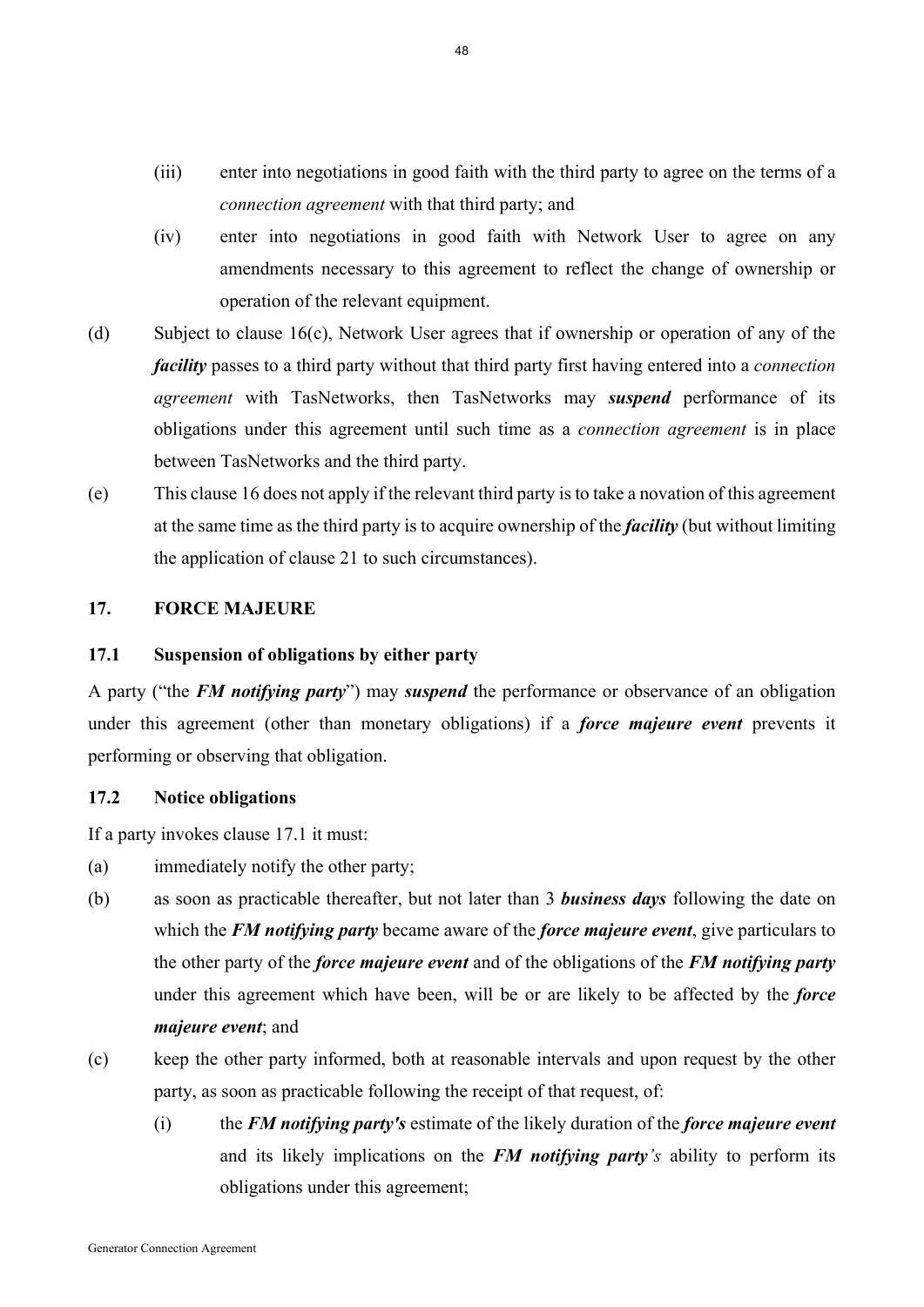- (iii) enter into negotiations in good faith with the third party to agree on the terms of a *connection agreement* with that third party; and
- (iv) enter into negotiations in good faith with Network User to agree on any amendments necessary to this agreement to reflect the change of ownership or operation of the relevant equipment.
- (d) Subject to clause 16(c), Network User agrees that if ownership or operation of any of the *facility* passes to a third party without that third party first having entered into a *connection agreement* with TasNetworks, then TasNetworks may *suspend* performance of its obligations under this agreement until such time as a *connection agreement* is in place between TasNetworks and the third party.
- (e) This clause 16 does not apply if the relevant third party is to take a novation of this agreement at the same time as the third party is to acquire ownership of the *facility* (but without limiting the application of clause 21 to such circumstances).

## **17. FORCE MAJEURE**

### **17.1 Suspension of obligations by either party**

A party ("the *FM notifying party*") may *suspend* the performance or observance of an obligation under this agreement (other than monetary obligations) if a *force majeure event* prevents it performing or observing that obligation.

## **17.2 Notice obligations**

If a party invokes clause 17.1 it must:

- (a) immediately notify the other party;
- (b) as soon as practicable thereafter, but not later than 3 *business days* following the date on which the *FM notifying party* became aware of the *force majeure event*, give particulars to the other party of the *force majeure event* and of the obligations of the *FM notifying party* under this agreement which have been, will be or are likely to be affected by the *force majeure event*; and
- (c) keep the other party informed, both at reasonable intervals and upon request by the other party, as soon as practicable following the receipt of that request, of:
	- (i) the *FM notifying party's* estimate of the likely duration of the *force majeure event* and its likely implications on the *FM notifying party's* ability to perform its obligations under this agreement;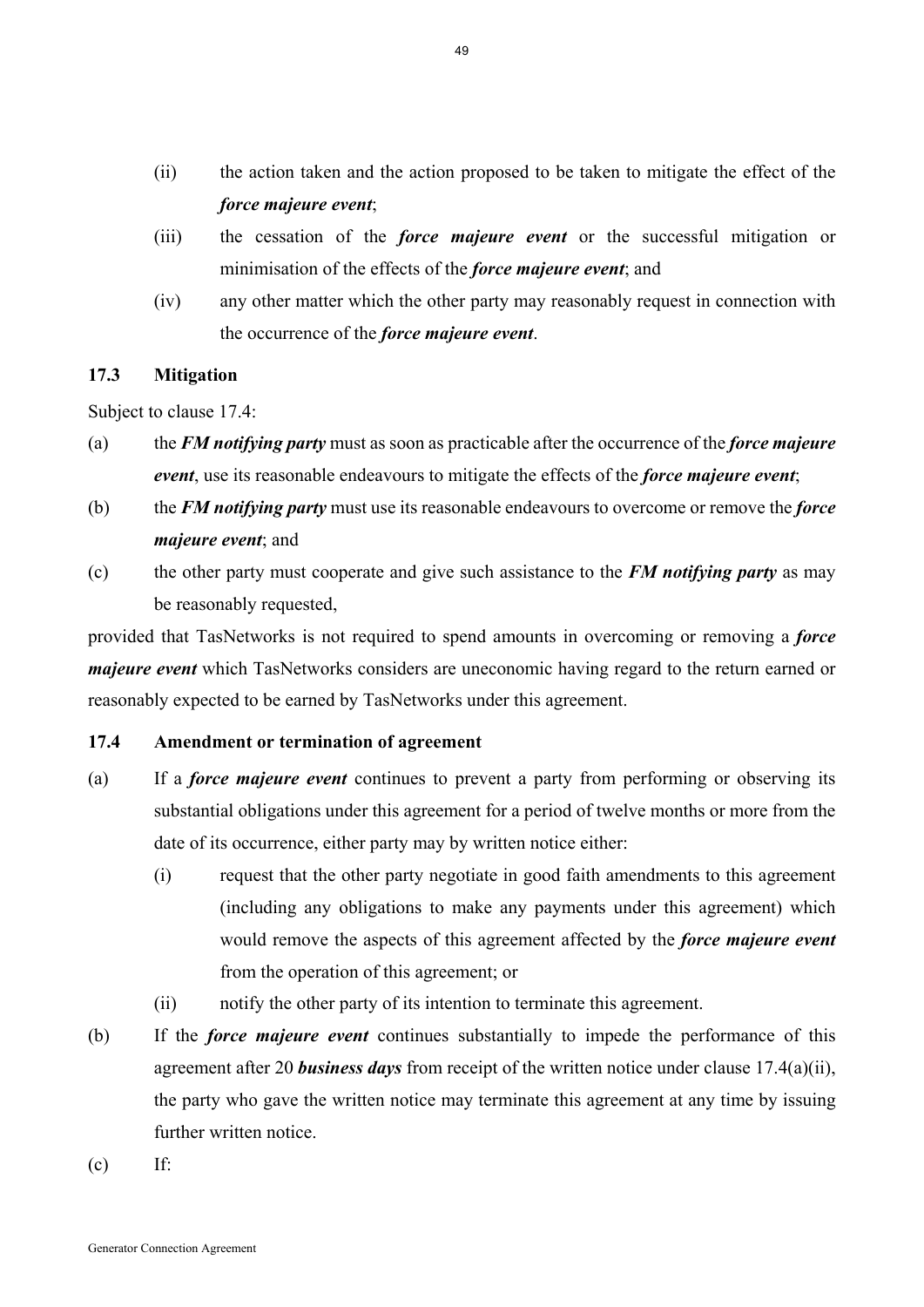- (ii) the action taken and the action proposed to be taken to mitigate the effect of the *force majeure event*;
- (iii) the cessation of the *force majeure event* or the successful mitigation or minimisation of the effects of the *force majeure event*; and
- (iv) any other matter which the other party may reasonably request in connection with the occurrence of the *force majeure event*.

## **17.3 Mitigation**

Subject to clause 17.4:

- (a) the *FM notifying party* must as soon as practicable after the occurrence of the *force majeure event*, use its reasonable endeavours to mitigate the effects of the *force majeure event*;
- (b) the *FM notifying party* must use its reasonable endeavours to overcome or remove the *force majeure event*; and
- (c) the other party must cooperate and give such assistance to the *FM notifying party* as may be reasonably requested,

provided that TasNetworks is not required to spend amounts in overcoming or removing a *force majeure event* which TasNetworks considers are uneconomic having regard to the return earned or reasonably expected to be earned by TasNetworks under this agreement.

# **17.4 Amendment or termination of agreement**

- (a) If a *force majeure event* continues to prevent a party from performing or observing its substantial obligations under this agreement for a period of twelve months or more from the date of its occurrence, either party may by written notice either:
	- (i) request that the other party negotiate in good faith amendments to this agreement (including any obligations to make any payments under this agreement) which would remove the aspects of this agreement affected by the *force majeure event* from the operation of this agreement; or
	- (ii) notify the other party of its intention to terminate this agreement.
- (b) If the *force majeure event* continues substantially to impede the performance of this agreement after 20 *business days* from receipt of the written notice under clause 17.4(a)(ii), the party who gave the written notice may terminate this agreement at any time by issuing further written notice.
- $(c)$  If: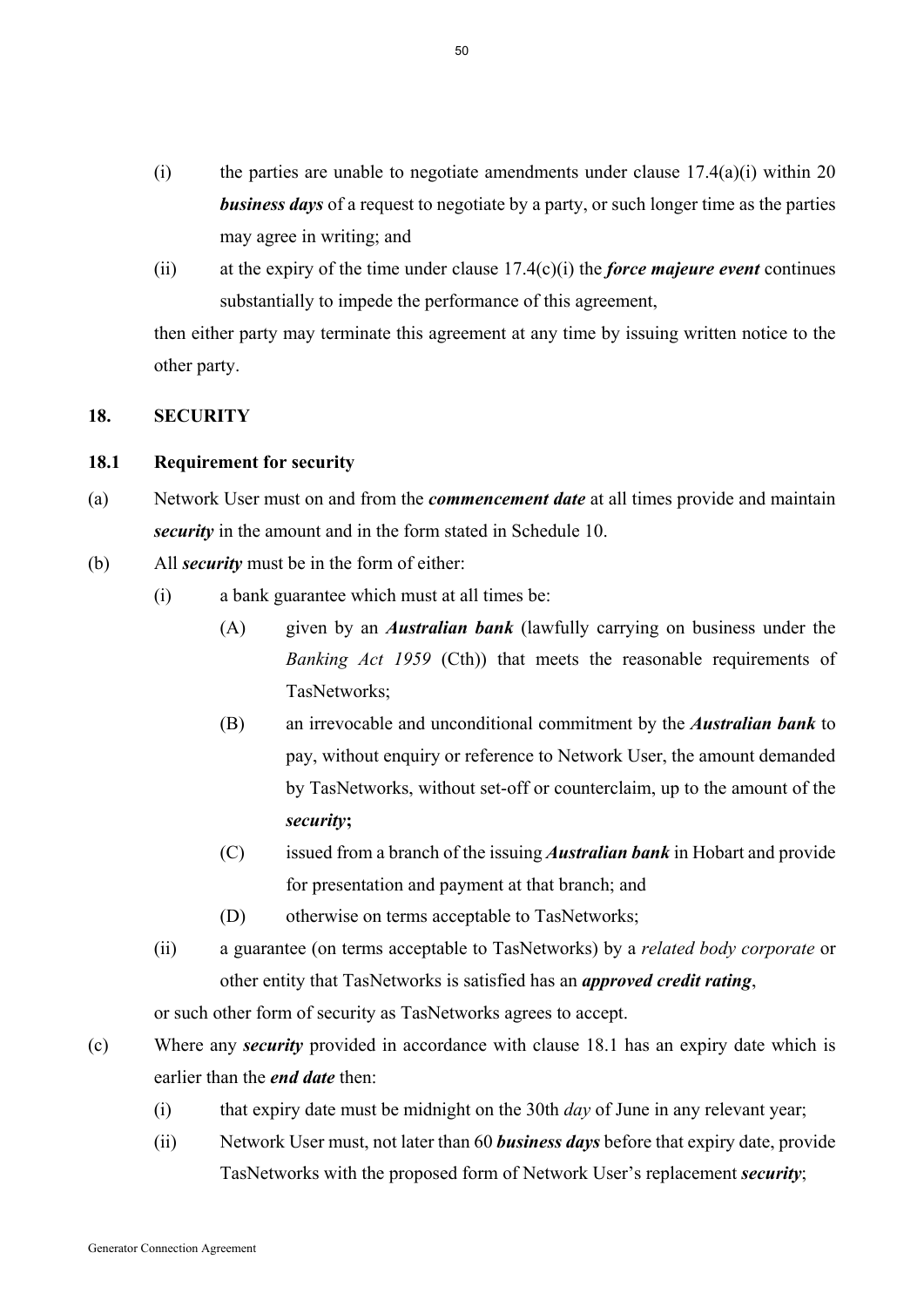- (i) the parties are unable to negotiate amendments under clause  $17.4(a)(i)$  within 20 *business days* of a request to negotiate by a party, or such longer time as the parties may agree in writing; and
- (ii) at the expiry of the time under clause 17.4(c)(i) the *force majeure event* continues substantially to impede the performance of this agreement,

then either party may terminate this agreement at any time by issuing written notice to the other party.

### **18. SECURITY**

### **18.1 Requirement for security**

- (a) Network User must on and from the *commencement date* at all times provide and maintain *security* in the amount and in the form stated in Schedule 10.
- (b) All *security* must be in the form of either:
	- (i) a bank guarantee which must at all times be:
		- (A) given by an *Australian bank* (lawfully carrying on business under the *Banking Act 1959* (Cth)) that meets the reasonable requirements of TasNetworks;
		- (B) an irrevocable and unconditional commitment by the *Australian bank* to pay, without enquiry or reference to Network User, the amount demanded by TasNetworks, without set-off or counterclaim, up to the amount of the *security***;**
		- (C) issued from a branch of the issuing *Australian bank* in Hobart and provide for presentation and payment at that branch; and
		- (D) otherwise on terms acceptable to TasNetworks;
	- (ii) a guarantee (on terms acceptable to TasNetworks) by a *related body corporate* or other entity that TasNetworks is satisfied has an *approved credit rating*,

or such other form of security as TasNetworks agrees to accept.

- (c) Where any *security* provided in accordance with clause 18.1 has an expiry date which is earlier than the *end date* then:
	- (i) that expiry date must be midnight on the 30th *day* of June in any relevant year;
	- (ii) Network User must, not later than 60 *business days* before that expiry date, provide TasNetworks with the proposed form of Network User's replacement *security*;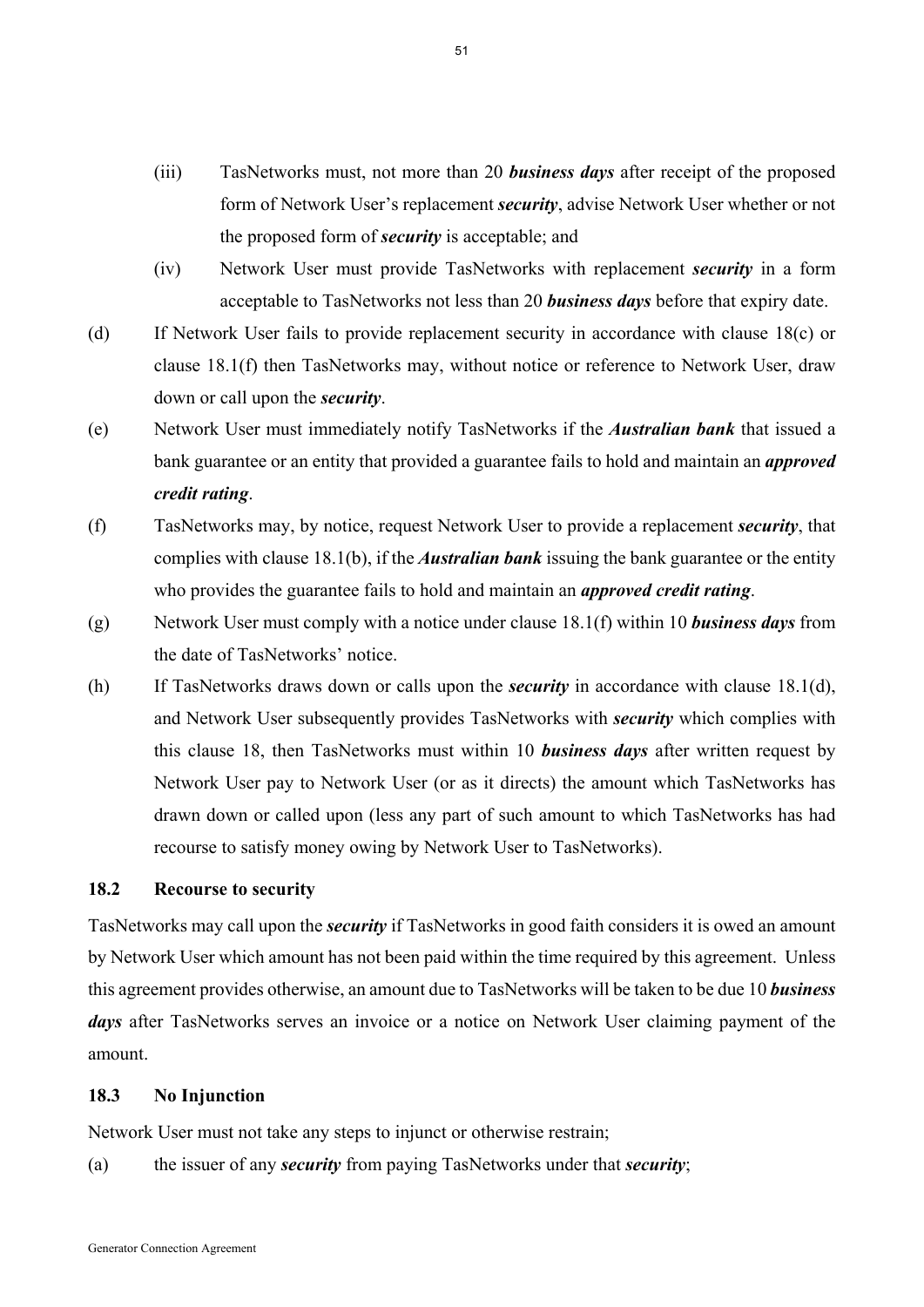- (iii) TasNetworks must, not more than 20 *business days* after receipt of the proposed form of Network User's replacement *security*, advise Network User whether or not the proposed form of *security* is acceptable; and
- (iv) Network User must provide TasNetworks with replacement *security* in a form acceptable to TasNetworks not less than 20 *business days* before that expiry date.
- (d) If Network User fails to provide replacement security in accordance with clause 18(c) or clause 18.1(f) then TasNetworks may, without notice or reference to Network User, draw down or call upon the *security*.
- (e) Network User must immediately notify TasNetworks if the *Australian bank* that issued a bank guarantee or an entity that provided a guarantee fails to hold and maintain an *approved credit rating*.
- (f) TasNetworks may, by notice, request Network User to provide a replacement *security*, that complies with clause 18.1(b), if the *Australian bank* issuing the bank guarantee or the entity who provides the guarantee fails to hold and maintain an *approved credit rating*.
- (g) Network User must comply with a notice under clause 18.1(f) within 10 *business days* from the date of TasNetworks' notice.
- (h) If TasNetworks draws down or calls upon the *security* in accordance with clause 18.1(d), and Network User subsequently provides TasNetworks with *security* which complies with this clause 18, then TasNetworks must within 10 *business days* after written request by Network User pay to Network User (or as it directs) the amount which TasNetworks has drawn down or called upon (less any part of such amount to which TasNetworks has had recourse to satisfy money owing by Network User to TasNetworks).

### **18.2 Recourse to security**

TasNetworks may call upon the *security* if TasNetworks in good faith considers it is owed an amount by Network User which amount has not been paid within the time required by this agreement. Unless this agreement provides otherwise, an amount due to TasNetworks will be taken to be due 10 *business days* after TasNetworks serves an invoice or a notice on Network User claiming payment of the amount.

## **18.3 No Injunction**

Network User must not take any steps to injunct or otherwise restrain;

(a) the issuer of any *security* from paying TasNetworks under that *security*;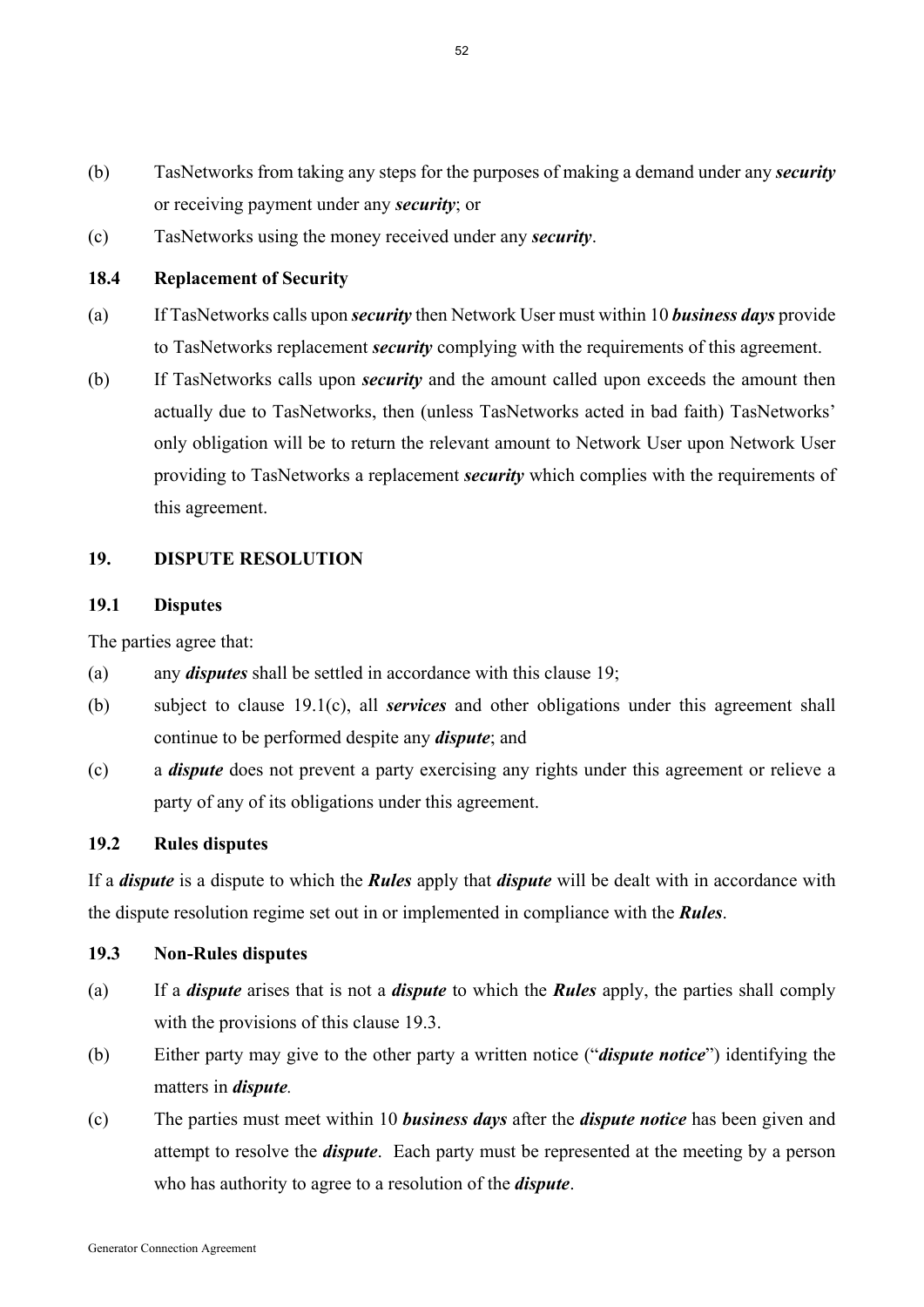- (b) TasNetworks from taking any steps for the purposes of making a demand under any *security* or receiving payment under any *security*; or
- (c) TasNetworks using the money received under any *security*.

## **18.4 Replacement of Security**

- (a) If TasNetworks calls upon *security* then Network User must within 10 *business days* provide to TasNetworks replacement *security* complying with the requirements of this agreement.
- (b) If TasNetworks calls upon *security* and the amount called upon exceeds the amount then actually due to TasNetworks, then (unless TasNetworks acted in bad faith) TasNetworks' only obligation will be to return the relevant amount to Network User upon Network User providing to TasNetworks a replacement *security* which complies with the requirements of this agreement.

## **19. DISPUTE RESOLUTION**

#### **19.1 Disputes**

The parties agree that:

- (a) any *disputes* shall be settled in accordance with this clause 19;
- (b) subject to clause 19.1(c), all *services* and other obligations under this agreement shall continue to be performed despite any *dispute*; and
- (c) a *dispute* does not prevent a party exercising any rights under this agreement or relieve a party of any of its obligations under this agreement.

## **19.2 Rules disputes**

If a *dispute* is a dispute to which the *Rules* apply that *dispute* will be dealt with in accordance with the dispute resolution regime set out in or implemented in compliance with the *Rules*.

#### **19.3 Non-Rules disputes**

- (a) If a *dispute* arises that is not a *dispute* to which the *Rules* apply, the parties shall comply with the provisions of this clause 19.3.
- (b) Either party may give to the other party a written notice ("*dispute notice*") identifying the matters in *dispute.*
- (c) The parties must meet within 10 *business days* after the *dispute notice* has been given and attempt to resolve the *dispute*. Each party must be represented at the meeting by a person who has authority to agree to a resolution of the *dispute*.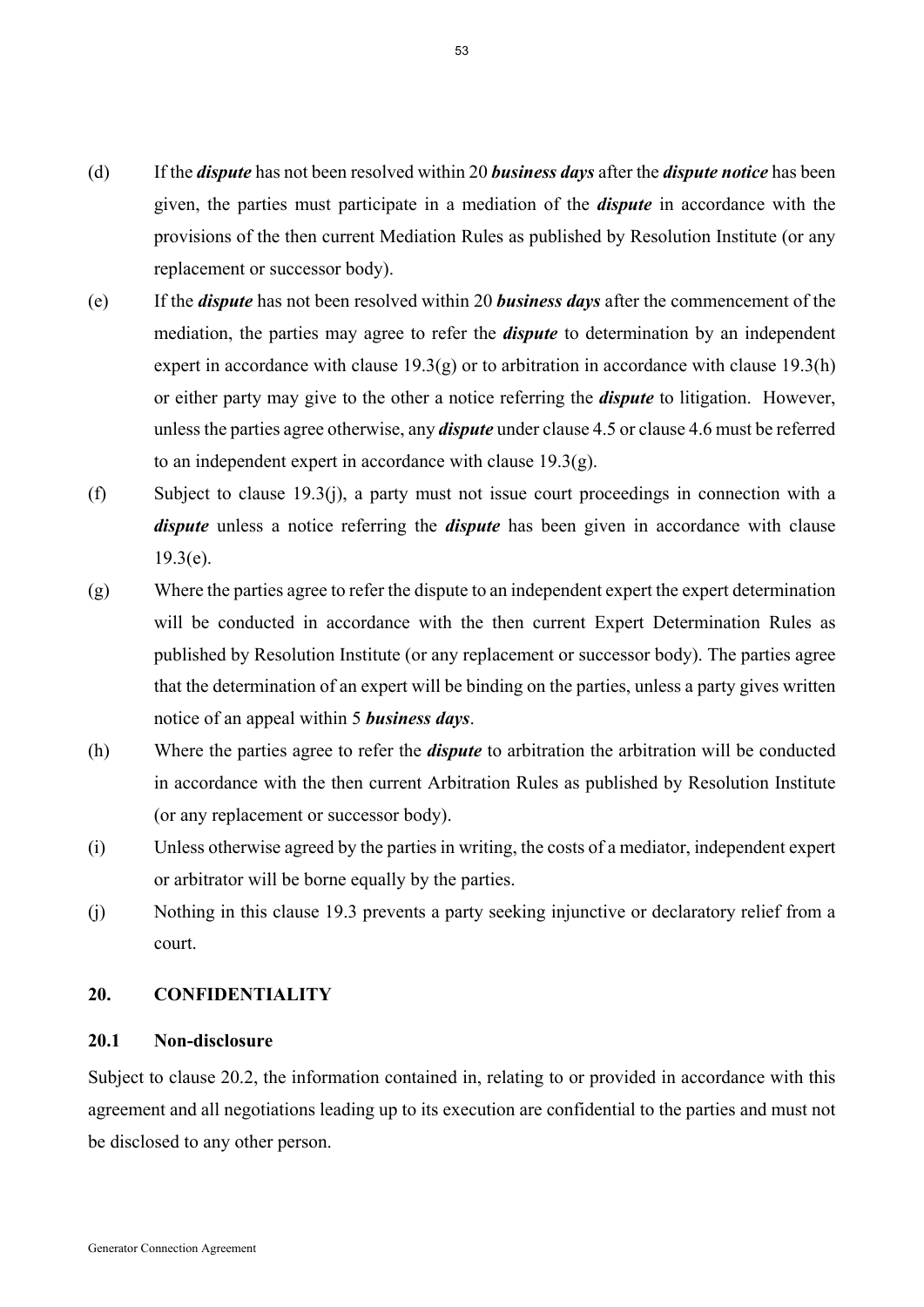- (d) If the *dispute* has not been resolved within 20 *business days* after the *dispute notice* has been given, the parties must participate in a mediation of the *dispute* in accordance with the provisions of the then current Mediation Rules as published by Resolution Institute (or any replacement or successor body).
- (e) If the *dispute* has not been resolved within 20 *business days* after the commencement of the mediation, the parties may agree to refer the *dispute* to determination by an independent expert in accordance with clause  $19.3(g)$  or to arbitration in accordance with clause  $19.3(h)$ or either party may give to the other a notice referring the *dispute* to litigation. However, unless the parties agree otherwise, any *dispute* under clause 4.5 or clause 4.6 must be referred to an independent expert in accordance with clause 19.3(g).
- (f) Subject to clause 19.3(j), a party must not issue court proceedings in connection with a *dispute* unless a notice referring the *dispute* has been given in accordance with clause  $19.3(e)$ .
- (g) Where the parties agree to refer the dispute to an independent expert the expert determination will be conducted in accordance with the then current Expert Determination Rules as published by Resolution Institute (or any replacement or successor body). The parties agree that the determination of an expert will be binding on the parties, unless a party gives written notice of an appeal within 5 *business days*.
- (h) Where the parties agree to refer the *dispute* to arbitration the arbitration will be conducted in accordance with the then current Arbitration Rules as published by Resolution Institute (or any replacement or successor body).
- (i) Unless otherwise agreed by the parties in writing, the costs of a mediator, independent expert or arbitrator will be borne equally by the parties.
- (j) Nothing in this clause 19.3 prevents a party seeking injunctive or declaratory relief from a court.

## **20. CONFIDENTIALITY**

#### **20.1 Non-disclosure**

Subject to clause 20.2, the information contained in, relating to or provided in accordance with this agreement and all negotiations leading up to its execution are confidential to the parties and must not be disclosed to any other person.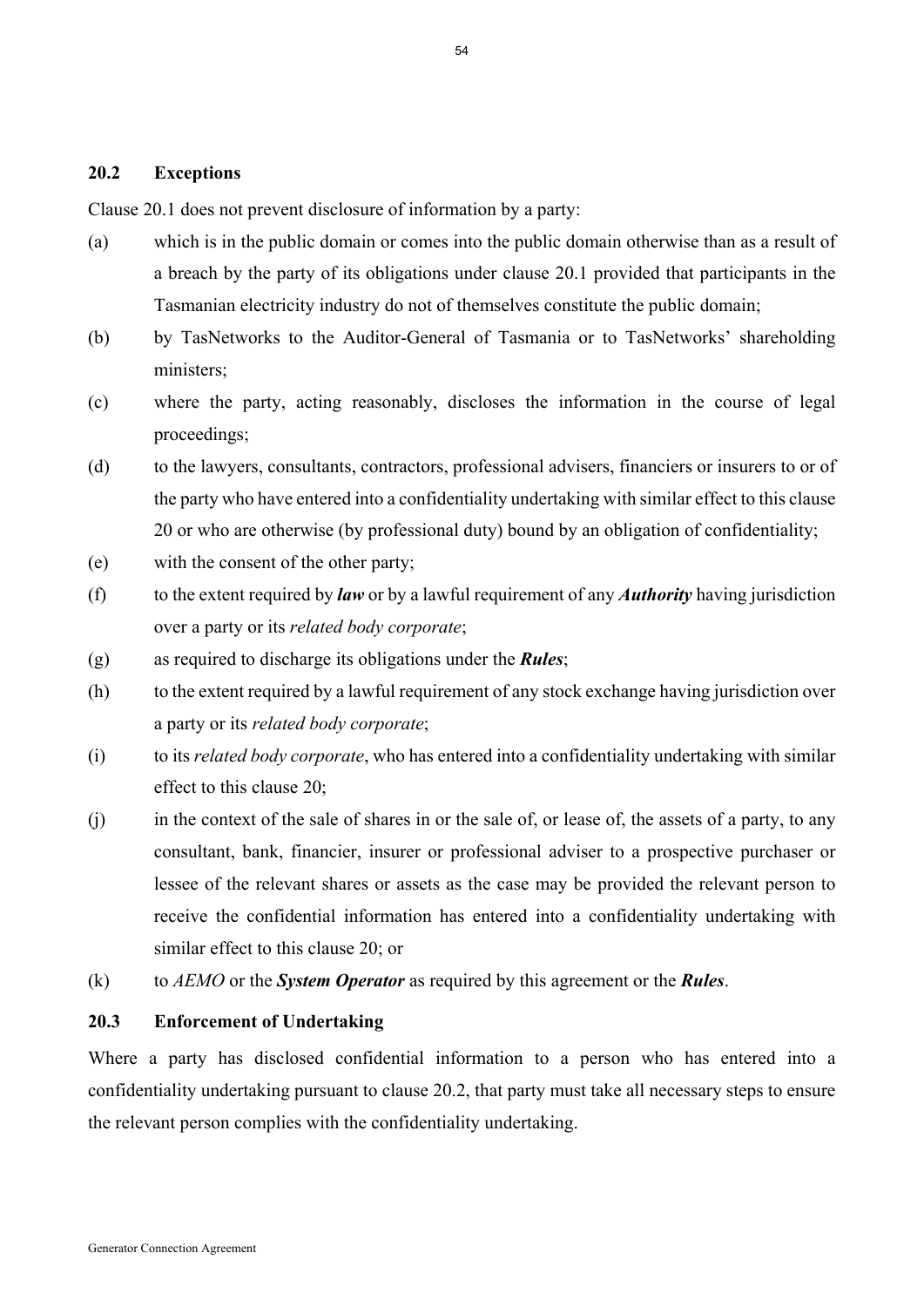## **20.2 Exceptions**

Clause 20.1 does not prevent disclosure of information by a party:

- (a) which is in the public domain or comes into the public domain otherwise than as a result of a breach by the party of its obligations under clause 20.1 provided that participants in the Tasmanian electricity industry do not of themselves constitute the public domain;
- (b) by TasNetworks to the Auditor-General of Tasmania or to TasNetworks' shareholding ministers;
- (c) where the party, acting reasonably, discloses the information in the course of legal proceedings;
- (d) to the lawyers, consultants, contractors, professional advisers, financiers or insurers to or of the party who have entered into a confidentiality undertaking with similar effect to this clause 20 or who are otherwise (by professional duty) bound by an obligation of confidentiality;
- (e) with the consent of the other party;
- (f) to the extent required by *law* or by a lawful requirement of any *Authority* having jurisdiction over a party or its *related body corporate*;
- (g) as required to discharge its obligations under the *Rules*;
- (h) to the extent required by a lawful requirement of any stock exchange having jurisdiction over a party or its *related body corporate*;
- (i) to its *related body corporate*, who has entered into a confidentiality undertaking with similar effect to this clause 20;
- (j) in the context of the sale of shares in or the sale of, or lease of, the assets of a party, to any consultant, bank, financier, insurer or professional adviser to a prospective purchaser or lessee of the relevant shares or assets as the case may be provided the relevant person to receive the confidential information has entered into a confidentiality undertaking with similar effect to this clause 20; or
- (k) to *AEMO* or the *System Operator* as required by this agreement or the *Rules*.

## **20.3 Enforcement of Undertaking**

Where a party has disclosed confidential information to a person who has entered into a confidentiality undertaking pursuant to clause 20.2, that party must take all necessary steps to ensure the relevant person complies with the confidentiality undertaking.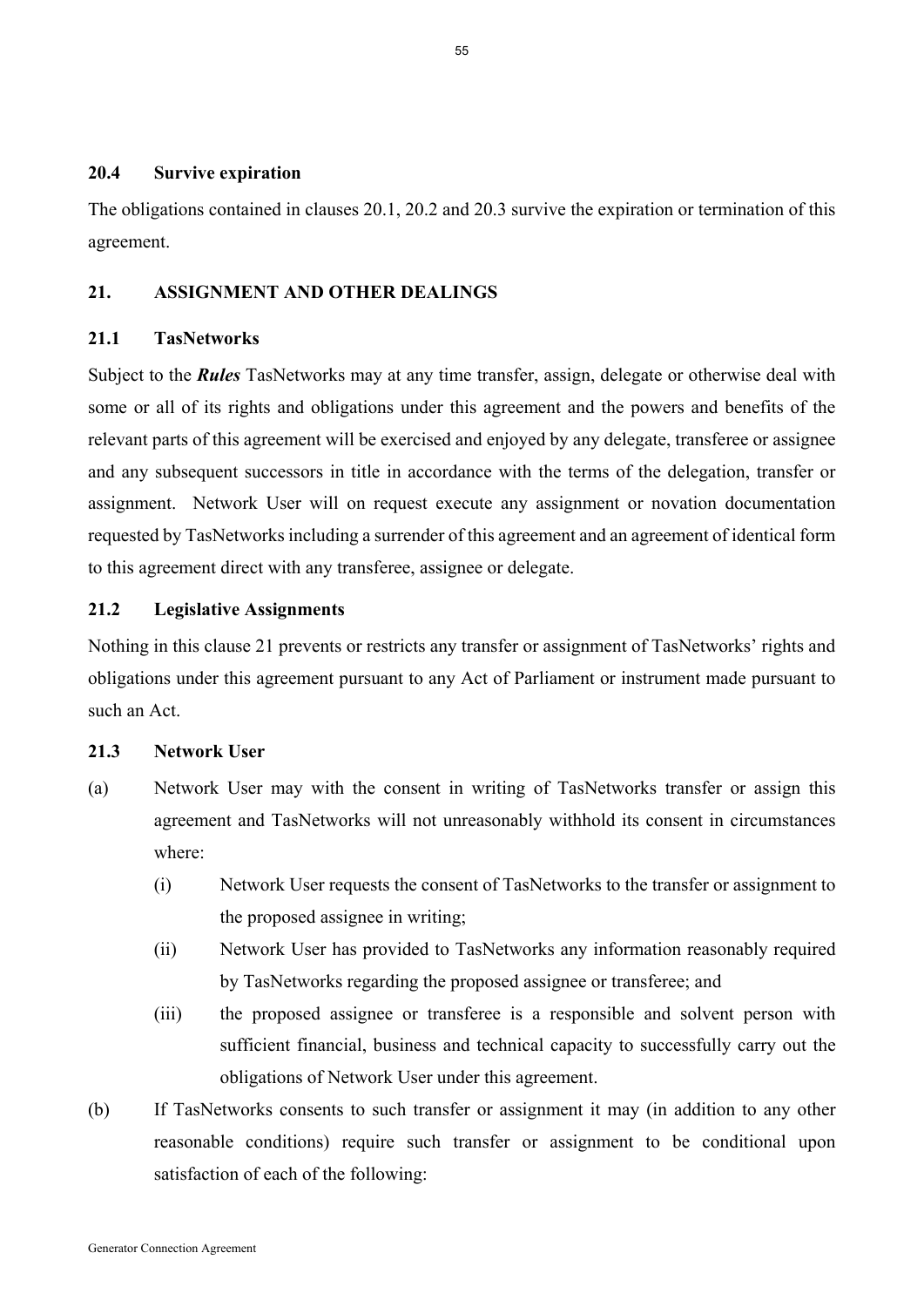#### **20.4 Survive expiration**

The obligations contained in clauses 20.1, 20.2 and 20.3 survive the expiration or termination of this agreement.

## **21. ASSIGNMENT AND OTHER DEALINGS**

### **21.1 TasNetworks**

Subject to the *Rules* TasNetworks may at any time transfer, assign, delegate or otherwise deal with some or all of its rights and obligations under this agreement and the powers and benefits of the relevant parts of this agreement will be exercised and enjoyed by any delegate, transferee or assignee and any subsequent successors in title in accordance with the terms of the delegation, transfer or assignment. Network User will on request execute any assignment or novation documentation requested by TasNetworks including a surrender of this agreement and an agreement of identical form to this agreement direct with any transferee, assignee or delegate.

# **21.2 Legislative Assignments**

Nothing in this clause 21 prevents or restricts any transfer or assignment of TasNetworks' rights and obligations under this agreement pursuant to any Act of Parliament or instrument made pursuant to such an Act.

### **21.3 Network User**

- (a) Network User may with the consent in writing of TasNetworks transfer or assign this agreement and TasNetworks will not unreasonably withhold its consent in circumstances where:
	- (i) Network User requests the consent of TasNetworks to the transfer or assignment to the proposed assignee in writing;
	- (ii) Network User has provided to TasNetworks any information reasonably required by TasNetworks regarding the proposed assignee or transferee; and
	- (iii) the proposed assignee or transferee is a responsible and solvent person with sufficient financial, business and technical capacity to successfully carry out the obligations of Network User under this agreement.
- (b) If TasNetworks consents to such transfer or assignment it may (in addition to any other reasonable conditions) require such transfer or assignment to be conditional upon satisfaction of each of the following: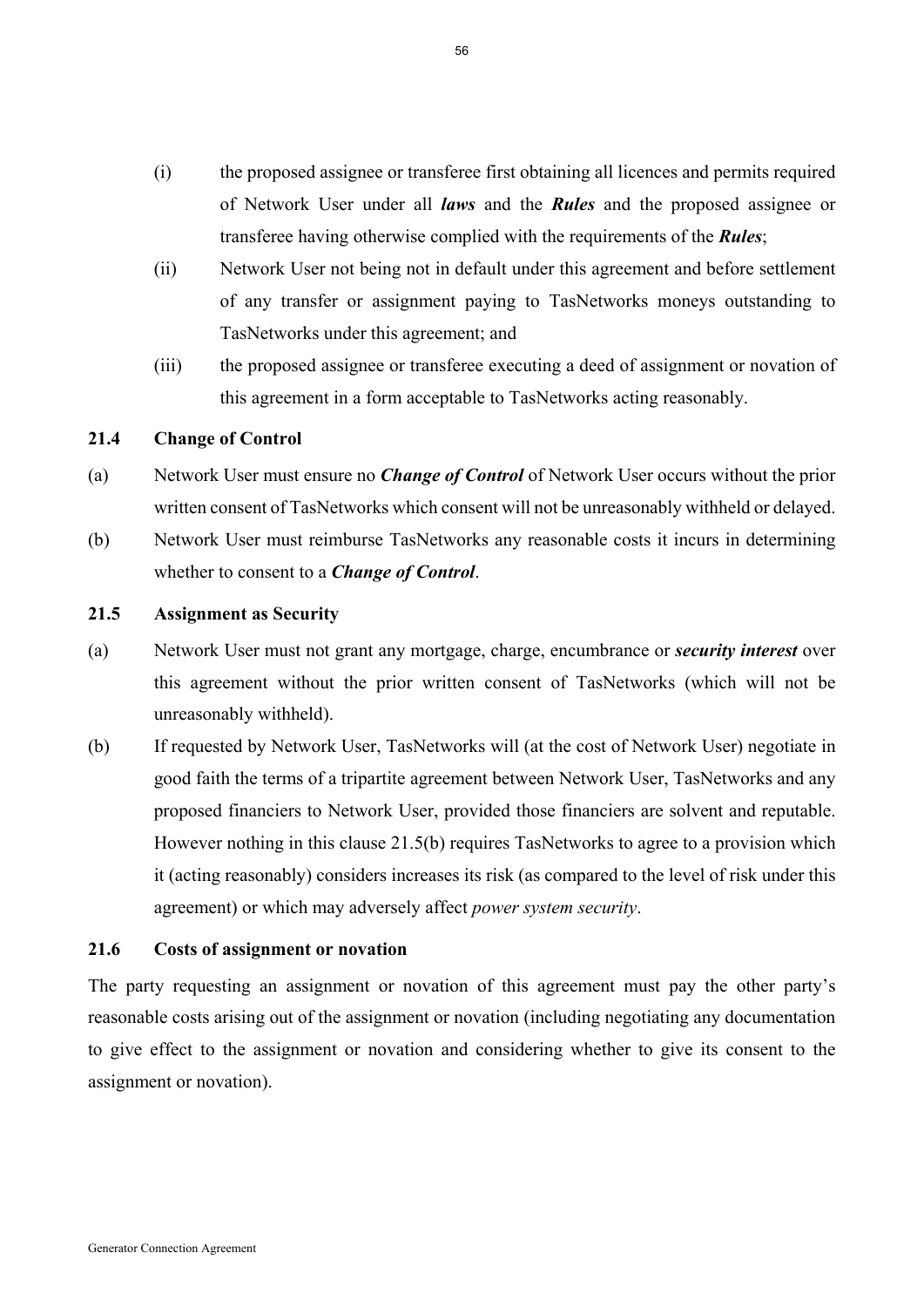- (i) the proposed assignee or transferee first obtaining all licences and permits required of Network User under all *laws* and the *Rules* and the proposed assignee or transferee having otherwise complied with the requirements of the *Rules*;
- (ii) Network User not being not in default under this agreement and before settlement of any transfer or assignment paying to TasNetworks moneys outstanding to TasNetworks under this agreement; and
- (iii) the proposed assignee or transferee executing a deed of assignment or novation of this agreement in a form acceptable to TasNetworks acting reasonably.

#### **21.4 Change of Control**

- (a) Network User must ensure no *Change of Control* of Network User occurs without the prior written consent of TasNetworks which consent will not be unreasonably withheld or delayed.
- (b) Network User must reimburse TasNetworks any reasonable costs it incurs in determining whether to consent to a *Change of Control*.

#### **21.5 Assignment as Security**

- (a) Network User must not grant any mortgage, charge, encumbrance or *security interest* over this agreement without the prior written consent of TasNetworks (which will not be unreasonably withheld).
- (b) If requested by Network User, TasNetworks will (at the cost of Network User) negotiate in good faith the terms of a tripartite agreement between Network User, TasNetworks and any proposed financiers to Network User, provided those financiers are solvent and reputable. However nothing in this clause 21.5(b) requires TasNetworks to agree to a provision which it (acting reasonably) considers increases its risk (as compared to the level of risk under this agreement) or which may adversely affect *power system security*.

### **21.6 Costs of assignment or novation**

The party requesting an assignment or novation of this agreement must pay the other party's reasonable costs arising out of the assignment or novation (including negotiating any documentation to give effect to the assignment or novation and considering whether to give its consent to the assignment or novation).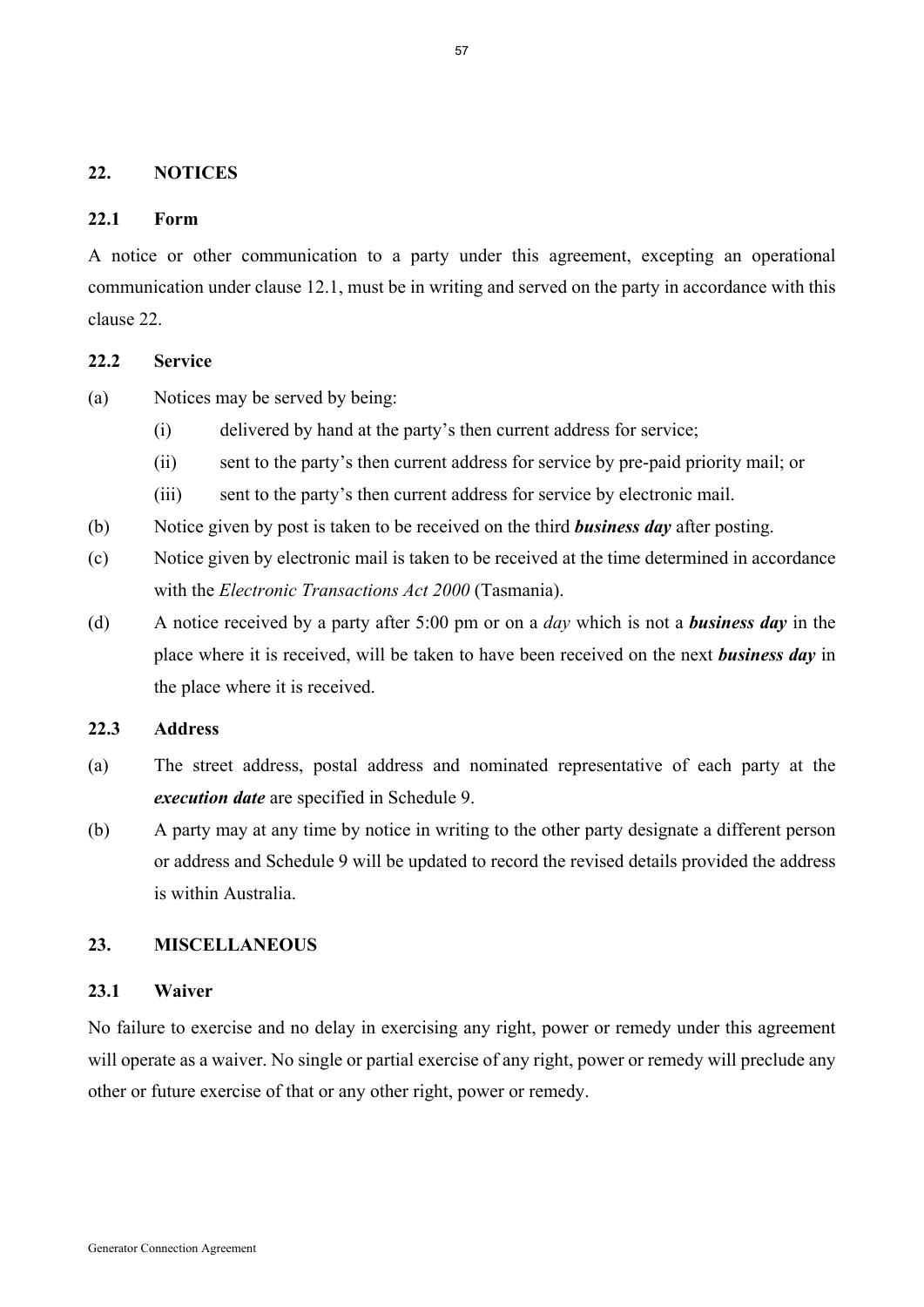#### **22. NOTICES**

#### **22.1 Form**

A notice or other communication to a party under this agreement, excepting an operational communication under clause 12.1, must be in writing and served on the party in accordance with this clause 22.

#### **22.2 Service**

- (a) Notices may be served by being:
	- (i) delivered by hand at the party's then current address for service;
	- (ii) sent to the party's then current address for service by pre-paid priority mail; or
	- (iii) sent to the party's then current address for service by electronic mail.
- (b) Notice given by post is taken to be received on the third *business day* after posting.
- (c) Notice given by electronic mail is taken to be received at the time determined in accordance with the *Electronic Transactions Act 2000* (Tasmania).
- (d) A notice received by a party after 5:00 pm or on a *day* which is not a *business day* in the place where it is received, will be taken to have been received on the next *business day* in the place where it is received.

## **22.3 Address**

- (a) The street address, postal address and nominated representative of each party at the *execution date* are specified in Schedule 9.
- (b) A party may at any time by notice in writing to the other party designate a different person or address and Schedule 9 will be updated to record the revised details provided the address is within Australia.

# **23. MISCELLANEOUS**

#### **23.1 Waiver**

No failure to exercise and no delay in exercising any right, power or remedy under this agreement will operate as a waiver. No single or partial exercise of any right, power or remedy will preclude any other or future exercise of that or any other right, power or remedy.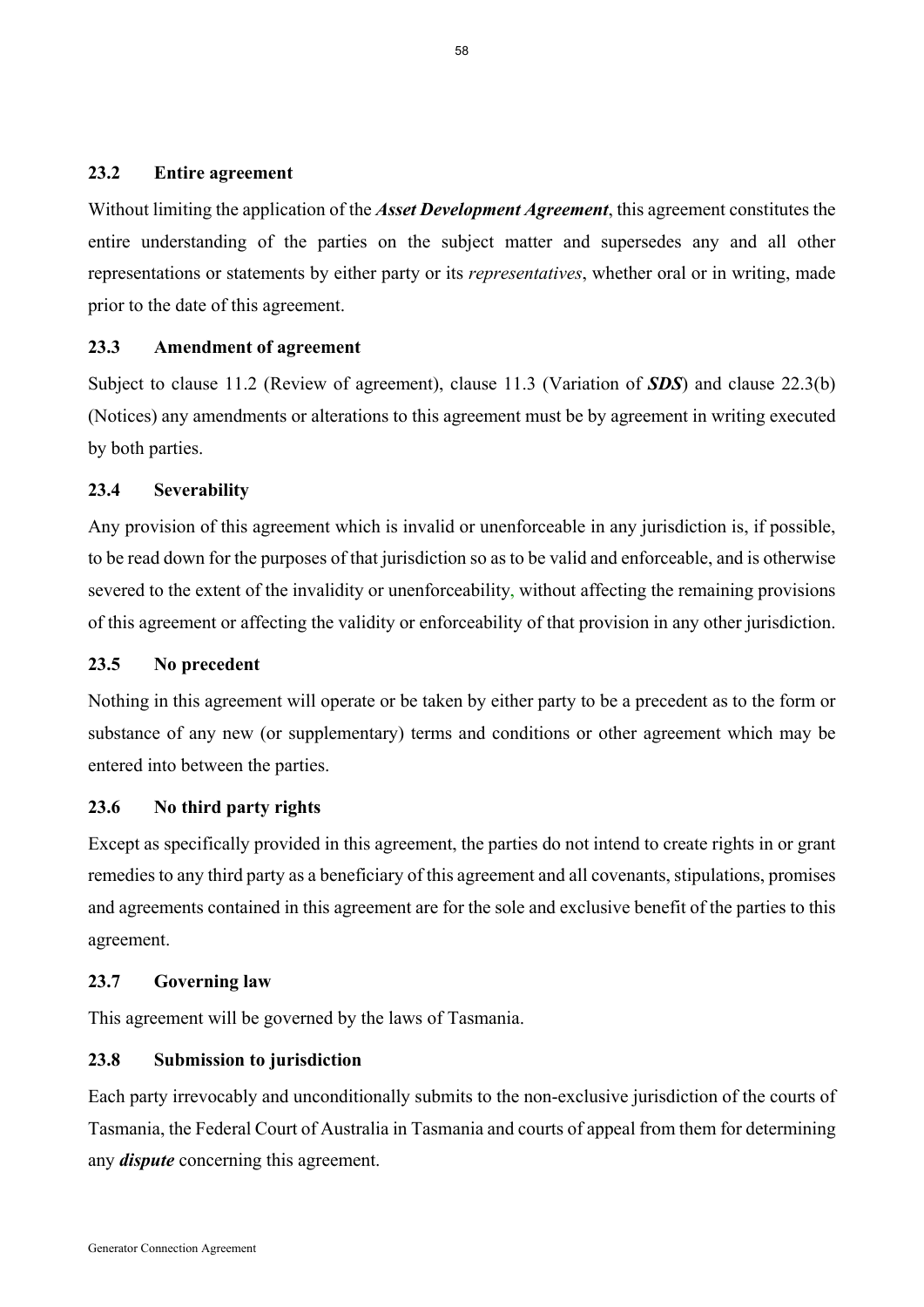## **23.2 Entire agreement**

Without limiting the application of the *Asset Development Agreement*, this agreement constitutes the entire understanding of the parties on the subject matter and supersedes any and all other representations or statements by either party or its *representatives*, whether oral or in writing, made prior to the date of this agreement.

#### **23.3 Amendment of agreement**

Subject to clause 11.2 (Review of agreement), clause 11.3 (Variation of *SDS*) and clause 22.3(b) (Notices) any amendments or alterations to this agreement must be by agreement in writing executed by both parties.

## **23.4 Severability**

Any provision of this agreement which is invalid or unenforceable in any jurisdiction is, if possible, to be read down for the purposes of that jurisdiction so as to be valid and enforceable, and is otherwise severed to the extent of the invalidity or unenforceability, without affecting the remaining provisions of this agreement or affecting the validity or enforceability of that provision in any other jurisdiction.

### **23.5 No precedent**

Nothing in this agreement will operate or be taken by either party to be a precedent as to the form or substance of any new (or supplementary) terms and conditions or other agreement which may be entered into between the parties.

#### **23.6 No third party rights**

Except as specifically provided in this agreement, the parties do not intend to create rights in or grant remedies to any third party as a beneficiary of this agreement and all covenants, stipulations, promises and agreements contained in this agreement are for the sole and exclusive benefit of the parties to this agreement.

## **23.7 Governing law**

This agreement will be governed by the laws of Tasmania.

### **23.8 Submission to jurisdiction**

Each party irrevocably and unconditionally submits to the non-exclusive jurisdiction of the courts of Tasmania, the Federal Court of Australia in Tasmania and courts of appeal from them for determining any *dispute* concerning this agreement.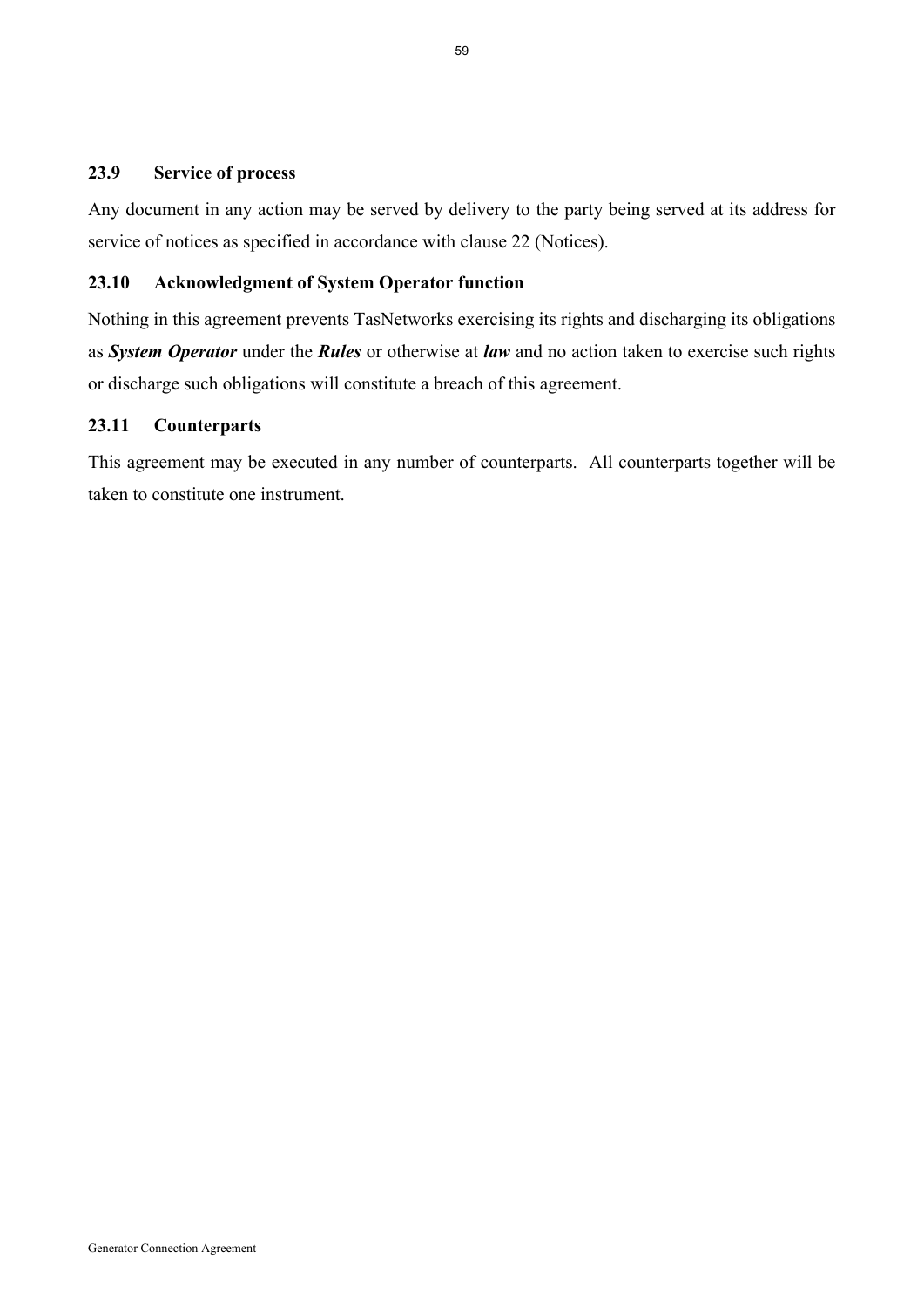## **23.9 Service of process**

Any document in any action may be served by delivery to the party being served at its address for service of notices as specified in accordance with clause 22 (Notices).

## **23.10 Acknowledgment of System Operator function**

Nothing in this agreement prevents TasNetworks exercising its rights and discharging its obligations as *System Operator* under the *Rules* or otherwise at *law* and no action taken to exercise such rights or discharge such obligations will constitute a breach of this agreement.

## **23.11 Counterparts**

This agreement may be executed in any number of counterparts. All counterparts together will be taken to constitute one instrument.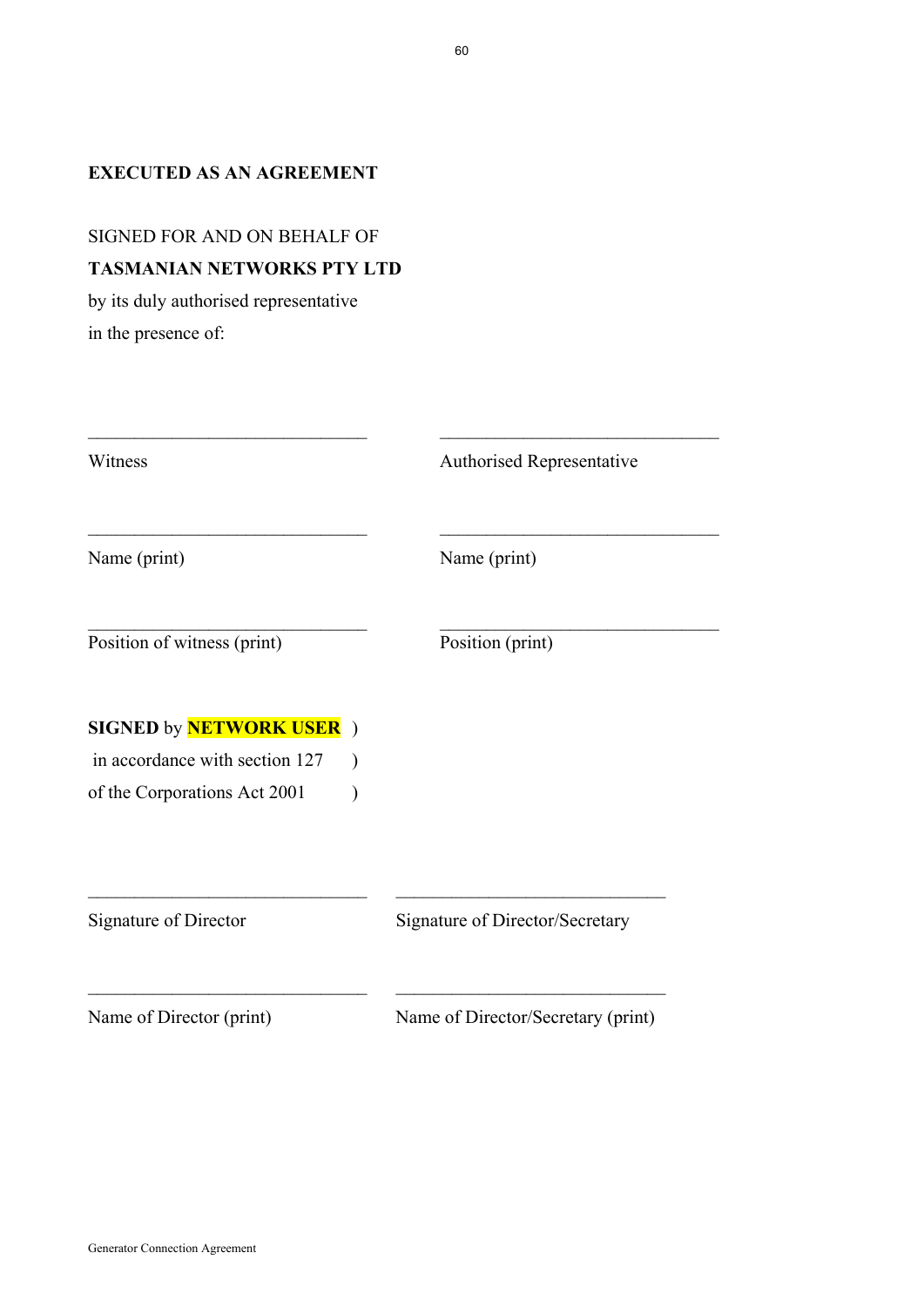# **EXECUTED AS AN AGREEMENT**

# SIGNED FOR AND ON BEHALF OF **TASMANIAN NETWORKS PTY LTD**

by its duly authorised representative in the presence of:

| Witness                         | <b>Authorised Representative</b>   |
|---------------------------------|------------------------------------|
| Name (print)                    | Name (print)                       |
| Position of witness (print)     | Position (print)                   |
| <b>SIGNED by NETWORK USER</b> ) |                                    |
| in accordance with section 127  | $\mathcal Y$                       |
| of the Corporations Act 2001    |                                    |
|                                 |                                    |
| Signature of Director           | Signature of Director/Secretary    |
| Name of Director (print)        | Name of Director/Secretary (print) |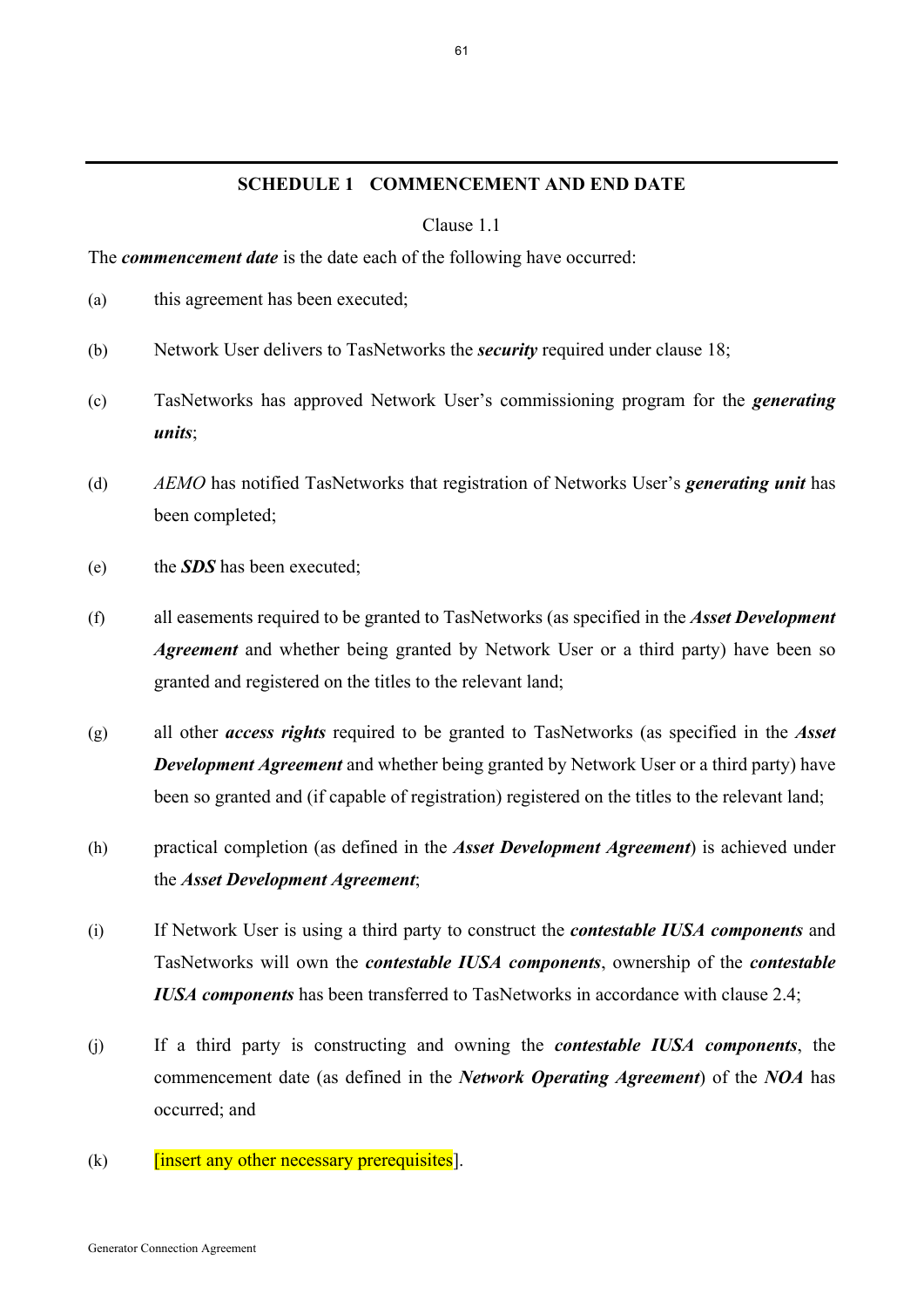#### **SCHEDULE 1 COMMENCEMENT AND END DATE**

Clause 1.1

The *commencement date* is the date each of the following have occurred:

- (a) this agreement has been executed;
- (b) Network User delivers to TasNetworks the *security* required under clause 18;
- (c) TasNetworks has approved Network User's commissioning program for the *generating units*;
- (d) *AEMO* has notified TasNetworks that registration of Networks User's *generating unit* has been completed;
- (e) the *SDS* has been executed;
- (f) all easements required to be granted to TasNetworks (as specified in the *Asset Development Agreement* and whether being granted by Network User or a third party) have been so granted and registered on the titles to the relevant land;
- (g) all other *access rights* required to be granted to TasNetworks (as specified in the *Asset Development Agreement* and whether being granted by Network User or a third party) have been so granted and (if capable of registration) registered on the titles to the relevant land;
- (h) practical completion (as defined in the *Asset Development Agreement*) is achieved under the *Asset Development Agreement*;
- (i) If Network User is using a third party to construct the *contestable IUSA components* and TasNetworks will own the *contestable IUSA components*, ownership of the *contestable IUSA components* has been transferred to TasNetworks in accordance with clause 2.4;
- (j) If a third party is constructing and owning the *contestable IUSA components*, the commencement date (as defined in the *Network Operating Agreement*) of the *NOA* has occurred; and
- $(k)$  [insert any other necessary prerequisites].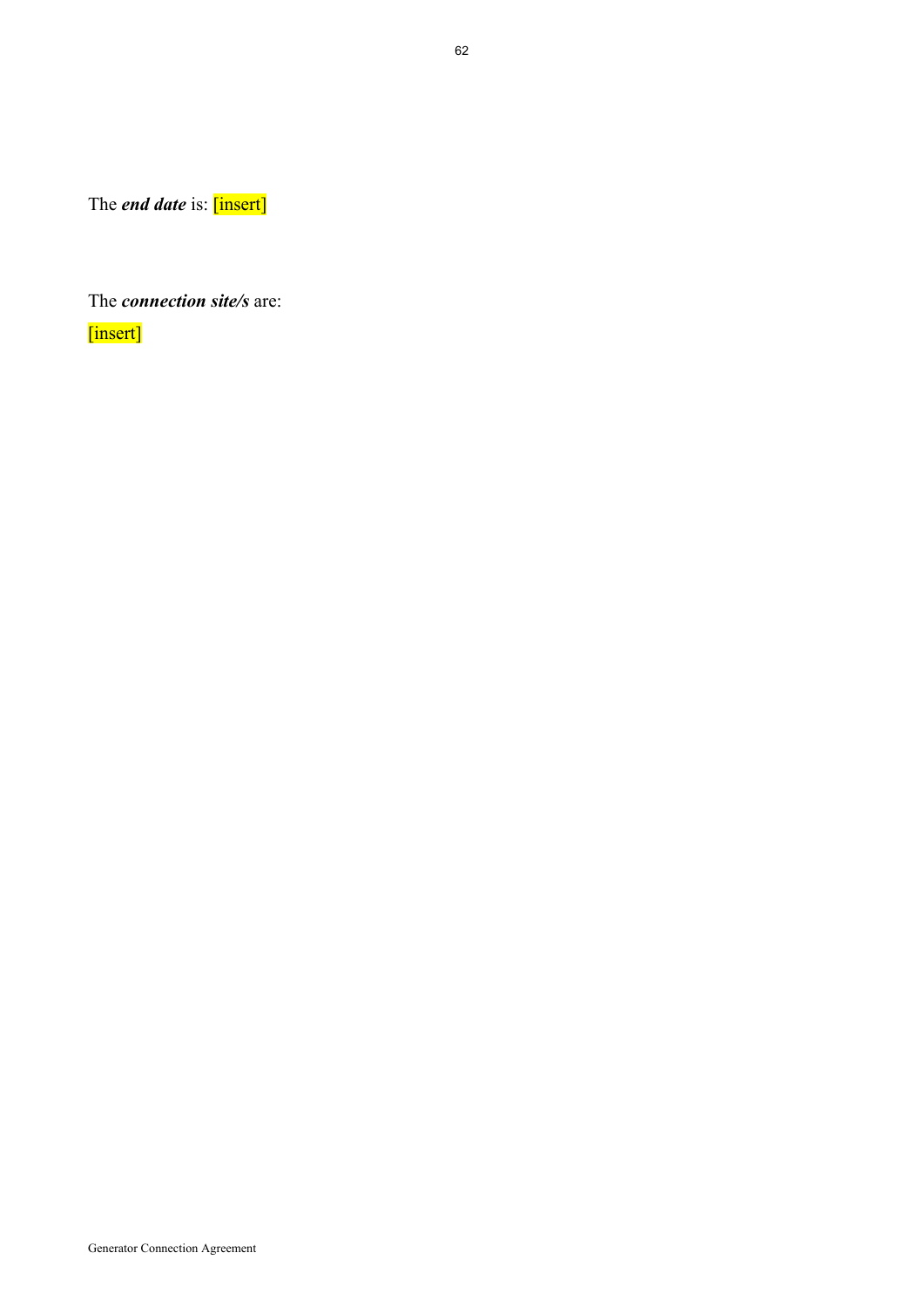The *end date* is: [insert]

The *connection site/s* are:

[insert]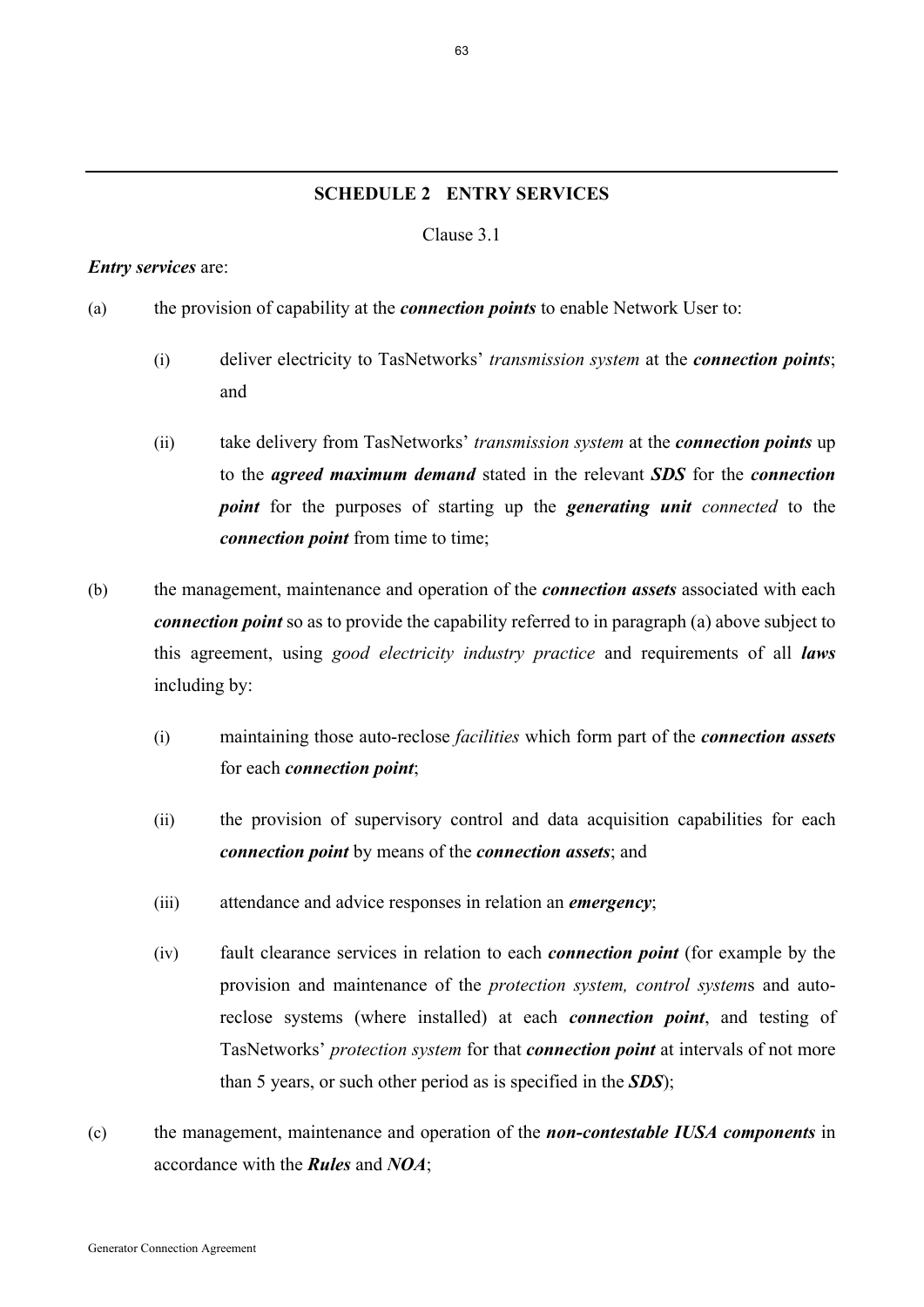## **SCHEDULE 2 ENTRY SERVICES**

#### Clause 3.1

#### *Entry services* are:

- (a) the provision of capability at the *connection points* to enable Network User to:
	- (i) deliver electricity to TasNetworks' *transmission system* at the *connection points*; and
	- (ii) take delivery from TasNetworks' *transmission system* at the *connection points* up to the *agreed maximum demand* stated in the relevant *SDS* for the *connection point* for the purposes of starting up the *generating unit connected* to the *connection point* from time to time;
- (b) the management, maintenance and operation of the *connection assets* associated with each *connection point* so as to provide the capability referred to in paragraph (a) above subject to this agreement, using *good electricity industry practice* and requirements of all *laws* including by:
	- (i) maintaining those auto-reclose *facilities* which form part of the *connection assets* for each *connection point*;
	- (ii) the provision of supervisory control and data acquisition capabilities for each *connection point* by means of the *connection assets*; and
	- (iii) attendance and advice responses in relation an *emergency*;
	- (iv) fault clearance services in relation to each *connection point* (for example by the provision and maintenance of the *protection system, control system*s and autoreclose systems (where installed) at each *connection point*, and testing of TasNetworks' *protection system* for that *connection point* at intervals of not more than 5 years, or such other period as is specified in the *SDS*);
- (c) the management, maintenance and operation of the *non-contestable IUSA components* in accordance with the *Rules* and *NOA*;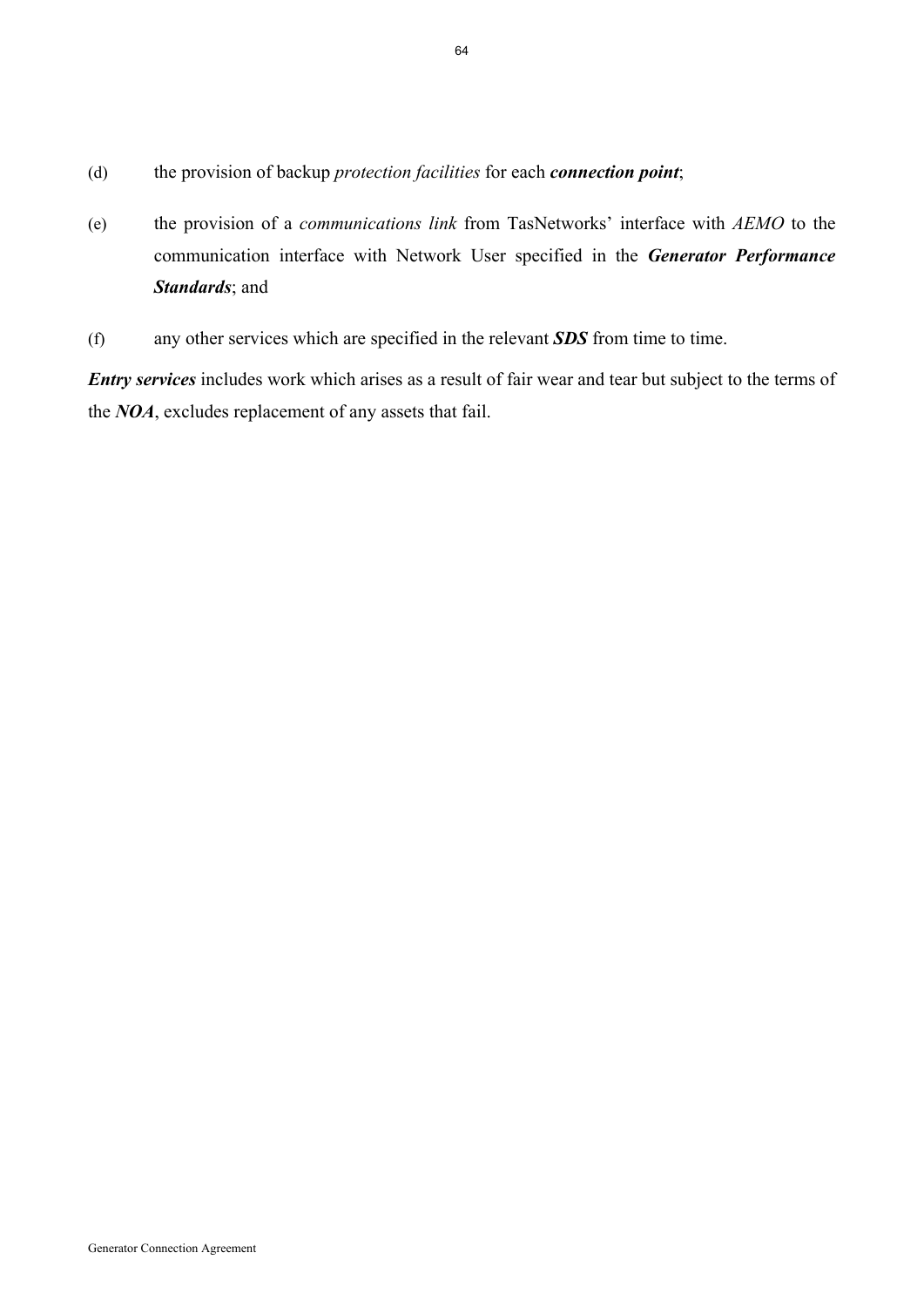- (d) the provision of backup *protection facilities* for each *connection point*;
- (e) the provision of a *communications link* from TasNetworks' interface with *AEMO* to the communication interface with Network User specified in the *Generator Performance Standards*; and
- (f) any other services which are specified in the relevant *SDS* from time to time.

*Entry services* includes work which arises as a result of fair wear and tear but subject to the terms of the *NOA*, excludes replacement of any assets that fail.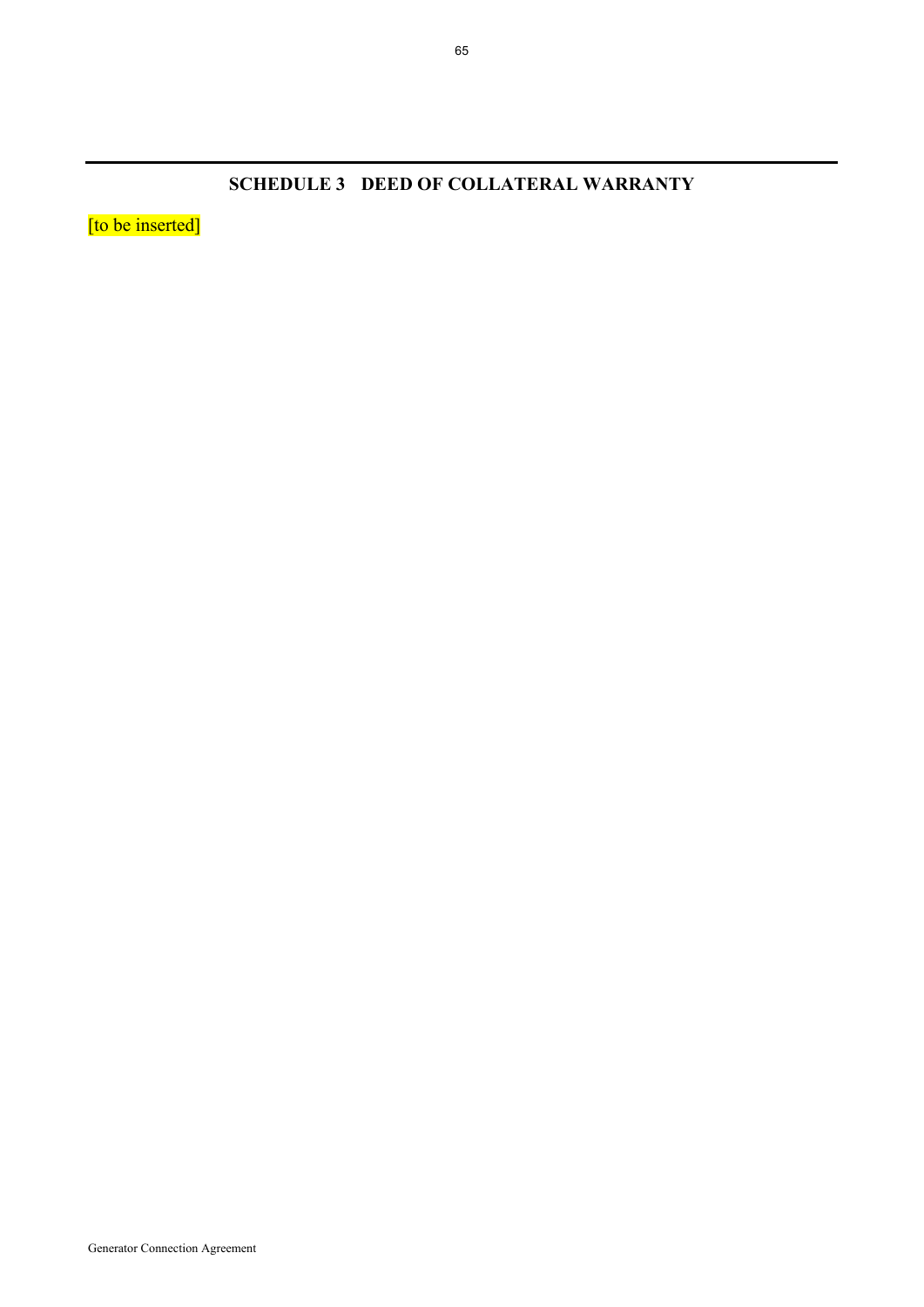**SCHEDULE 3 DEED OF COLLATERAL WARRANTY** 

[to be inserted]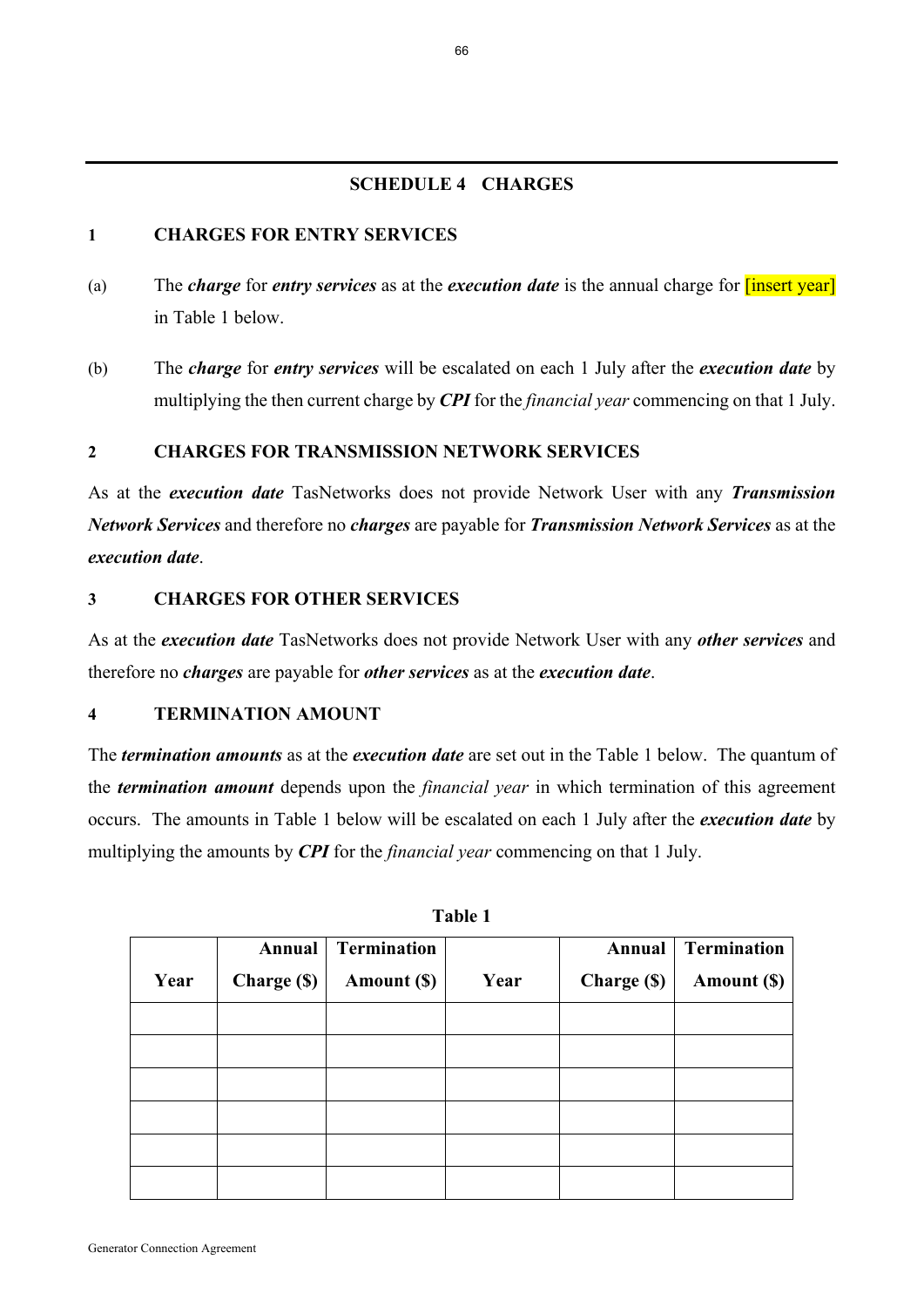## **SCHEDULE 4 CHARGES**

## **1 CHARGES FOR ENTRY SERVICES**

- (a) The *charge* for *entry services* as at the *execution date* is the annual charge for [insert year] in Table 1 below.
- (b) The *charge* for *entry services* will be escalated on each 1 July after the *execution date* by multiplying the then current charge by *CPI* for the *financial year* commencing on that 1 July.

# **2 CHARGES FOR TRANSMISSION NETWORK SERVICES**

As at the *execution date* TasNetworks does not provide Network User with any *Transmission Network Services* and therefore no *charges* are payable for *Transmission Network Services* as at the *execution date*.

## **3 CHARGES FOR OTHER SERVICES**

As at the *execution date* TasNetworks does not provide Network User with any *other services* and therefore no *charges* are payable for *other services* as at the *execution date*.

#### **4 TERMINATION AMOUNT**

The *termination amounts* as at the *execution date* are set out in the Table 1 below. The quantum of the *termination amount* depends upon the *financial year* in which termination of this agreement occurs. The amounts in Table 1 below will be escalated on each 1 July after the *execution date* by multiplying the amounts by *CPI* for the *financial year* commencing on that 1 July.

|      | Annual            | <b>Termination</b> |      | Annual      | <b>Termination</b> |
|------|-------------------|--------------------|------|-------------|--------------------|
| Year | <b>Charge (S)</b> | Amount (\$)        | Year | Charge (\$) | Amount (\$)        |
|      |                   |                    |      |             |                    |
|      |                   |                    |      |             |                    |
|      |                   |                    |      |             |                    |
|      |                   |                    |      |             |                    |
|      |                   |                    |      |             |                    |
|      |                   |                    |      |             |                    |

**Table 1**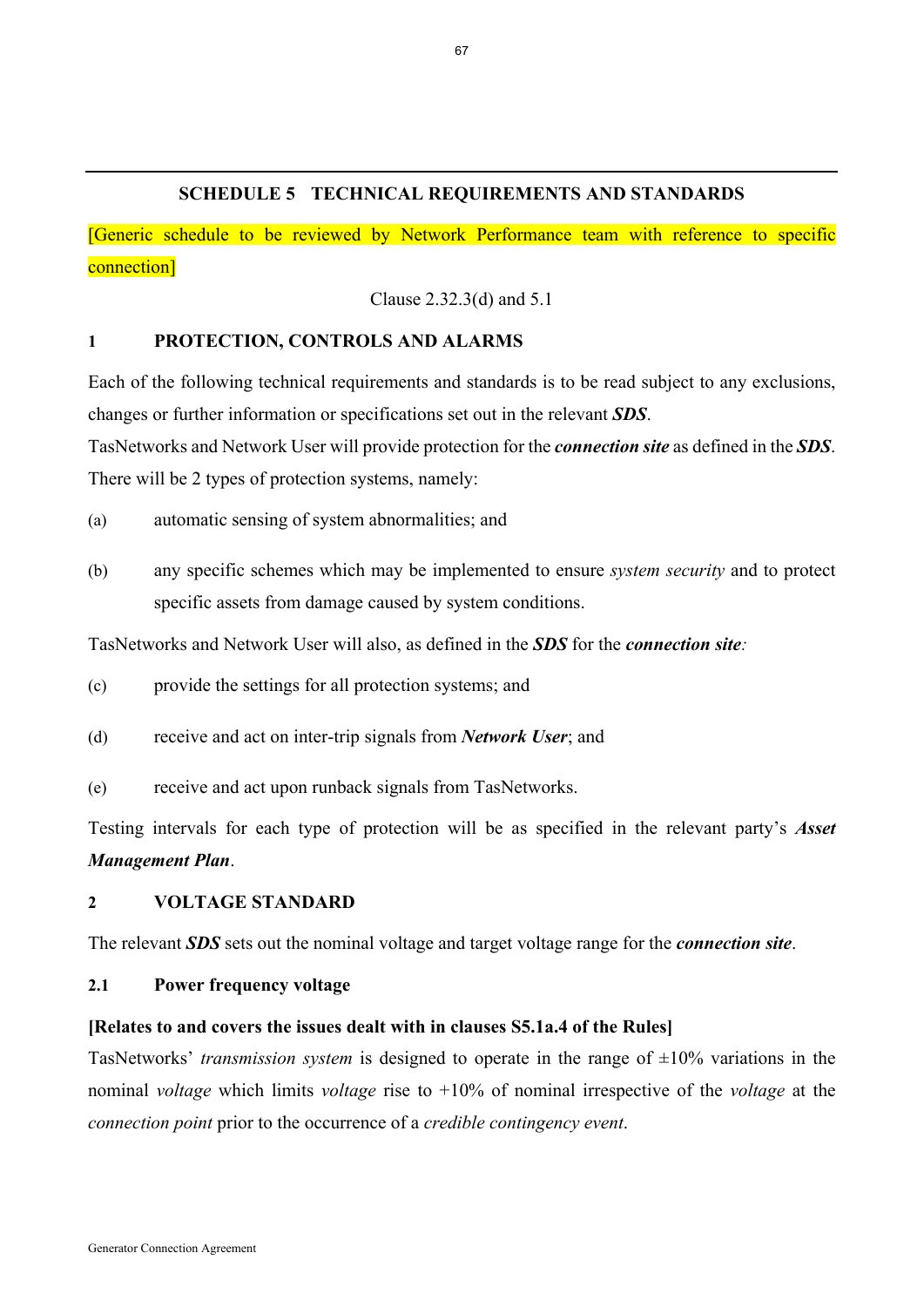### **SCHEDULE 5 TECHNICAL REQUIREMENTS AND STANDARDS**

[Generic schedule to be reviewed by Network Performance team with reference to specific connection]

Clause 2.32.3(d) and 5.1

### **1 PROTECTION, CONTROLS AND ALARMS**

Each of the following technical requirements and standards is to be read subject to any exclusions, changes or further information or specifications set out in the relevant *SDS*.

TasNetworks and Network User will provide protection for the *connection site* as defined in the *SDS*. There will be 2 types of protection systems, namely:

(a) automatic sensing of system abnormalities; and

(b) any specific schemes which may be implemented to ensure *system security* and to protect specific assets from damage caused by system conditions.

TasNetworks and Network User will also, as defined in the *SDS* for the *connection site:*

- (c) provide the settings for all protection systems; and
- (d) receive and act on inter-trip signals from *Network User*; and
- (e) receive and act upon runback signals from TasNetworks.

Testing intervals for each type of protection will be as specified in the relevant party's *Asset Management Plan*.

#### **2 VOLTAGE STANDARD**

The relevant *SDS* sets out the nominal voltage and target voltage range for the *connection site*.

#### **2.1 Power frequency voltage**

#### **[Relates to and covers the issues dealt with in clauses S5.1a.4 of the Rules]**

TasNetworks' *transmission system* is designed to operate in the range of  $\pm 10\%$  variations in the nominal *voltage* which limits *voltage* rise to +10% of nominal irrespective of the *voltage* at the *connection point* prior to the occurrence of a *credible contingency event*.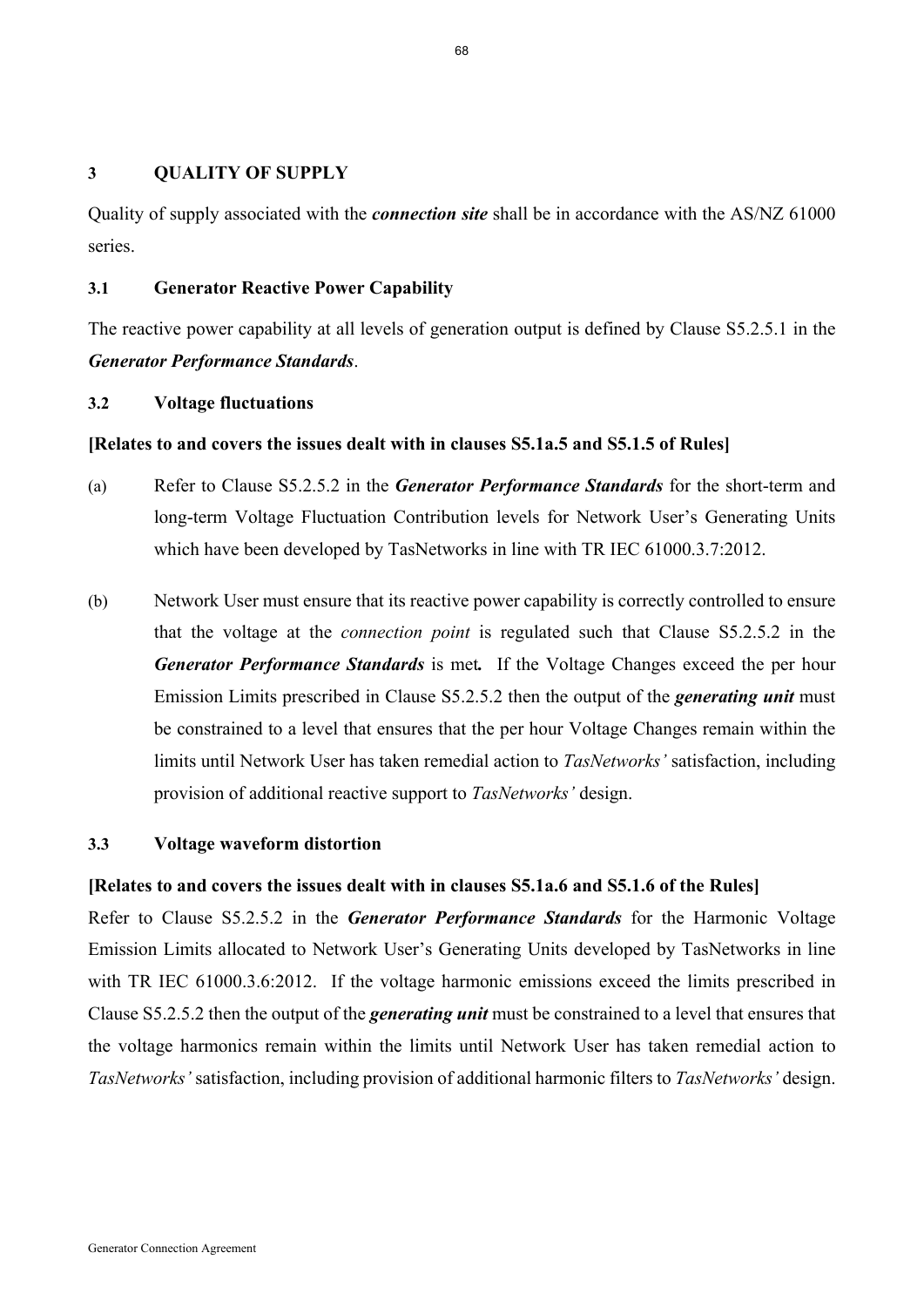#### **3 QUALITY OF SUPPLY**

Quality of supply associated with the *connection site* shall be in accordance with the AS/NZ 61000 series.

### **3.1 Generator Reactive Power Capability**

The reactive power capability at all levels of generation output is defined by Clause S5.2.5.1 in the *Generator Performance Standards*.

### **3.2 Voltage fluctuations**

### **[Relates to and covers the issues dealt with in clauses S5.1a.5 and S5.1.5 of Rules]**

- (a) Refer to Clause S5.2.5.2 in the *Generator Performance Standards* for the short-term and long-term Voltage Fluctuation Contribution levels for Network User's Generating Units which have been developed by TasNetworks in line with TR IEC 61000.3.7:2012.
- (b) Network User must ensure that its reactive power capability is correctly controlled to ensure that the voltage at the *connection point* is regulated such that Clause S5.2.5.2 in the *Generator Performance Standards* is met*.* If the Voltage Changes exceed the per hour Emission Limits prescribed in Clause S5.2.5.2 then the output of the *generating unit* must be constrained to a level that ensures that the per hour Voltage Changes remain within the limits until Network User has taken remedial action to *TasNetworks'* satisfaction, including provision of additional reactive support to *TasNetworks'* design.

### **3.3 Voltage waveform distortion**

### **[Relates to and covers the issues dealt with in clauses S5.1a.6 and S5.1.6 of the Rules]**

Refer to Clause S5.2.5.2 in the *Generator Performance Standards* for the Harmonic Voltage Emission Limits allocated to Network User's Generating Units developed by TasNetworks in line with TR IEC 61000.3.6:2012. If the voltage harmonic emissions exceed the limits prescribed in Clause S5.2.5.2 then the output of the *generating unit* must be constrained to a level that ensures that the voltage harmonics remain within the limits until Network User has taken remedial action to *TasNetworks'* satisfaction, including provision of additional harmonic filters to *TasNetworks'* design.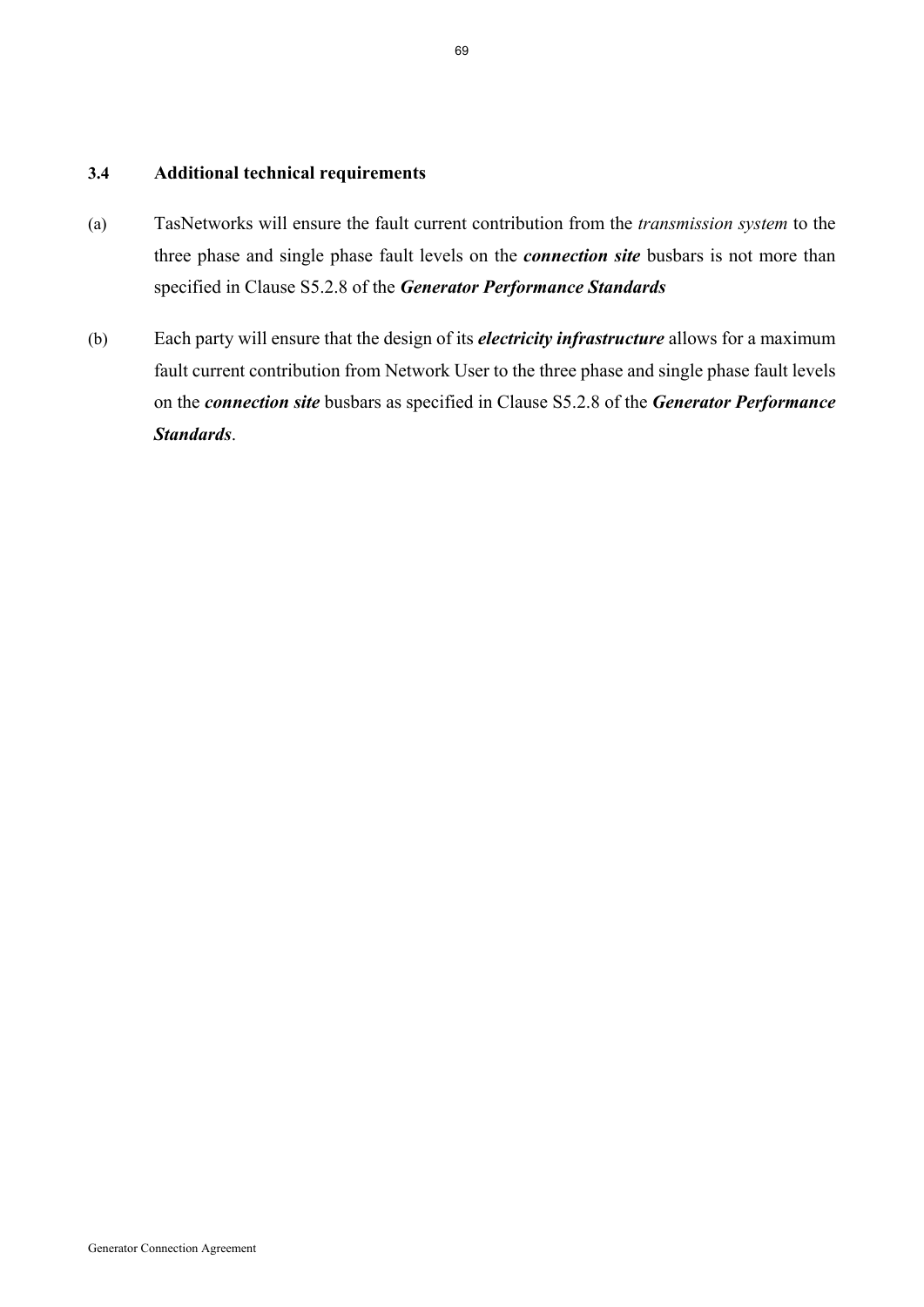### **3.4 Additional technical requirements**

- (a) TasNetworks will ensure the fault current contribution from the *transmission system* to the three phase and single phase fault levels on the *connection site* busbars is not more than specified in Clause S5.2.8 of the *Generator Performance Standards*
- (b) Each party will ensure that the design of its *electricity infrastructure* allows for a maximum fault current contribution from Network User to the three phase and single phase fault levels on the *connection site* busbars as specified in Clause S5.2.8 of the *Generator Performance Standards*.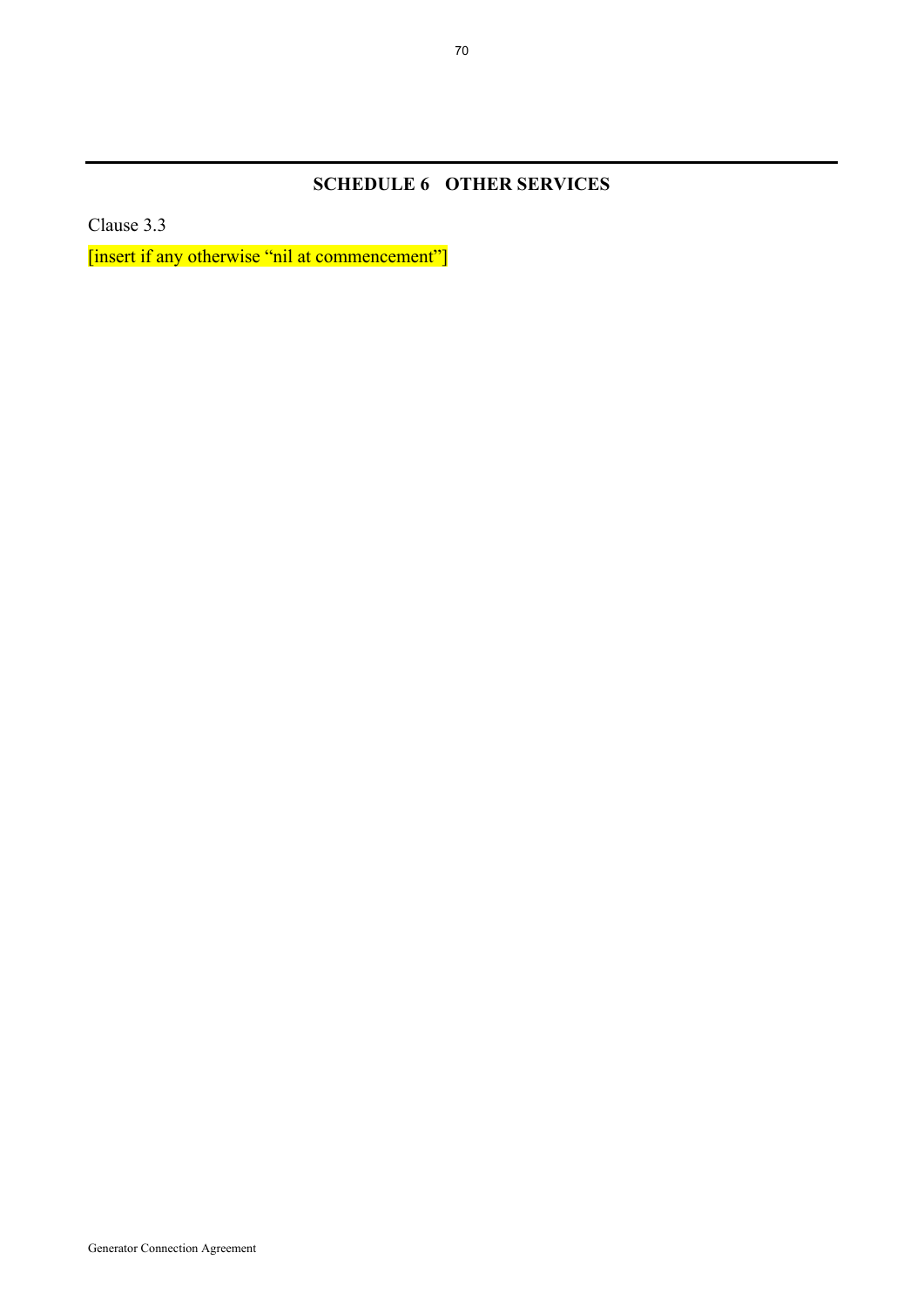# **SCHEDULE 6 OTHER SERVICES**

Clause 3.3

[insert if any otherwise "nil at commencement"]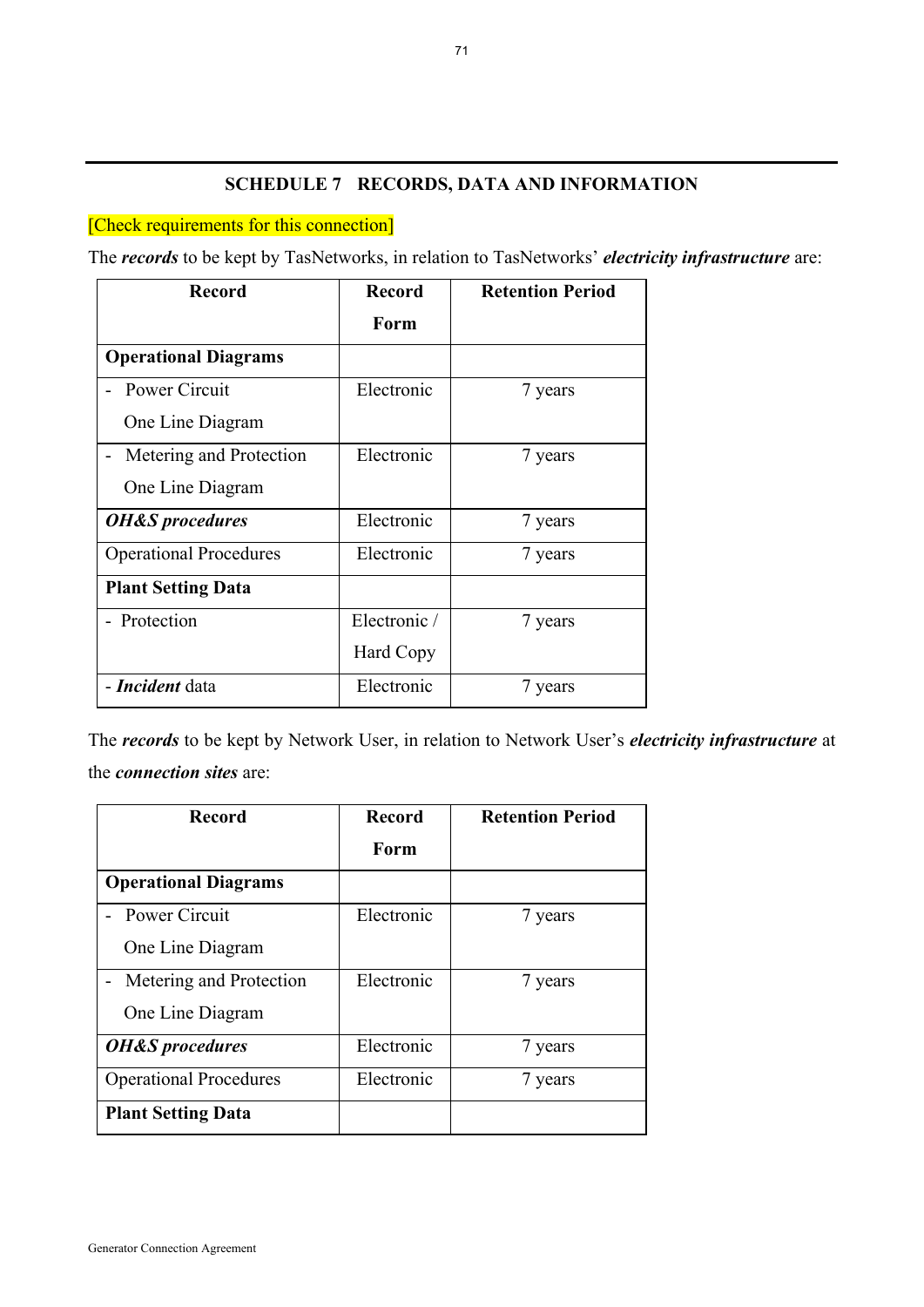# **SCHEDULE 7 RECORDS, DATA AND INFORMATION**

# [Check requirements for this connection]

The *records* to be kept by TasNetworks, in relation to TasNetworks' *electricity infrastructure* are:

| <b>Record</b>                 | <b>Record</b> | <b>Retention Period</b> |
|-------------------------------|---------------|-------------------------|
|                               | Form          |                         |
| <b>Operational Diagrams</b>   |               |                         |
| - Power Circuit               | Electronic    | 7 years                 |
| One Line Diagram              |               |                         |
| Metering and Protection       | Electronic    | 7 years                 |
| One Line Diagram              |               |                         |
| <b>OH&amp;S</b> procedures    | Electronic    | 7 years                 |
| <b>Operational Procedures</b> | Electronic    | 7 years                 |
| <b>Plant Setting Data</b>     |               |                         |
| - Protection                  | Electronic /  | 7 years                 |
|                               | Hard Copy     |                         |
| <b>- Incident</b> data        | Electronic    | 7 years                 |

The *records* to be kept by Network User, in relation to Network User's *electricity infrastructure* at the *connection sites* are:

| <b>Record</b>                 | <b>Record</b> | <b>Retention Period</b> |
|-------------------------------|---------------|-------------------------|
|                               | Form          |                         |
| <b>Operational Diagrams</b>   |               |                         |
| - Power Circuit               | Electronic    | 7 years                 |
| One Line Diagram              |               |                         |
| Metering and Protection       | Electronic    | 7 years                 |
| One Line Diagram              |               |                         |
| <b>OH&amp;S</b> procedures    | Electronic    | 7 years                 |
| <b>Operational Procedures</b> | Electronic    | 7 years                 |
| <b>Plant Setting Data</b>     |               |                         |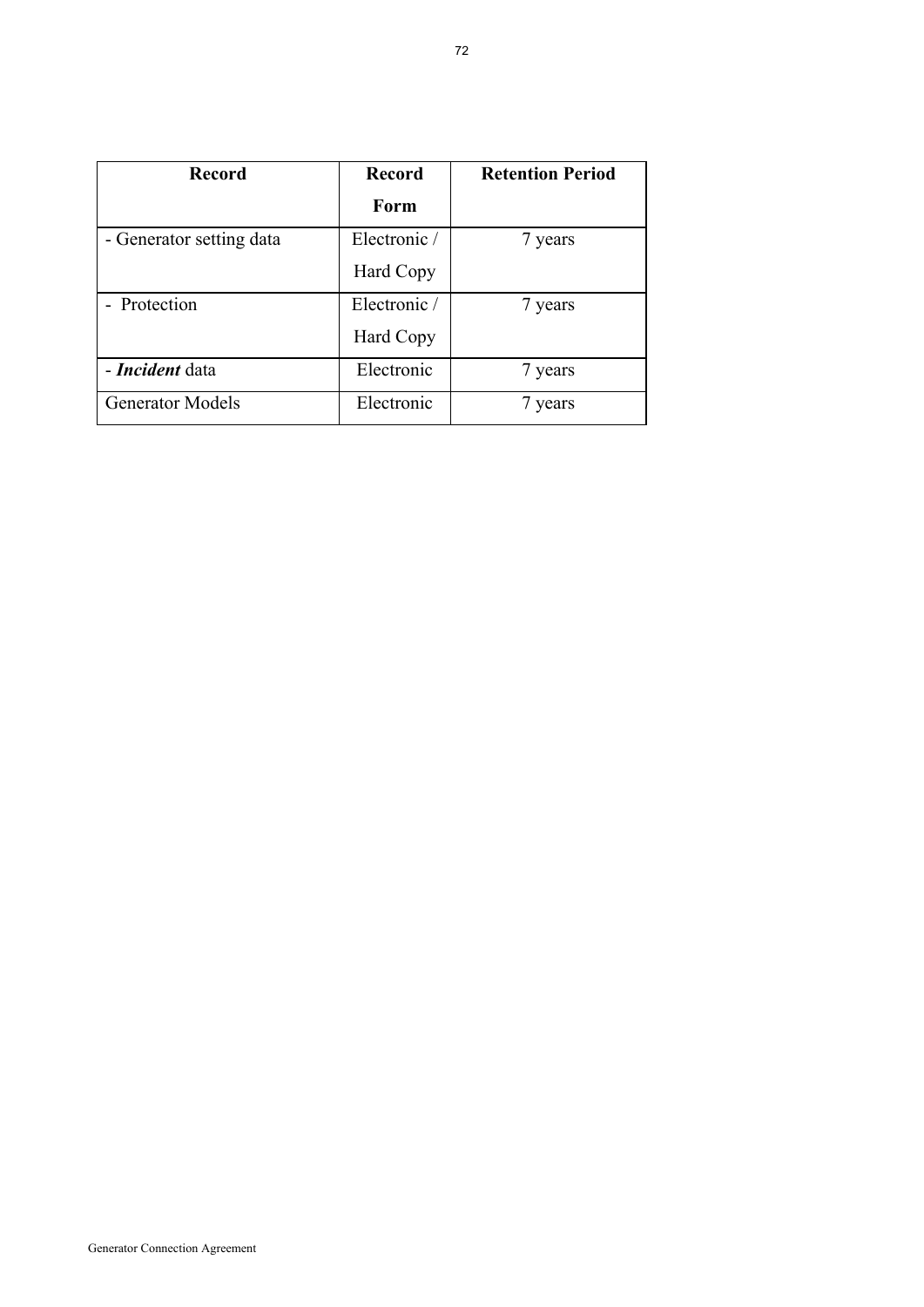| <b>Record</b>            | <b>Record</b> | <b>Retention Period</b> |
|--------------------------|---------------|-------------------------|
|                          | Form          |                         |
| - Generator setting data | Electronic /  | 7 years                 |
|                          | Hard Copy     |                         |
| - Protection             | Electronic /  | 7 years                 |
|                          | Hard Copy     |                         |
| - Incident data          | Electronic    | 7 years                 |
| <b>Generator Models</b>  | Electronic    | 7 years                 |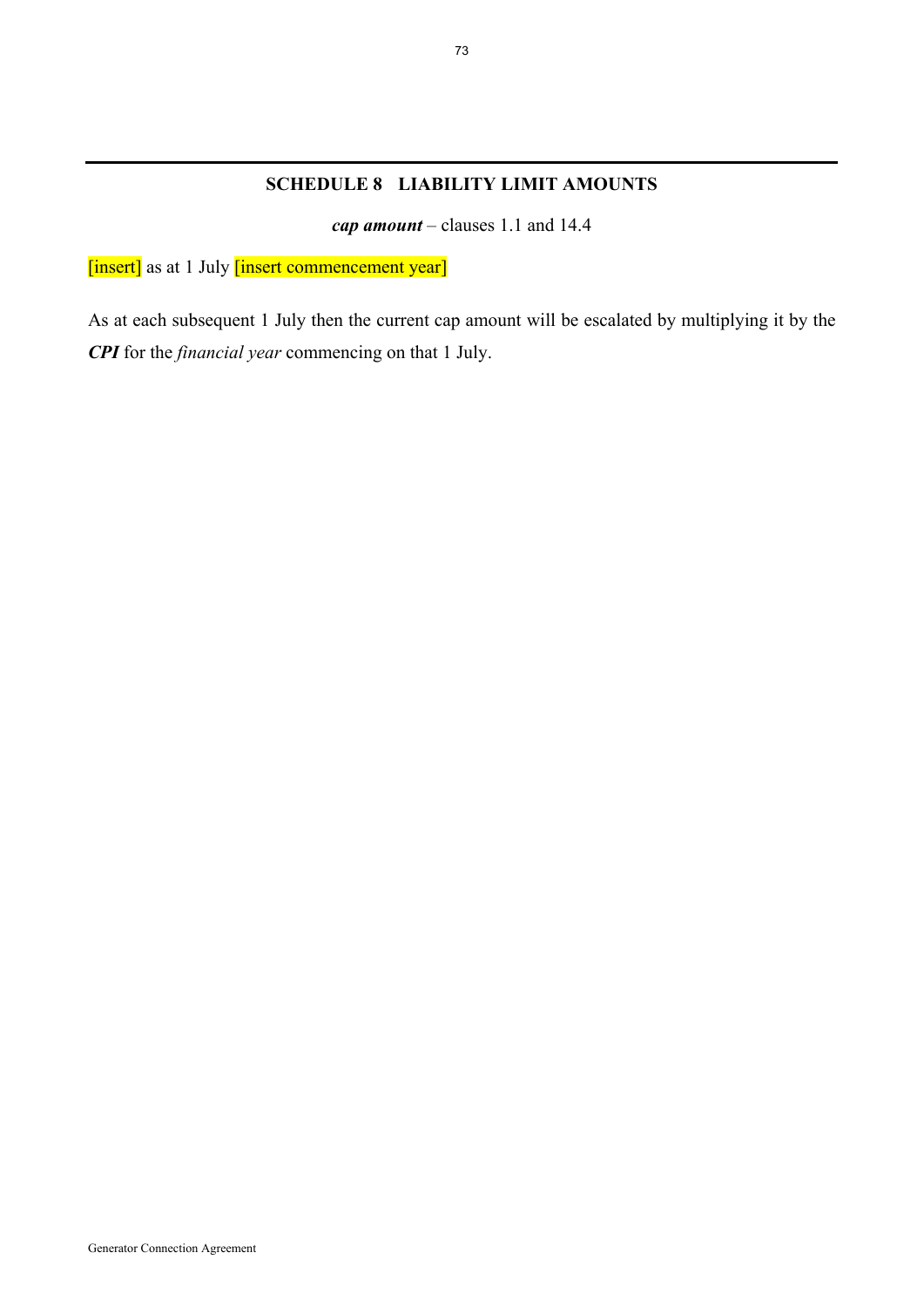### **SCHEDULE 8 LIABILITY LIMIT AMOUNTS**

*cap amount* – clauses 1.1 and 14.4

[insert] as at 1 July [insert commencement year]

As at each subsequent 1 July then the current cap amount will be escalated by multiplying it by the *CPI* for the *financial year* commencing on that 1 July.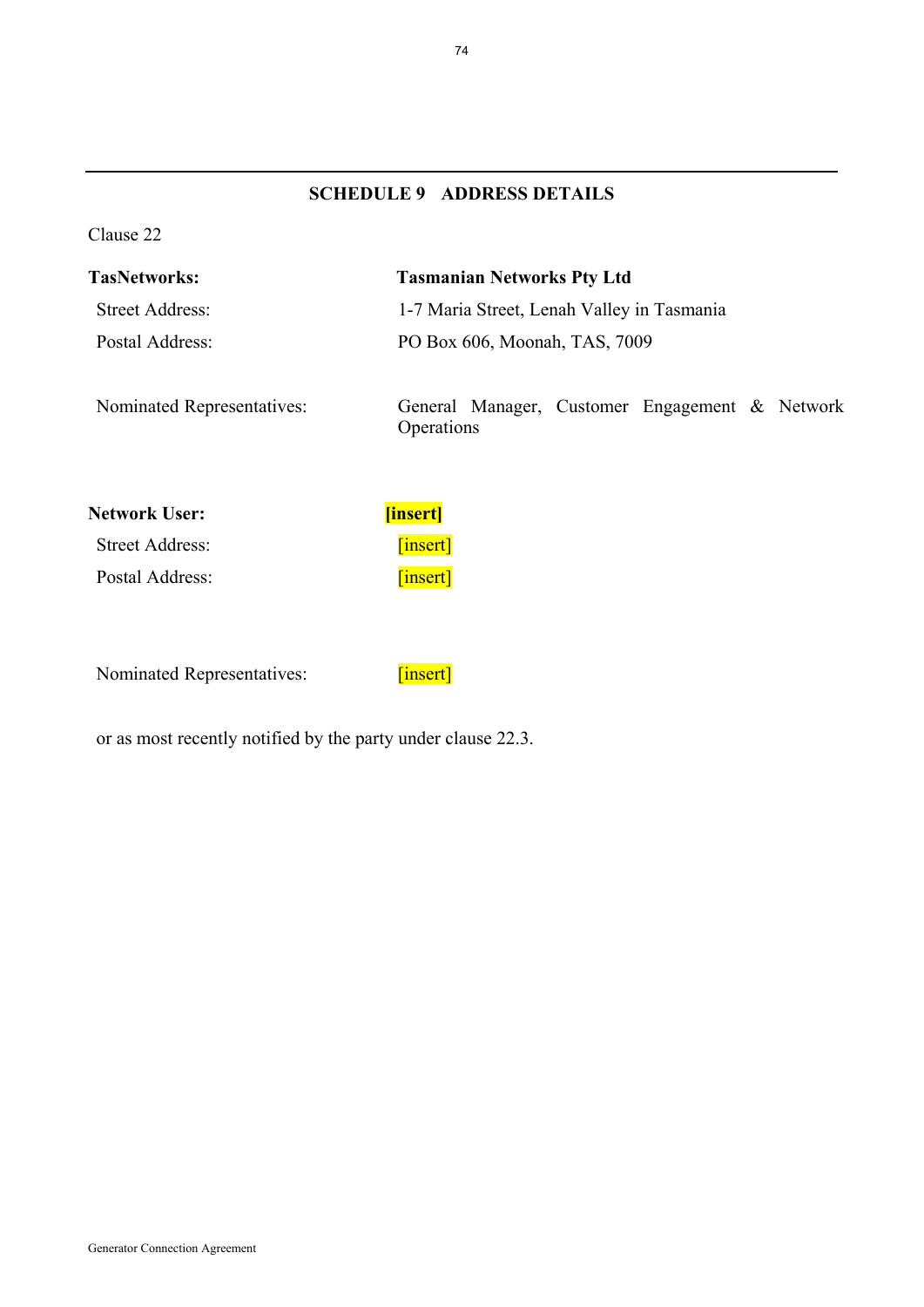# **SCHEDULE 9 ADDRESS DETAILS**

Clause 22

| <b>TasNetworks:</b>        | <b>Tasmanian Networks Pty Ltd</b>                            |  |
|----------------------------|--------------------------------------------------------------|--|
| <b>Street Address:</b>     | 1-7 Maria Street, Lenah Valley in Tasmania                   |  |
| Postal Address:            | PO Box 606, Moonah, TAS, 7009                                |  |
| Nominated Representatives: | General Manager, Customer Engagement & Network<br>Operations |  |

| Network User:   | <b>[insert]</b> |
|-----------------|-----------------|
| Street Address: | [insert]        |
| Postal Address: | [insert]        |

Nominated Representatives: [insert]

or as most recently notified by the party under clause 22.3.